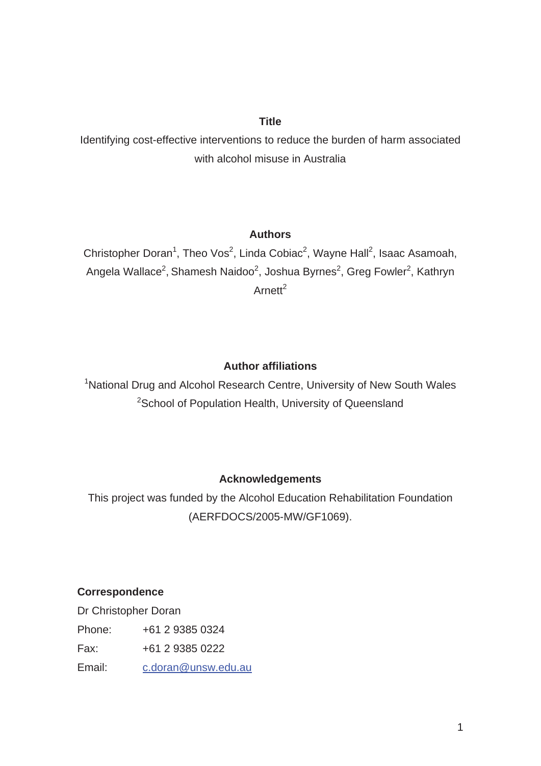# **Title**

Identifying cost-effective interventions to reduce the burden of harm associated with alcohol misuse in Australia

# **Authors**

Christopher Doran<sup>1</sup>, Theo Vos<sup>2</sup>, Linda Cobiac<sup>2</sup>, Wayne Hall<sup>2</sup>, Isaac Asamoah, Angela Wallace<sup>2</sup>, Shamesh Naidoo<sup>2</sup>, Joshua Byrnes<sup>2</sup>, Greg Fowler<sup>2</sup>, Kathryn Arnett $^2$ 

# **Author affiliations**

<sup>1</sup>National Drug and Alcohol Research Centre, University of New South Wales <sup>2</sup>School of Population Health, University of Queensland

# **Acknowledgements**

This project was funded by the Alcohol Education Rehabilitation Foundation (AERFDOCS/2005-MW/GF1069).

# **Correspondence**

Dr Christopher Doran Phone: +61 2 9385 0324 Fax: +61 2 9385 0222 Email: c.doran@unsw.edu.au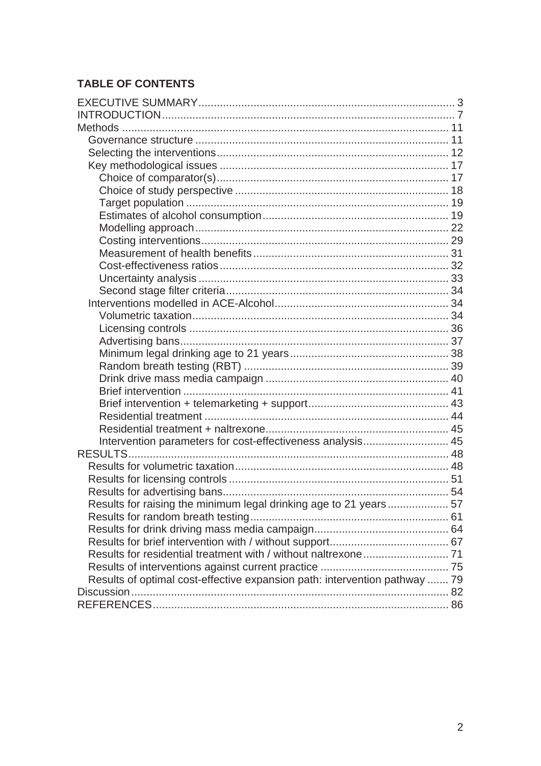# **TABLE OF CONTENTS**

| Intervention parameters for cost-effectiveness analysis 45                 |  |
|----------------------------------------------------------------------------|--|
|                                                                            |  |
|                                                                            |  |
|                                                                            |  |
|                                                                            |  |
| Results for raising the minimum legal drinking age to 21 years 57          |  |
|                                                                            |  |
|                                                                            |  |
|                                                                            |  |
|                                                                            |  |
|                                                                            |  |
|                                                                            |  |
| Results of optimal cost-effective expansion path: intervention pathway  79 |  |
|                                                                            |  |
|                                                                            |  |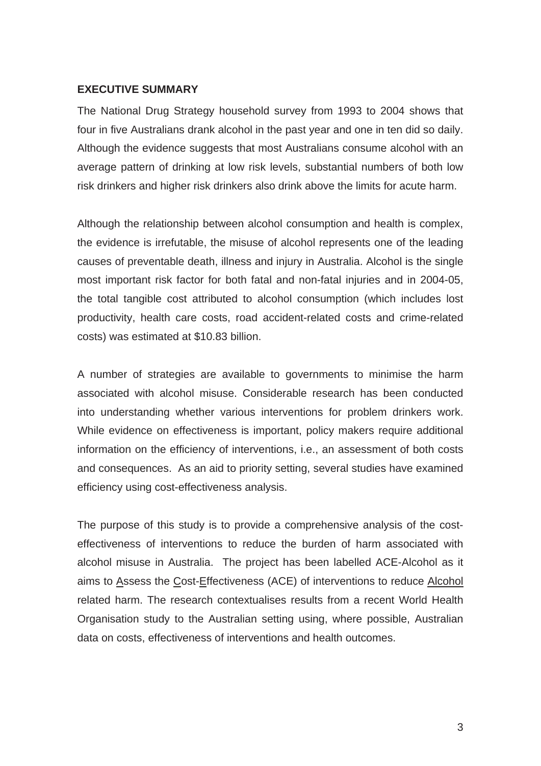### **EXECUTIVE SUMMARY**

The National Drug Strategy household survey from 1993 to 2004 shows that four in five Australians drank alcohol in the past year and one in ten did so daily. Although the evidence suggests that most Australians consume alcohol with an average pattern of drinking at low risk levels, substantial numbers of both low risk drinkers and higher risk drinkers also drink above the limits for acute harm.

Although the relationship between alcohol consumption and health is complex, the evidence is irrefutable, the misuse of alcohol represents one of the leading causes of preventable death, illness and injury in Australia. Alcohol is the single most important risk factor for both fatal and non-fatal injuries and in 2004-05, the total tangible cost attributed to alcohol consumption (which includes lost productivity, health care costs, road accident-related costs and crime-related costs) was estimated at \$10.83 billion.

A number of strategies are available to governments to minimise the harm associated with alcohol misuse. Considerable research has been conducted into understanding whether various interventions for problem drinkers work. While evidence on effectiveness is important, policy makers require additional information on the efficiency of interventions, i.e., an assessment of both costs and consequences. As an aid to priority setting, several studies have examined efficiency using cost-effectiveness analysis.

The purpose of this study is to provide a comprehensive analysis of the costeffectiveness of interventions to reduce the burden of harm associated with alcohol misuse in Australia. The project has been labelled ACE-Alcohol as it aims to Assess the Cost-Effectiveness (ACE) of interventions to reduce Alcohol related harm. The research contextualises results from a recent World Health Organisation study to the Australian setting using, where possible, Australian data on costs, effectiveness of interventions and health outcomes.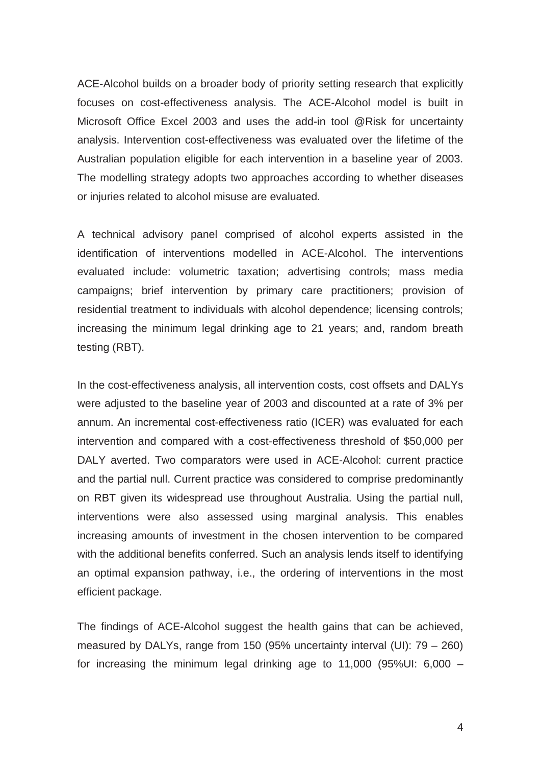ACE-Alcohol builds on a broader body of priority setting research that explicitly focuses on cost-effectiveness analysis. The ACE-Alcohol model is built in Microsoft Office Excel 2003 and uses the add-in tool @Risk for uncertainty analysis. Intervention cost-effectiveness was evaluated over the lifetime of the Australian population eligible for each intervention in a baseline year of 2003. The modelling strategy adopts two approaches according to whether diseases or injuries related to alcohol misuse are evaluated.

A technical advisory panel comprised of alcohol experts assisted in the identification of interventions modelled in ACE-Alcohol. The interventions evaluated include: volumetric taxation; advertising controls; mass media campaigns; brief intervention by primary care practitioners; provision of residential treatment to individuals with alcohol dependence; licensing controls; increasing the minimum legal drinking age to 21 years; and, random breath testing (RBT).

In the cost-effectiveness analysis, all intervention costs, cost offsets and DALYs were adjusted to the baseline year of 2003 and discounted at a rate of 3% per annum. An incremental cost-effectiveness ratio (ICER) was evaluated for each intervention and compared with a cost-effectiveness threshold of \$50,000 per DALY averted. Two comparators were used in ACE-Alcohol: current practice and the partial null. Current practice was considered to comprise predominantly on RBT given its widespread use throughout Australia. Using the partial null, interventions were also assessed using marginal analysis. This enables increasing amounts of investment in the chosen intervention to be compared with the additional benefits conferred. Such an analysis lends itself to identifying an optimal expansion pathway, i.e., the ordering of interventions in the most efficient package.

The findings of ACE-Alcohol suggest the health gains that can be achieved, measured by DALYs, range from 150 (95% uncertainty interval (UI): 79 – 260) for increasing the minimum legal drinking age to 11,000 (95%UI: 6,000 –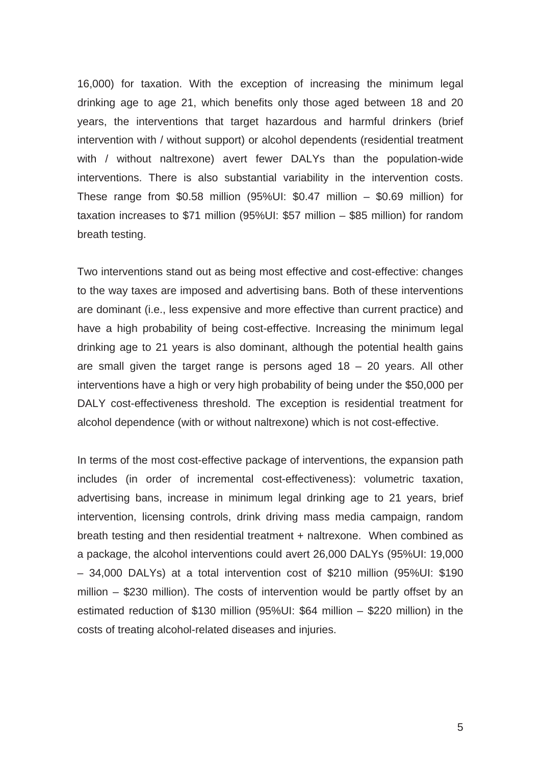16,000) for taxation. With the exception of increasing the minimum legal drinking age to age 21, which benefits only those aged between 18 and 20 years, the interventions that target hazardous and harmful drinkers (brief intervention with / without support) or alcohol dependents (residential treatment with / without naltrexone) avert fewer DALYs than the population-wide interventions. There is also substantial variability in the intervention costs. These range from \$0.58 million (95%UI: \$0.47 million – \$0.69 million) for taxation increases to \$71 million (95%UI: \$57 million – \$85 million) for random breath testing.

Two interventions stand out as being most effective and cost-effective: changes to the way taxes are imposed and advertising bans. Both of these interventions are dominant (i.e., less expensive and more effective than current practice) and have a high probability of being cost-effective. Increasing the minimum legal drinking age to 21 years is also dominant, although the potential health gains are small given the target range is persons aged  $18 - 20$  years. All other interventions have a high or very high probability of being under the \$50,000 per DALY cost-effectiveness threshold. The exception is residential treatment for alcohol dependence (with or without naltrexone) which is not cost-effective.

In terms of the most cost-effective package of interventions, the expansion path includes (in order of incremental cost-effectiveness): volumetric taxation, advertising bans, increase in minimum legal drinking age to 21 years, brief intervention, licensing controls, drink driving mass media campaign, random breath testing and then residential treatment + naltrexone. When combined as a package, the alcohol interventions could avert 26,000 DALYs (95%UI: 19,000 – 34,000 DALYs) at a total intervention cost of \$210 million (95%UI: \$190 million – \$230 million). The costs of intervention would be partly offset by an estimated reduction of \$130 million (95%UI: \$64 million – \$220 million) in the costs of treating alcohol-related diseases and injuries.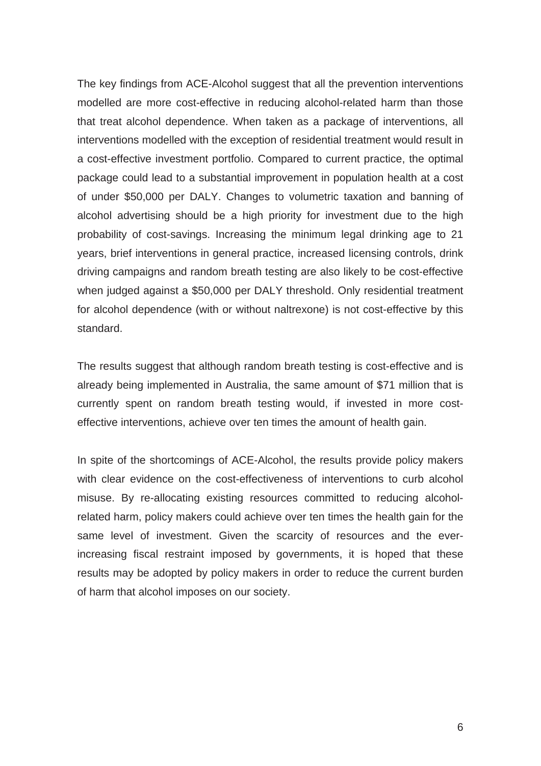The key findings from ACE-Alcohol suggest that all the prevention interventions modelled are more cost-effective in reducing alcohol-related harm than those that treat alcohol dependence. When taken as a package of interventions, all interventions modelled with the exception of residential treatment would result in a cost-effective investment portfolio. Compared to current practice, the optimal package could lead to a substantial improvement in population health at a cost of under \$50,000 per DALY. Changes to volumetric taxation and banning of alcohol advertising should be a high priority for investment due to the high probability of cost-savings. Increasing the minimum legal drinking age to 21 years, brief interventions in general practice, increased licensing controls, drink driving campaigns and random breath testing are also likely to be cost-effective when judged against a \$50,000 per DALY threshold. Only residential treatment for alcohol dependence (with or without naltrexone) is not cost-effective by this standard.

The results suggest that although random breath testing is cost-effective and is already being implemented in Australia, the same amount of \$71 million that is currently spent on random breath testing would, if invested in more costeffective interventions, achieve over ten times the amount of health gain.

In spite of the shortcomings of ACE-Alcohol, the results provide policy makers with clear evidence on the cost-effectiveness of interventions to curb alcohol misuse. By re-allocating existing resources committed to reducing alcoholrelated harm, policy makers could achieve over ten times the health gain for the same level of investment. Given the scarcity of resources and the everincreasing fiscal restraint imposed by governments, it is hoped that these results may be adopted by policy makers in order to reduce the current burden of harm that alcohol imposes on our society.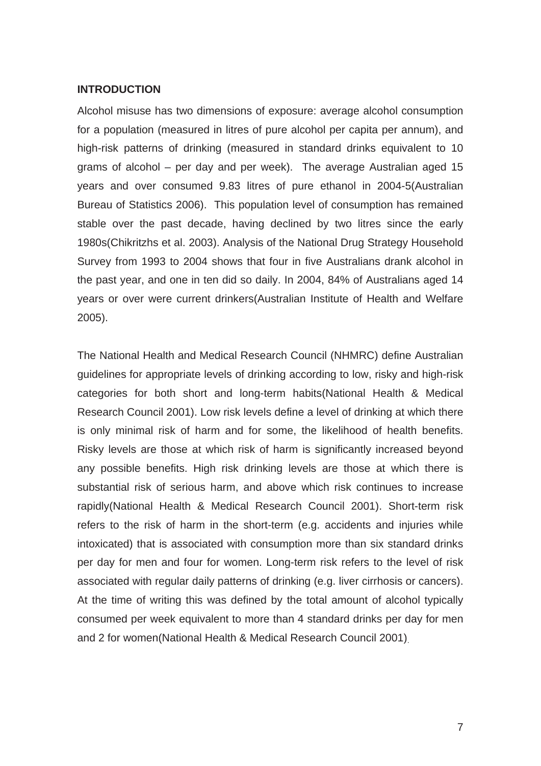#### **INTRODUCTION**

Alcohol misuse has two dimensions of exposure: average alcohol consumption for a population (measured in litres of pure alcohol per capita per annum), and high-risk patterns of drinking (measured in standard drinks equivalent to 10 grams of alcohol – per day and per week). The average Australian aged 15 years and over consumed 9.83 litres of pure ethanol in 2004-5(Australian Bureau of Statistics 2006). This population level of consumption has remained stable over the past decade, having declined by two litres since the early 1980s(Chikritzhs et al. 2003). Analysis of the National Drug Strategy Household Survey from 1993 to 2004 shows that four in five Australians drank alcohol in the past year, and one in ten did so daily. In 2004, 84% of Australians aged 14 years or over were current drinkers(Australian Institute of Health and Welfare 2005).

The National Health and Medical Research Council (NHMRC) define Australian guidelines for appropriate levels of drinking according to low, risky and high-risk categories for both short and long-term habits(National Health & Medical Research Council 2001). Low risk levels define a level of drinking at which there is only minimal risk of harm and for some, the likelihood of health benefits. Risky levels are those at which risk of harm is significantly increased beyond any possible benefits. High risk drinking levels are those at which there is substantial risk of serious harm, and above which risk continues to increase rapidly(National Health & Medical Research Council 2001). Short-term risk refers to the risk of harm in the short-term (e.g. accidents and injuries while intoxicated) that is associated with consumption more than six standard drinks per day for men and four for women. Long-term risk refers to the level of risk associated with regular daily patterns of drinking (e.g. liver cirrhosis or cancers). At the time of writing this was defined by the total amount of alcohol typically consumed per week equivalent to more than 4 standard drinks per day for men and 2 for women(National Health & Medical Research Council 2001).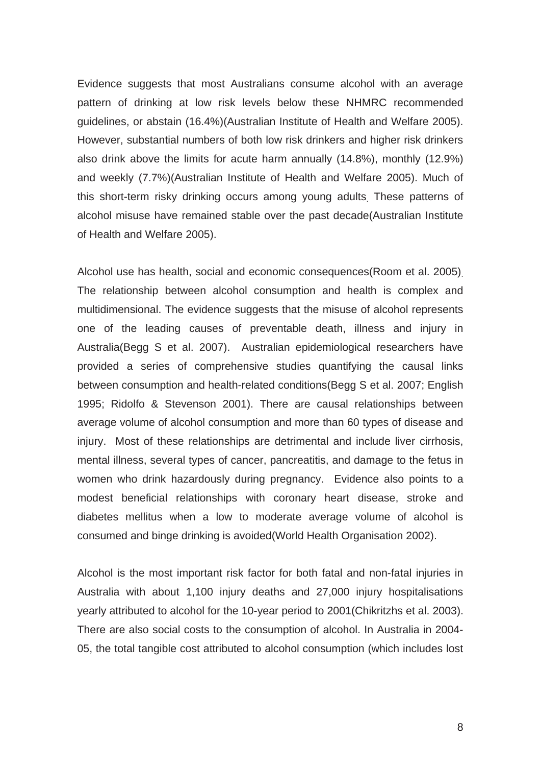Evidence suggests that most Australians consume alcohol with an average pattern of drinking at low risk levels below these NHMRC recommended guidelines, or abstain (16.4%)(Australian Institute of Health and Welfare 2005). However, substantial numbers of both low risk drinkers and higher risk drinkers also drink above the limits for acute harm annually (14.8%), monthly (12.9%) and weekly (7.7%)(Australian Institute of Health and Welfare 2005). Much of this short-term risky drinking occurs among young adults. These patterns of alcohol misuse have remained stable over the past decade(Australian Institute of Health and Welfare 2005).

Alcohol use has health, social and economic consequences(Room et al. 2005). The relationship between alcohol consumption and health is complex and multidimensional. The evidence suggests that the misuse of alcohol represents one of the leading causes of preventable death, illness and injury in Australia(Begg S et al. 2007). Australian epidemiological researchers have provided a series of comprehensive studies quantifying the causal links between consumption and health-related conditions(Begg S et al. 2007; English 1995; Ridolfo & Stevenson 2001). There are causal relationships between average volume of alcohol consumption and more than 60 types of disease and injury. Most of these relationships are detrimental and include liver cirrhosis, mental illness, several types of cancer, pancreatitis, and damage to the fetus in women who drink hazardously during pregnancy. Evidence also points to a modest beneficial relationships with coronary heart disease, stroke and diabetes mellitus when a low to moderate average volume of alcohol is consumed and binge drinking is avoided(World Health Organisation 2002).

Alcohol is the most important risk factor for both fatal and non-fatal injuries in Australia with about 1,100 injury deaths and 27,000 injury hospitalisations yearly attributed to alcohol for the 10-year period to 2001(Chikritzhs et al. 2003). There are also social costs to the consumption of alcohol. In Australia in 2004- 05, the total tangible cost attributed to alcohol consumption (which includes lost

8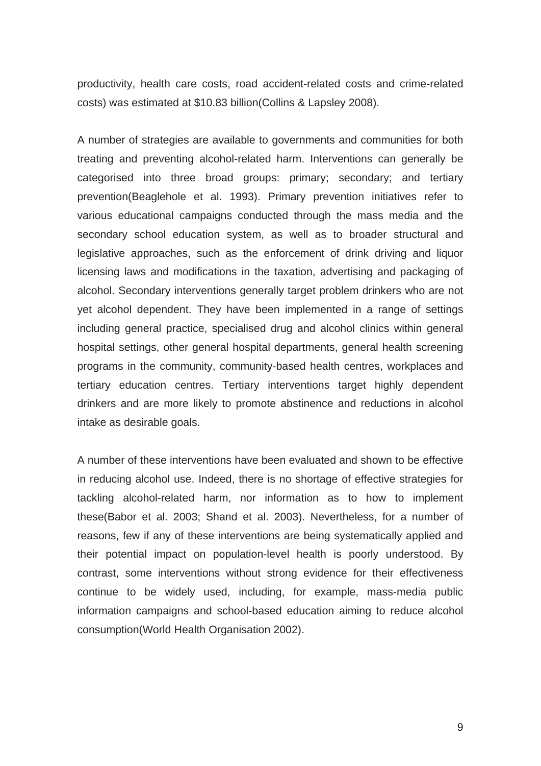productivity, health care costs, road accident-related costs and crime-related costs) was estimated at \$10.83 billion(Collins & Lapsley 2008).

A number of strategies are available to governments and communities for both treating and preventing alcohol-related harm. Interventions can generally be categorised into three broad groups: primary; secondary; and tertiary prevention(Beaglehole et al. 1993). Primary prevention initiatives refer to various educational campaigns conducted through the mass media and the secondary school education system, as well as to broader structural and legislative approaches, such as the enforcement of drink driving and liquor licensing laws and modifications in the taxation, advertising and packaging of alcohol. Secondary interventions generally target problem drinkers who are not yet alcohol dependent. They have been implemented in a range of settings including general practice, specialised drug and alcohol clinics within general hospital settings, other general hospital departments, general health screening programs in the community, community-based health centres, workplaces and tertiary education centres. Tertiary interventions target highly dependent drinkers and are more likely to promote abstinence and reductions in alcohol intake as desirable goals.

A number of these interventions have been evaluated and shown to be effective in reducing alcohol use. Indeed, there is no shortage of effective strategies for tackling alcohol-related harm, nor information as to how to implement these(Babor et al. 2003; Shand et al. 2003). Nevertheless, for a number of reasons, few if any of these interventions are being systematically applied and their potential impact on population-level health is poorly understood. By contrast, some interventions without strong evidence for their effectiveness continue to be widely used, including, for example, mass-media public information campaigns and school-based education aiming to reduce alcohol consumption(World Health Organisation 2002).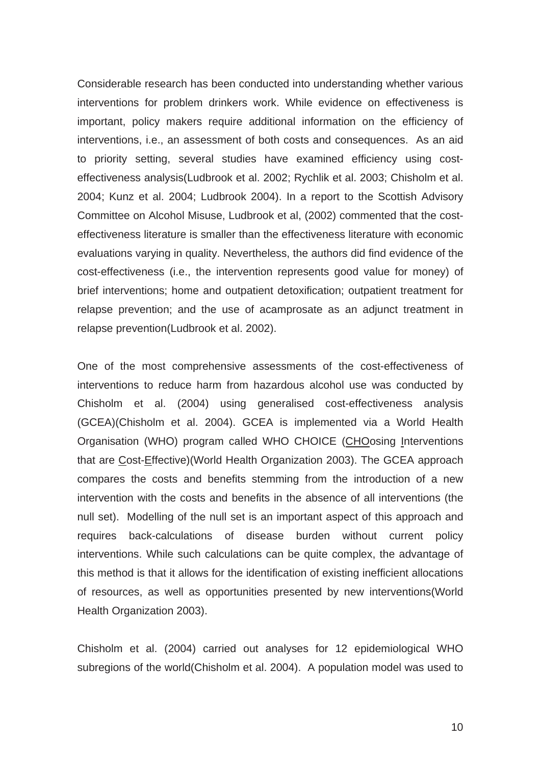Considerable research has been conducted into understanding whether various interventions for problem drinkers work. While evidence on effectiveness is important, policy makers require additional information on the efficiency of interventions, i.e., an assessment of both costs and consequences. As an aid to priority setting, several studies have examined efficiency using costeffectiveness analysis(Ludbrook et al. 2002; Rychlik et al. 2003; Chisholm et al. 2004; Kunz et al. 2004; Ludbrook 2004). In a report to the Scottish Advisory Committee on Alcohol Misuse, Ludbrook et al, (2002) commented that the costeffectiveness literature is smaller than the effectiveness literature with economic evaluations varying in quality. Nevertheless, the authors did find evidence of the cost-effectiveness (i.e., the intervention represents good value for money) of brief interventions; home and outpatient detoxification; outpatient treatment for relapse prevention; and the use of acamprosate as an adjunct treatment in relapse prevention(Ludbrook et al. 2002).

One of the most comprehensive assessments of the cost-effectiveness of interventions to reduce harm from hazardous alcohol use was conducted by Chisholm et al. (2004) using generalised cost-effectiveness analysis (GCEA)(Chisholm et al. 2004). GCEA is implemented via a World Health Organisation (WHO) program called WHO CHOICE (CHOosing Interventions that are Cost-Effective)(World Health Organization 2003). The GCEA approach compares the costs and benefits stemming from the introduction of a new intervention with the costs and benefits in the absence of all interventions (the null set). Modelling of the null set is an important aspect of this approach and requires back-calculations of disease burden without current policy interventions. While such calculations can be quite complex, the advantage of this method is that it allows for the identification of existing inefficient allocations of resources, as well as opportunities presented by new interventions(World Health Organization 2003).

Chisholm et al. (2004) carried out analyses for 12 epidemiological WHO subregions of the world(Chisholm et al. 2004). A population model was used to

10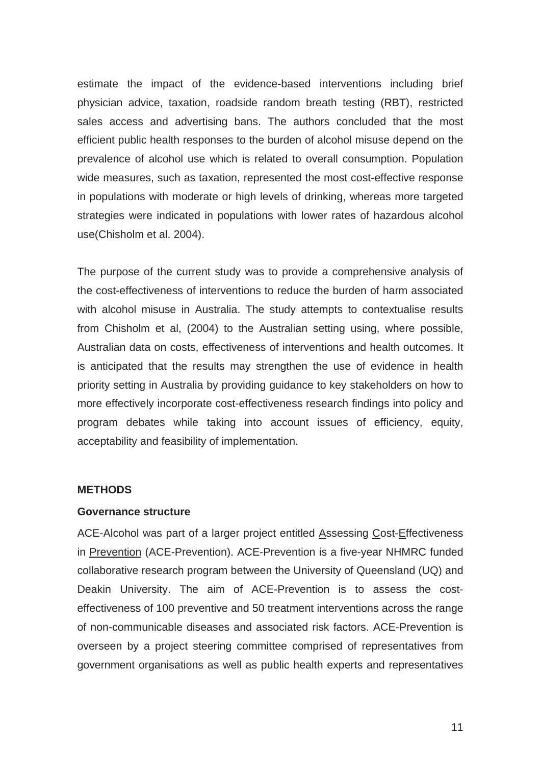estimate the impact of the evidence-based interventions including brief physician advice, taxation, roadside random breath testing (RBT), restricted sales access and advertising bans. The authors concluded that the most efficient public health responses to the burden of alcohol misuse depend on the prevalence of alcohol use which is related to overall consumption. Population wide measures, such as taxation, represented the most cost-effective response in populations with moderate or high levels of drinking, whereas more targeted strategies were indicated in populations with lower rates of hazardous alcohol use(Chisholm et al. 2004).

The purpose of the current study was to provide a comprehensive analysis of the cost-effectiveness of interventions to reduce the burden of harm associated with alcohol misuse in Australia. The study attempts to contextualise results from Chisholm et al, (2004) to the Australian setting using, where possible, Australian data on costs, effectiveness of interventions and health outcomes. It is anticipated that the results may strengthen the use of evidence in health priority setting in Australia by providing guidance to key stakeholders on how to more effectively incorporate cost-effectiveness research findings into policy and program debates while taking into account issues of efficiency, equity, acceptability and feasibility of implementation.

#### **METHODS**

#### **Governance structure**

ACE-Alcohol was part of a larger project entitled Assessing Cost-Effectiveness in Prevention (ACE-Prevention). ACE-Prevention is a five-year NHMRC funded collaborative research program between the University of Queensland (UQ) and Deakin University. The aim of ACE-Prevention is to assess the costeffectiveness of 100 preventive and 50 treatment interventions across the range of non-communicable diseases and associated risk factors. ACE-Prevention is overseen by a project steering committee comprised of representatives from government organisations as well as public health experts and representatives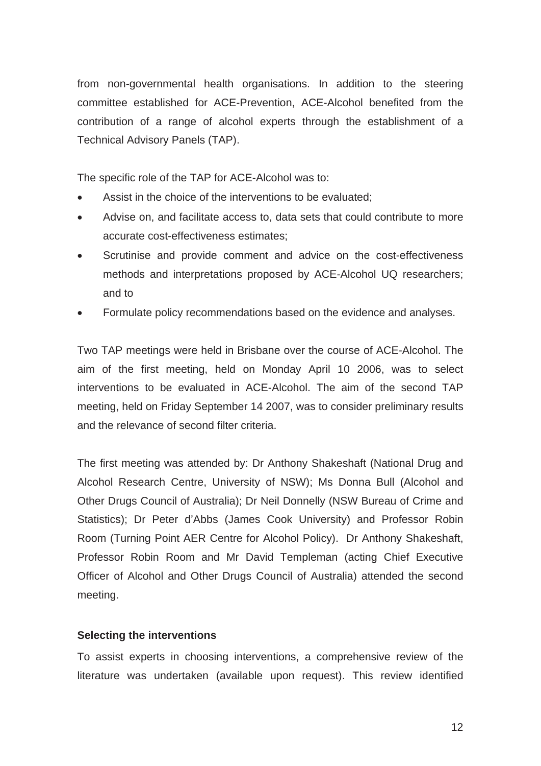from non-governmental health organisations. In addition to the steering committee established for ACE-Prevention, ACE-Alcohol benefited from the contribution of a range of alcohol experts through the establishment of a Technical Advisory Panels (TAP).

The specific role of the TAP for ACE-Alcohol was to:

- Assist in the choice of the interventions to be evaluated;
- Advise on, and facilitate access to, data sets that could contribute to more accurate cost-effectiveness estimates;
- Scrutinise and provide comment and advice on the cost-effectiveness methods and interpretations proposed by ACE-Alcohol UQ researchers; and to
- Formulate policy recommendations based on the evidence and analyses.

Two TAP meetings were held in Brisbane over the course of ACE-Alcohol. The aim of the first meeting, held on Monday April 10 2006, was to select interventions to be evaluated in ACE-Alcohol. The aim of the second TAP meeting, held on Friday September 14 2007, was to consider preliminary results and the relevance of second filter criteria.

The first meeting was attended by: Dr Anthony Shakeshaft (National Drug and Alcohol Research Centre, University of NSW); Ms Donna Bull (Alcohol and Other Drugs Council of Australia); Dr Neil Donnelly (NSW Bureau of Crime and Statistics); Dr Peter d'Abbs (James Cook University) and Professor Robin Room (Turning Point AER Centre for Alcohol Policy). Dr Anthony Shakeshaft, Professor Robin Room and Mr David Templeman (acting Chief Executive Officer of Alcohol and Other Drugs Council of Australia) attended the second meeting.

# **Selecting the interventions**

To assist experts in choosing interventions, a comprehensive review of the literature was undertaken (available upon request). This review identified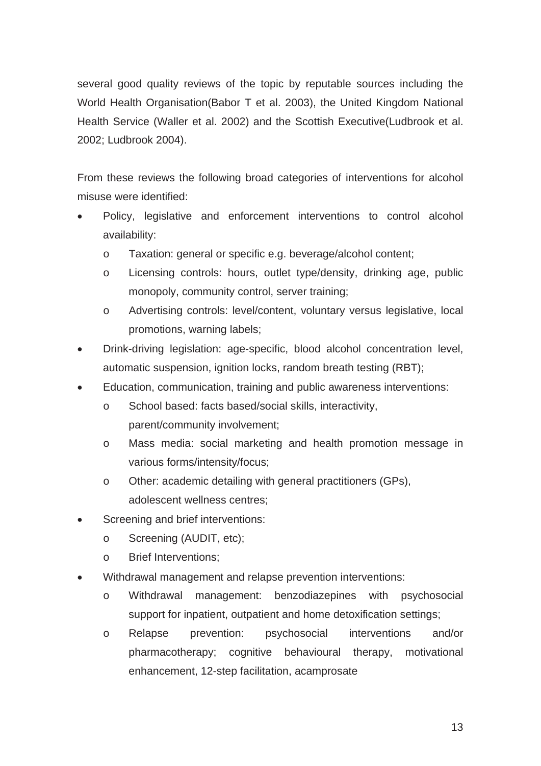several good quality reviews of the topic by reputable sources including the World Health Organisation(Babor T et al. 2003), the United Kingdom National Health Service (Waller et al. 2002) and the Scottish Executive(Ludbrook et al. 2002; Ludbrook 2004).

From these reviews the following broad categories of interventions for alcohol misuse were identified:

- Policy, legislative and enforcement interventions to control alcohol availability:
	- o Taxation: general or specific e.g. beverage/alcohol content;
	- o Licensing controls: hours, outlet type/density, drinking age, public monopoly, community control, server training;
	- o Advertising controls: level/content, voluntary versus legislative, local promotions, warning labels;
- Drink-driving legislation: age-specific, blood alcohol concentration level, automatic suspension, ignition locks, random breath testing (RBT);
- Education, communication, training and public awareness interventions:
	- o School based: facts based/social skills, interactivity, parent/community involvement;
	- o Mass media: social marketing and health promotion message in various forms/intensity/focus;
	- o Other: academic detailing with general practitioners (GPs), adolescent wellness centres;
- Screening and brief interventions:
	- o Screening (AUDIT, etc);
	- o Brief Interventions;
- Withdrawal management and relapse prevention interventions:
	- o Withdrawal management: benzodiazepines with psychosocial support for inpatient, outpatient and home detoxification settings;
	- o Relapse prevention: psychosocial interventions and/or pharmacotherapy; cognitive behavioural therapy, motivational enhancement, 12-step facilitation, acamprosate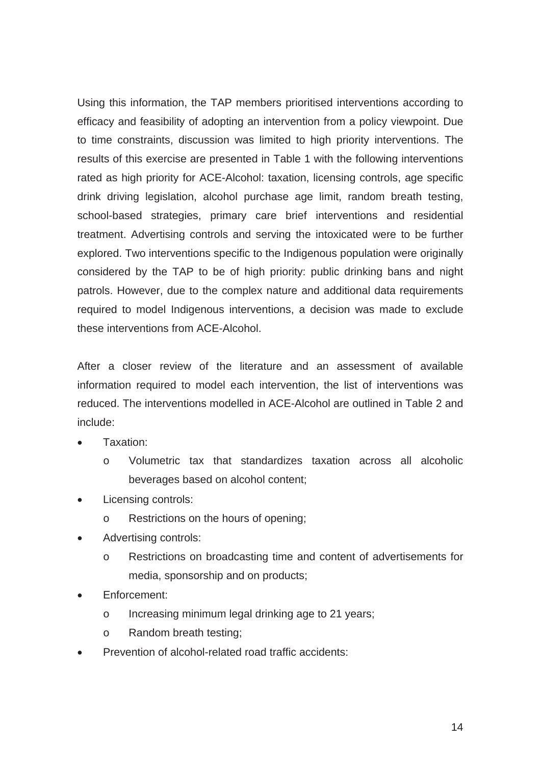Using this information, the TAP members prioritised interventions according to efficacy and feasibility of adopting an intervention from a policy viewpoint. Due to time constraints, discussion was limited to high priority interventions. The results of this exercise are presented in Table 1 with the following interventions rated as high priority for ACE-Alcohol: taxation, licensing controls, age specific drink driving legislation, alcohol purchase age limit, random breath testing, school-based strategies, primary care brief interventions and residential treatment. Advertising controls and serving the intoxicated were to be further explored. Two interventions specific to the Indigenous population were originally considered by the TAP to be of high priority: public drinking bans and night patrols. However, due to the complex nature and additional data requirements required to model Indigenous interventions, a decision was made to exclude these interventions from ACE-Alcohol.

After a closer review of the literature and an assessment of available information required to model each intervention, the list of interventions was reduced. The interventions modelled in ACE-Alcohol are outlined in Table 2 and include:

- Taxation:
	- o Volumetric tax that standardizes taxation across all alcoholic beverages based on alcohol content;
- Licensing controls:
	- o Restrictions on the hours of opening;
- Advertising controls:
	- o Restrictions on broadcasting time and content of advertisements for media, sponsorship and on products;
- Enforcement:
	- o Increasing minimum legal drinking age to 21 years;
	- o Random breath testing;
- Prevention of alcohol-related road traffic accidents: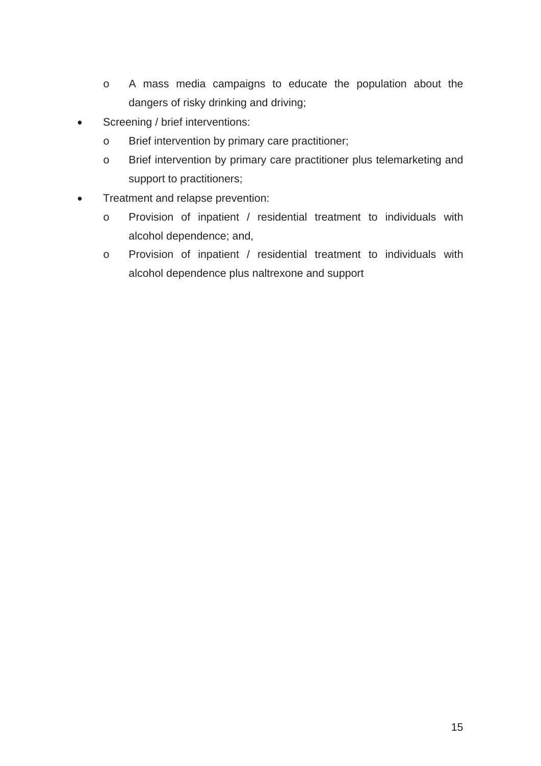- o A mass media campaigns to educate the population about the dangers of risky drinking and driving;
- Screening / brief interventions:
	- o Brief intervention by primary care practitioner;
	- o Brief intervention by primary care practitioner plus telemarketing and support to practitioners;
- Treatment and relapse prevention:
	- o Provision of inpatient / residential treatment to individuals with alcohol dependence; and,
	- o Provision of inpatient / residential treatment to individuals with alcohol dependence plus naltrexone and support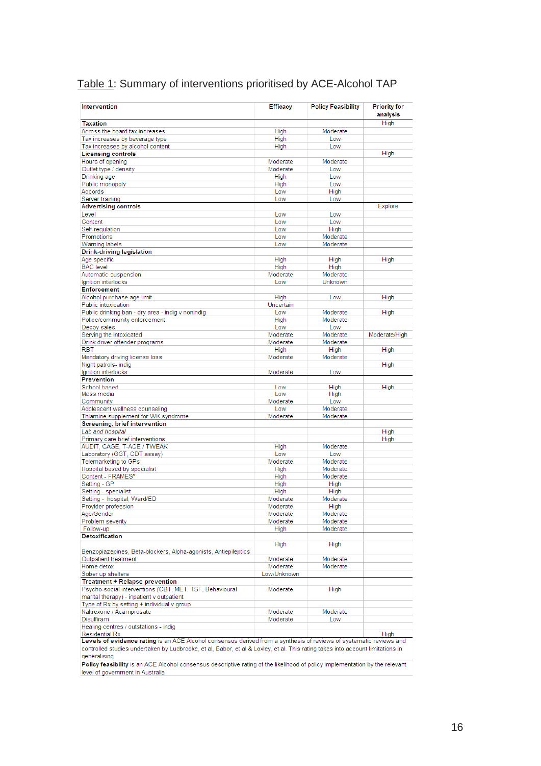# Table 1: Summary of interventions prioritised by ACE-Alcohol TAP

| Intervention                                                                                                                   | <b>Efficacy</b> | <b>Policy Feasibility</b> | <b>Priority for</b><br>analysis |
|--------------------------------------------------------------------------------------------------------------------------------|-----------------|---------------------------|---------------------------------|
| <b>Taxation</b>                                                                                                                |                 |                           | High                            |
| Across the board tax increases                                                                                                 | High            | Moderate                  |                                 |
| Tax increases by beverage type                                                                                                 | High            | Low                       |                                 |
| Tax increases by alcohol content                                                                                               | High            | Low                       |                                 |
| <b>Licensing controls</b>                                                                                                      |                 |                           | High                            |
| Hours of opening                                                                                                               | Moderate        | Moderate                  |                                 |
| Outlet type / density                                                                                                          | Moderate        | Low                       |                                 |
| Drinking age                                                                                                                   | High            | Low                       |                                 |
| Public monopoly                                                                                                                | High            | Low                       |                                 |
| Accords                                                                                                                        | Low             | High                      |                                 |
| Server training                                                                                                                | Low             | Low                       |                                 |
| <b>Advertising controls</b>                                                                                                    |                 |                           | <b>Explore</b>                  |
| Level                                                                                                                          | Low             | Low                       |                                 |
| Content                                                                                                                        | Low             | Low                       |                                 |
| Self-regulation                                                                                                                | Low             | High                      |                                 |
| Promotions                                                                                                                     | Low             | Moderate                  |                                 |
| Warning labels                                                                                                                 | Low             | Moderate                  |                                 |
| Drink-driving legislation                                                                                                      |                 |                           |                                 |
| Age specific                                                                                                                   | High            | High                      | High                            |
| <b>BAC</b> level                                                                                                               | High            | High                      |                                 |
| Automatic suspension                                                                                                           | Moderate        | Moderate                  |                                 |
| Ignition interlocks                                                                                                            | Low             | Unknown                   |                                 |
| <b>Enforcement</b>                                                                                                             |                 |                           |                                 |
| Alcohol purchase age limit                                                                                                     | High            | Low                       | High                            |
| Public intoxication                                                                                                            | Uncertain       |                           |                                 |
| Public drinking ban - dry area - indig v nonindig                                                                              | Low             | Moderate                  | High                            |
| Police/community enforcement                                                                                                   | High            | Moderate                  |                                 |
| Decoy sales                                                                                                                    | Low             | Low                       |                                 |
| Serving the intoxicated                                                                                                        | Moderate        | Moderate                  | Moderate/High                   |
| Drink driver offender programs                                                                                                 | Moderate        | Moderate                  |                                 |
| <b>RBT</b>                                                                                                                     | High            | High                      | High                            |
| Mandatory driving license loss                                                                                                 | Moderate        | Moderate                  |                                 |
| Night patrols- indig                                                                                                           |                 |                           | High                            |
| Ignition interlocks                                                                                                            | Moderate        | Low                       |                                 |
| <b>Prevention</b>                                                                                                              |                 |                           |                                 |
| School based                                                                                                                   | Low             | High                      | High                            |
| Mass media                                                                                                                     | Low             | High                      |                                 |
| Community                                                                                                                      | Moderate        | Low                       |                                 |
| Adolescent wellness counseling                                                                                                 | Low             | Moderate                  |                                 |
| Thiamine supplement for WK syndrome                                                                                            | Moderate        | Moderate                  |                                 |
| Screening, brief intervention                                                                                                  |                 |                           |                                 |
| Lab and hospital                                                                                                               |                 |                           | <b>High</b>                     |
| Primary care brief interventions                                                                                               |                 |                           | High                            |
| AUDIT, CAGE, T-ACE / TWEAK                                                                                                     | High            | Moderate                  |                                 |
| Laboratory (GGT, CDT assay)                                                                                                    | Low             | Low                       |                                 |
| Telemarketing to GPs                                                                                                           | Moderate        | Moderate                  |                                 |
| Hospital based by specialist                                                                                                   | High            | Moderate                  |                                 |
| Content - FRAMES*                                                                                                              | High            | Moderate                  |                                 |
| Setting - GP                                                                                                                   |                 | High                      |                                 |
| Setting - specialist                                                                                                           | High<br>High    | High                      |                                 |
|                                                                                                                                |                 |                           |                                 |
| Setting - hospital, Ward/ED                                                                                                    | Moderate        | Moderate                  |                                 |
| Provider profession                                                                                                            | Moderate        | High                      |                                 |
| Age/Gender                                                                                                                     | Moderate        | Moderate                  |                                 |
| Problem severity                                                                                                               | Moderate        | Moderate                  |                                 |
| Follow-up                                                                                                                      | High            | Moderate                  |                                 |
| <b>Detoxification</b>                                                                                                          |                 |                           |                                 |
|                                                                                                                                | High            | High                      |                                 |
| Benzopiazepines, Beta-blockers, Alpha-agonists, Antiepileptics                                                                 |                 |                           |                                 |
| Outpatient treatment                                                                                                           | Moderate        | Moderate                  |                                 |
| Home detox                                                                                                                     | Moderate        | Moderate                  |                                 |
| Sober up shelters                                                                                                              | Low/Unknown     |                           |                                 |
| Treatment + Relapse prevention                                                                                                 |                 |                           |                                 |
| Psycho-social interventions (CBT, MET, TSF, Behavioural                                                                        | Moderate        | High                      |                                 |
| marital therapy) - inpatient v outpatient                                                                                      |                 |                           |                                 |
| Type of Rx by setting + individual v group                                                                                     |                 |                           |                                 |
| Naltrexone / Acamprosate                                                                                                       | Moderate        | Moderate                  |                                 |
| Disulfiram                                                                                                                     | Moderate        | Low                       |                                 |
| Healing centres / outstations - indig                                                                                          |                 |                           |                                 |
| <b>Residential Rx</b>                                                                                                          |                 |                           | High                            |
| Levels of evidence rating is an ACE Alcohol consensus derived from a synthesis of reviews of systematic reviews and            |                 |                           |                                 |
| controlled studies undertaken by Ludbrooke, et al, Babor, et al & Loxley, et al. This rating takes into account limitations in |                 |                           |                                 |
| generalising                                                                                                                   |                 |                           |                                 |
| Policy feasibility is an ACE Alcohol consensus descriptive rating of the likelihood of policy implementation by the relevant   |                 |                           |                                 |
| level of government in Australia                                                                                               |                 |                           |                                 |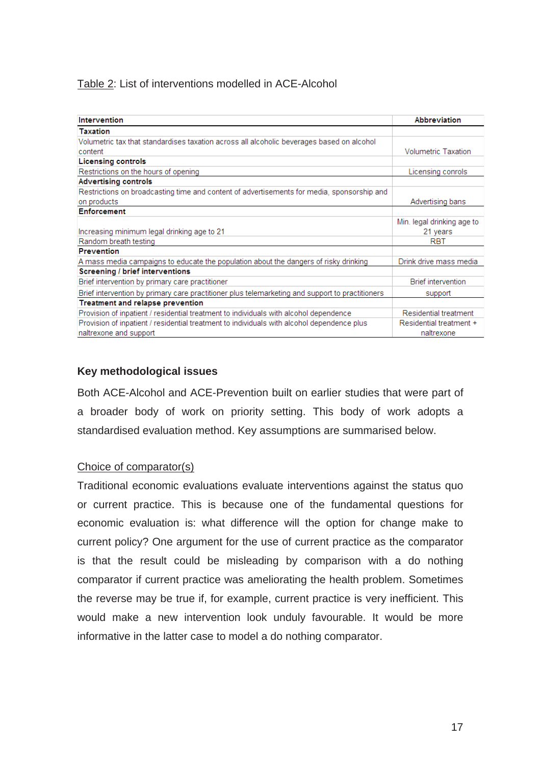# Table 2: List of interventions modelled in ACE-Alcohol

| Intervention                                                                                    | <b>Abbreviation</b>        |
|-------------------------------------------------------------------------------------------------|----------------------------|
| <b>Taxation</b>                                                                                 |                            |
| Volumetric tax that standardises taxation across all alcoholic beverages based on alcohol       |                            |
| content                                                                                         | <b>Volumetric Taxation</b> |
| <b>Licensing controls</b>                                                                       |                            |
| Restrictions on the hours of opening                                                            | Licensing conrols          |
| <b>Advertising controls</b>                                                                     |                            |
| Restrictions on broadcasting time and content of advertisements for media, sponsorship and      |                            |
| on products                                                                                     | Advertising bans           |
| <b>Enforcement</b>                                                                              |                            |
|                                                                                                 | Min. legal drinking age to |
| Increasing minimum legal drinking age to 21                                                     | 21 years                   |
| Random breath testing                                                                           | RBT                        |
| <b>Prevention</b>                                                                               |                            |
| A mass media campaigns to educate the population about the dangers of risky drinking            | Drink drive mass media     |
| <b>Screening / brief interventions</b>                                                          |                            |
| Brief intervention by primary care practitioner                                                 | <b>Brief intervention</b>  |
| Brief intervention by primary care practitioner plus telemarketing and support to practitioners | support                    |
| Treatment and relapse prevention                                                                |                            |
| Provision of inpatient / residential treatment to individuals with alcohol dependence           | Residential treatment      |
| Provision of inpatient / residential treatment to individuals with alcohol dependence plus      | Residential treatment +    |
| naltrexone and support                                                                          | naltrexone                 |

# **Key methodological issues**

Both ACE-Alcohol and ACE-Prevention built on earlier studies that were part of a broader body of work on priority setting. This body of work adopts a standardised evaluation method. Key assumptions are summarised below.

## Choice of comparator(s)

Traditional economic evaluations evaluate interventions against the status quo or current practice. This is because one of the fundamental questions for economic evaluation is: what difference will the option for change make to current policy? One argument for the use of current practice as the comparator is that the result could be misleading by comparison with a do nothing comparator if current practice was ameliorating the health problem. Sometimes the reverse may be true if, for example, current practice is very inefficient. This would make a new intervention look unduly favourable. It would be more informative in the latter case to model a do nothing comparator.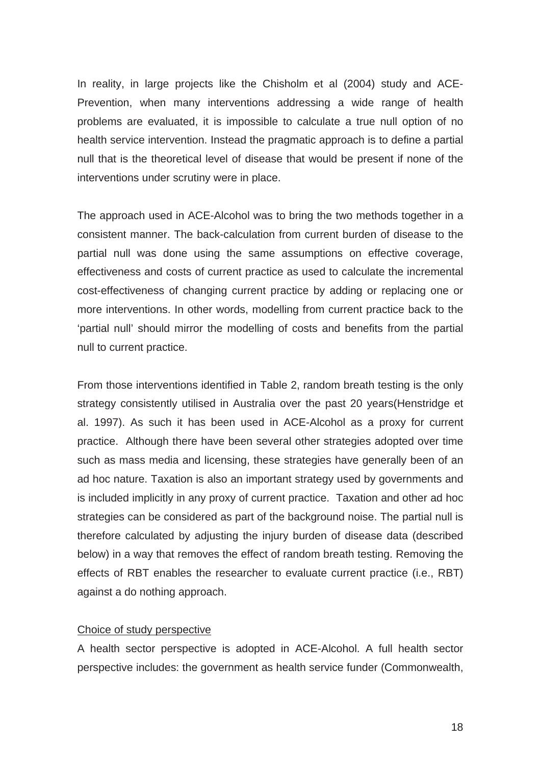In reality, in large projects like the Chisholm et al (2004) study and ACE-Prevention, when many interventions addressing a wide range of health problems are evaluated, it is impossible to calculate a true null option of no health service intervention. Instead the pragmatic approach is to define a partial null that is the theoretical level of disease that would be present if none of the interventions under scrutiny were in place.

The approach used in ACE-Alcohol was to bring the two methods together in a consistent manner. The back-calculation from current burden of disease to the partial null was done using the same assumptions on effective coverage, effectiveness and costs of current practice as used to calculate the incremental cost-effectiveness of changing current practice by adding or replacing one or more interventions. In other words, modelling from current practice back to the 'partial null' should mirror the modelling of costs and benefits from the partial null to current practice.

From those interventions identified in Table 2, random breath testing is the only strategy consistently utilised in Australia over the past 20 years(Henstridge et al. 1997). As such it has been used in ACE-Alcohol as a proxy for current practice. Although there have been several other strategies adopted over time such as mass media and licensing, these strategies have generally been of an ad hoc nature. Taxation is also an important strategy used by governments and is included implicitly in any proxy of current practice. Taxation and other ad hoc strategies can be considered as part of the background noise. The partial null is therefore calculated by adjusting the injury burden of disease data (described below) in a way that removes the effect of random breath testing. Removing the effects of RBT enables the researcher to evaluate current practice (i.e., RBT) against a do nothing approach.

## Choice of study perspective

A health sector perspective is adopted in ACE-Alcohol. A full health sector perspective includes: the government as health service funder (Commonwealth,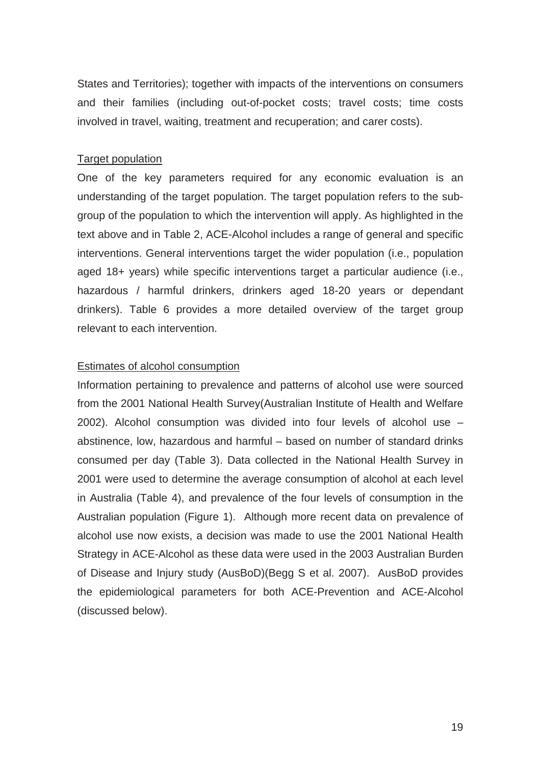States and Territories); together with impacts of the interventions on consumers and their families (including out-of-pocket costs; travel costs; time costs involved in travel, waiting, treatment and recuperation; and carer costs).

### Target population

One of the key parameters required for any economic evaluation is an understanding of the target population. The target population refers to the subgroup of the population to which the intervention will apply. As highlighted in the text above and in Table 2, ACE-Alcohol includes a range of general and specific interventions. General interventions target the wider population (i.e., population aged 18+ years) while specific interventions target a particular audience (i.e., hazardous / harmful drinkers, drinkers aged 18-20 years or dependant drinkers). Table 6 provides a more detailed overview of the target group relevant to each intervention.

## Estimates of alcohol consumption

Information pertaining to prevalence and patterns of alcohol use were sourced from the 2001 National Health Survey(Australian Institute of Health and Welfare 2002). Alcohol consumption was divided into four levels of alcohol use – abstinence, low, hazardous and harmful – based on number of standard drinks consumed per day (Table 3). Data collected in the National Health Survey in 2001 were used to determine the average consumption of alcohol at each level in Australia (Table 4), and prevalence of the four levels of consumption in the Australian population (Figure 1). Although more recent data on prevalence of alcohol use now exists, a decision was made to use the 2001 National Health Strategy in ACE-Alcohol as these data were used in the 2003 Australian Burden of Disease and Injury study (AusBoD)(Begg S et al. 2007). AusBoD provides the epidemiological parameters for both ACE-Prevention and ACE-Alcohol (discussed below).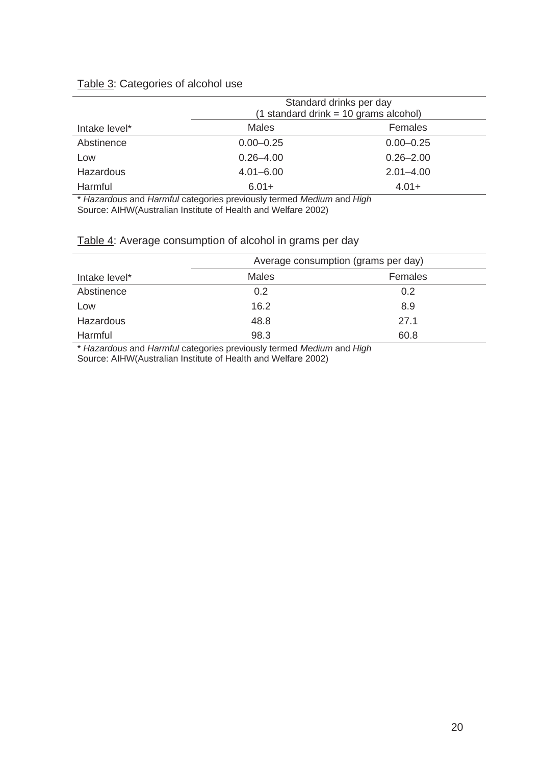# Table 3: Categories of alcohol use

|                  |               | Standard drinks per day<br>$(1$ standard drink = 10 grams alcohol) |
|------------------|---------------|--------------------------------------------------------------------|
| Intake level*    | <b>Males</b>  | Females                                                            |
| Abstinence       | $0.00 - 0.25$ | $0.00 - 0.25$                                                      |
| Low              | $0.26 - 4.00$ | $0.26 - 2.00$                                                      |
| <b>Hazardous</b> | $4.01 - 6.00$ | $2.01 - 4.00$                                                      |
| Harmful          | $6.01 +$      | $4.01 +$                                                           |

\* *Hazardous* and *Harmful* categories previously termed *Medium* and *High* Source: AIHW(Australian Institute of Health and Welfare 2002)

## Table 4: Average consumption of alcohol in grams per day

|               |              | Average consumption (grams per day) |
|---------------|--------------|-------------------------------------|
| Intake level* | <b>Males</b> | Females                             |
| Abstinence    | 0.2          | 0.2                                 |
| Low           | 16.2         | 8.9                                 |
| Hazardous     | 48.8         | 27.1                                |
| Harmful       | 98.3         | 60.8                                |

\* *Hazardous* and *Harmful* categories previously termed *Medium* and *High* Source: AIHW(Australian Institute of Health and Welfare 2002)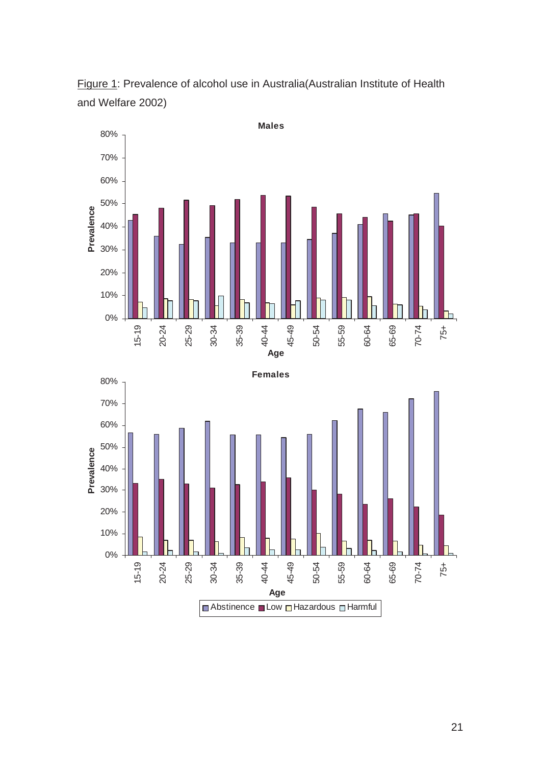

Figure 1: Prevalence of alcohol use in Australia(Australian Institute of Health and Welfare 2002)

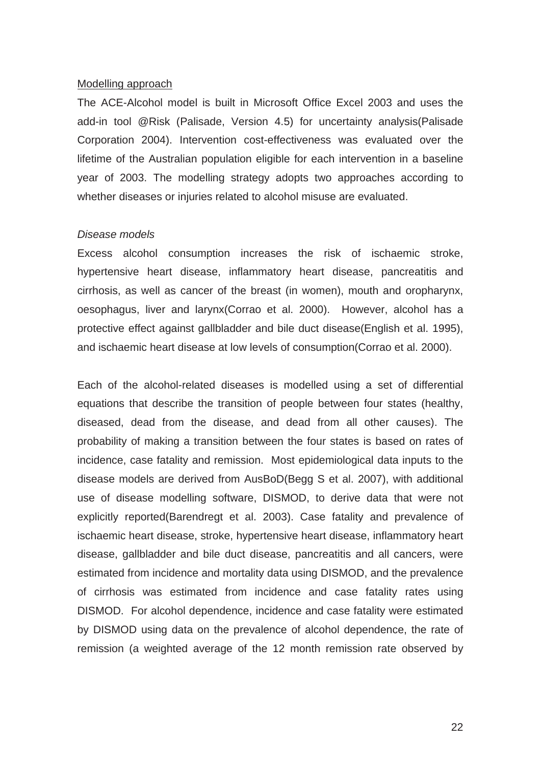#### Modelling approach

The ACE-Alcohol model is built in Microsoft Office Excel 2003 and uses the add-in tool @Risk (Palisade, Version 4.5) for uncertainty analysis(Palisade Corporation 2004). Intervention cost-effectiveness was evaluated over the lifetime of the Australian population eligible for each intervention in a baseline year of 2003. The modelling strategy adopts two approaches according to whether diseases or injuries related to alcohol misuse are evaluated.

#### *Disease models*

Excess alcohol consumption increases the risk of ischaemic stroke, hypertensive heart disease, inflammatory heart disease, pancreatitis and cirrhosis, as well as cancer of the breast (in women), mouth and oropharynx, oesophagus, liver and larynx(Corrao et al. 2000). However, alcohol has a protective effect against gallbladder and bile duct disease(English et al. 1995), and ischaemic heart disease at low levels of consumption(Corrao et al. 2000).

Each of the alcohol-related diseases is modelled using a set of differential equations that describe the transition of people between four states (healthy, diseased, dead from the disease, and dead from all other causes). The probability of making a transition between the four states is based on rates of incidence, case fatality and remission. Most epidemiological data inputs to the disease models are derived from AusBoD(Begg S et al. 2007), with additional use of disease modelling software, DISMOD, to derive data that were not explicitly reported(Barendregt et al. 2003). Case fatality and prevalence of ischaemic heart disease, stroke, hypertensive heart disease, inflammatory heart disease, gallbladder and bile duct disease, pancreatitis and all cancers, were estimated from incidence and mortality data using DISMOD, and the prevalence of cirrhosis was estimated from incidence and case fatality rates using DISMOD. For alcohol dependence, incidence and case fatality were estimated by DISMOD using data on the prevalence of alcohol dependence, the rate of remission (a weighted average of the 12 month remission rate observed by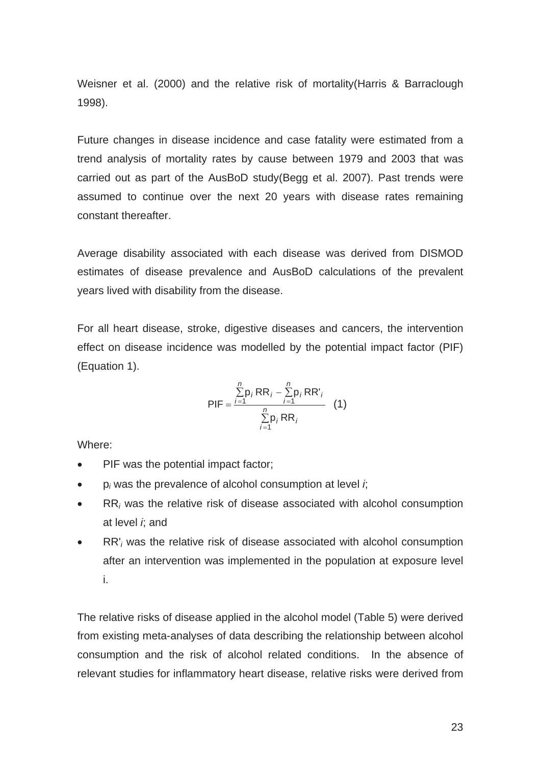Weisner et al. (2000) and the relative risk of mortality(Harris & Barraclough 1998).

Future changes in disease incidence and case fatality were estimated from a trend analysis of mortality rates by cause between 1979 and 2003 that was carried out as part of the AusBoD study(Begg et al. 2007). Past trends were assumed to continue over the next 20 years with disease rates remaining constant thereafter.

Average disability associated with each disease was derived from DISMOD estimates of disease prevalence and AusBoD calculations of the prevalent years lived with disability from the disease.

For all heart disease, stroke, digestive diseases and cancers, the intervention effect on disease incidence was modelled by the potential impact factor (PIF) (Equation 1).

PIF = 
$$
\frac{\sum_{i=1}^{n} p_i RR_i - \sum_{i=1}^{n} p_i RR_i}{\sum_{i=1}^{n} p_i RR_i}
$$
 (1)

Where:

- PIF was the potential impact factor:
- $\bullet$  p<sub>i</sub> was the prevalence of alcohol consumption at level *i*;
- x RR*i* was the relative risk of disease associated with alcohol consumption at level *i*; and
- x RR'*i* was the relative risk of disease associated with alcohol consumption after an intervention was implemented in the population at exposure level i.

The relative risks of disease applied in the alcohol model (Table 5) were derived from existing meta-analyses of data describing the relationship between alcohol consumption and the risk of alcohol related conditions. In the absence of relevant studies for inflammatory heart disease, relative risks were derived from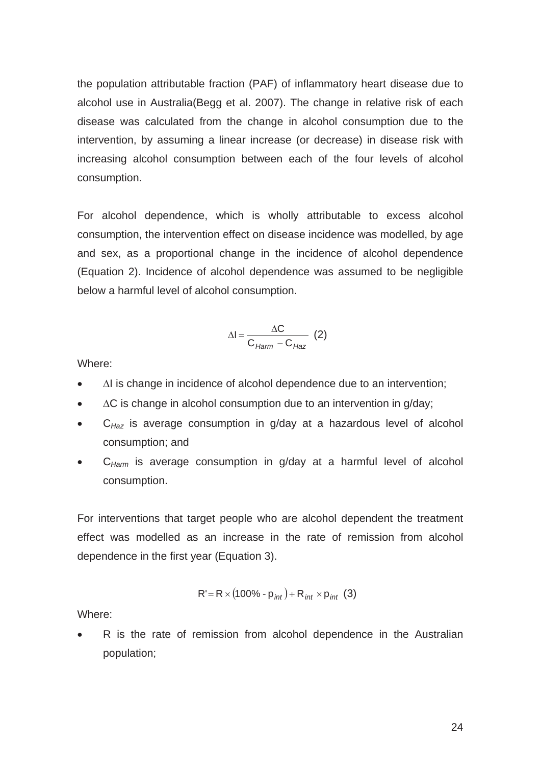the population attributable fraction (PAF) of inflammatory heart disease due to alcohol use in Australia(Begg et al. 2007). The change in relative risk of each disease was calculated from the change in alcohol consumption due to the intervention, by assuming a linear increase (or decrease) in disease risk with increasing alcohol consumption between each of the four levels of alcohol consumption.

For alcohol dependence, which is wholly attributable to excess alcohol consumption, the intervention effect on disease incidence was modelled, by age and sex, as a proportional change in the incidence of alcohol dependence (Equation 2). Incidence of alcohol dependence was assumed to be negligible below a harmful level of alcohol consumption.

$$
\Delta I = \frac{\Delta C}{C_{Harm} - C_{Haz}} \quad (2)
$$

Where:

- $\Delta I$  is change in incidence of alcohol dependence due to an intervention;
- $\Delta C$  is change in alcohol consumption due to an intervention in g/day;
- x C*Haz* is average consumption in g/day at a hazardous level of alcohol consumption; and
- x C*Harm* is average consumption in g/day at a harmful level of alcohol consumption.

For interventions that target people who are alcohol dependent the treatment effect was modelled as an increase in the rate of remission from alcohol dependence in the first year (Equation 3).

$$
R' = R \times (100\% - p_{int}) + R_{int} \times p_{int} (3)
$$

Where:

R is the rate of remission from alcohol dependence in the Australian population;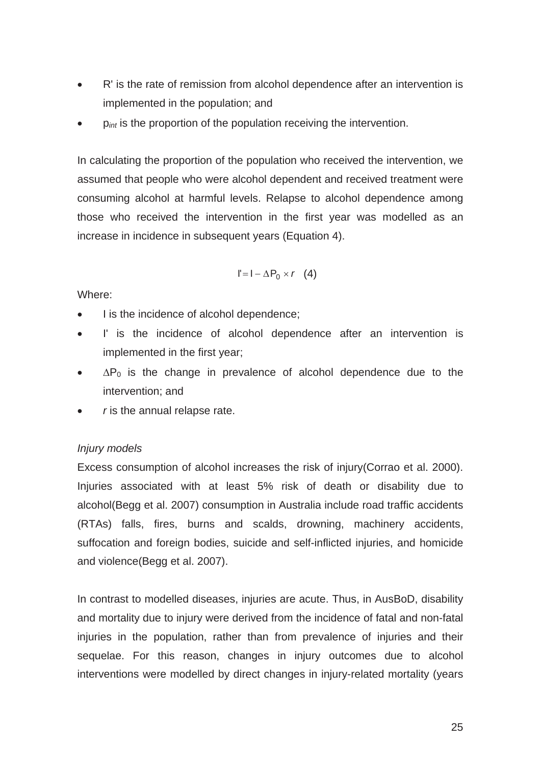- R' is the rate of remission from alcohol dependence after an intervention is implemented in the population; and
- $p_{\text{int}}$  is the proportion of the population receiving the intervention.

In calculating the proportion of the population who received the intervention, we assumed that people who were alcohol dependent and received treatment were consuming alcohol at harmful levels. Relapse to alcohol dependence among those who received the intervention in the first year was modelled as an increase in incidence in subsequent years (Equation 4).

$$
I' = I - \Delta P_0 \times r \quad (4)
$$

Where:

- I is the incidence of alcohol dependence;
- I' is the incidence of alcohol dependence after an intervention is implemented in the first year;
- $\bullet$   $\Delta P_0$  is the change in prevalence of alcohol dependence due to the intervention; and
- *r* is the annual relapse rate.

## *Injury models*

Excess consumption of alcohol increases the risk of injury(Corrao et al. 2000). Injuries associated with at least 5% risk of death or disability due to alcohol(Begg et al. 2007) consumption in Australia include road traffic accidents (RTAs) falls, fires, burns and scalds, drowning, machinery accidents, suffocation and foreign bodies, suicide and self-inflicted injuries, and homicide and violence(Begg et al. 2007).

In contrast to modelled diseases, injuries are acute. Thus, in AusBoD, disability and mortality due to injury were derived from the incidence of fatal and non-fatal injuries in the population, rather than from prevalence of injuries and their sequelae. For this reason, changes in injury outcomes due to alcohol interventions were modelled by direct changes in injury-related mortality (years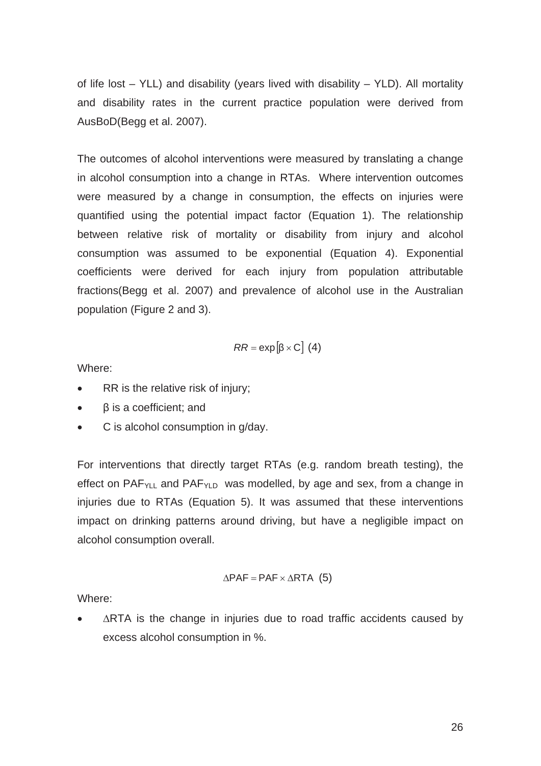of life lost  $-$  YLL) and disability (years lived with disability  $-$  YLD). All mortality and disability rates in the current practice population were derived from AusBoD(Begg et al. 2007).

The outcomes of alcohol interventions were measured by translating a change in alcohol consumption into a change in RTAs. Where intervention outcomes were measured by a change in consumption, the effects on injuries were quantified using the potential impact factor (Equation 1). The relationship between relative risk of mortality or disability from injury and alcohol consumption was assumed to be exponential (Equation 4). Exponential coefficients were derived for each injury from population attributable fractions(Begg et al. 2007) and prevalence of alcohol use in the Australian population (Figure 2 and 3).

$$
RR = \exp[\beta \times C] \ (4)
$$

Where:

- RR is the relative risk of injury;
- $\bullet$   $\beta$  is a coefficient; and
- $\bullet$  C is alcohol consumption in g/day.

For interventions that directly target RTAs (e.g. random breath testing), the effect on PAF<sub>YLL</sub> and PAF<sub>YLD</sub> was modelled, by age and sex, from a change in injuries due to RTAs (Equation 5). It was assumed that these interventions impact on drinking patterns around driving, but have a negligible impact on alcohol consumption overall.

$$
\Delta PAF = PAF \times \Delta RTA
$$
 (5)

Where:

 $\triangle$ RTA is the change in injuries due to road traffic accidents caused by excess alcohol consumption in %.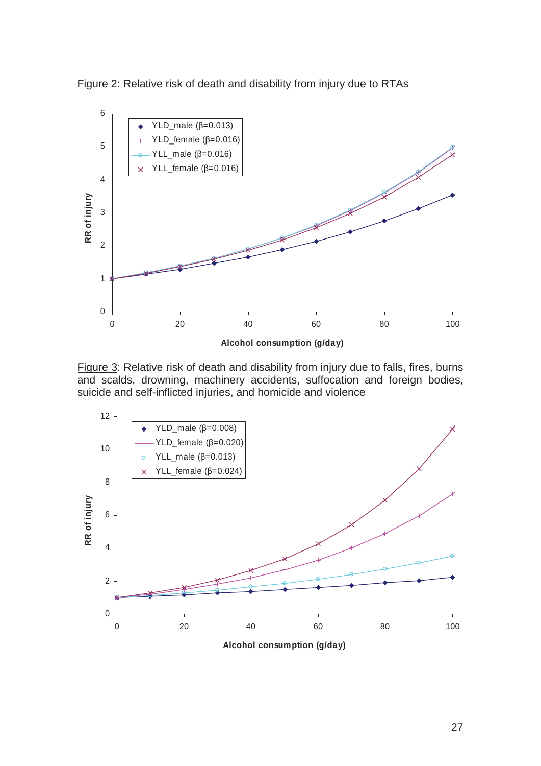



Figure 3: Relative risk of death and disability from injury due to falls, fires, burns and scalds, drowning, machinery accidents, suffocation and foreign bodies, suicide and self-inflicted injuries, and homicide and violence

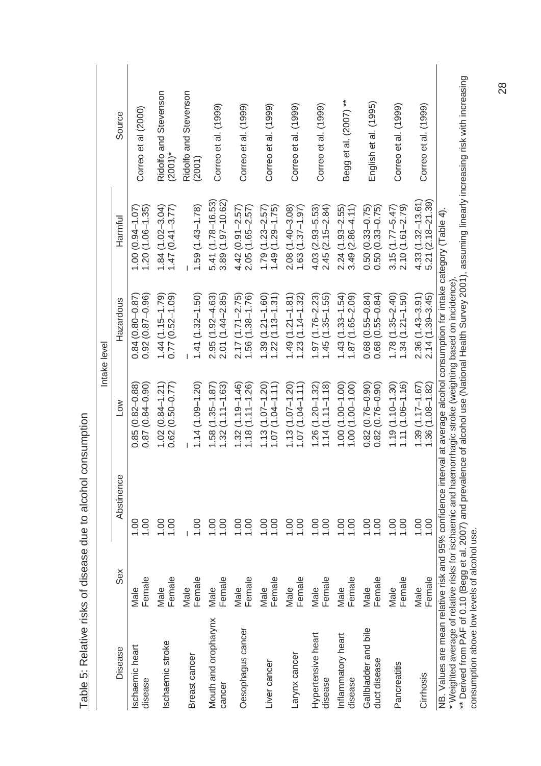|                                                                                                                                                                            |                |              |                                                    | Intake level                               |                                              |                                                                                                                                                                                                                                   |
|----------------------------------------------------------------------------------------------------------------------------------------------------------------------------|----------------|--------------|----------------------------------------------------|--------------------------------------------|----------------------------------------------|-----------------------------------------------------------------------------------------------------------------------------------------------------------------------------------------------------------------------------------|
| Disease                                                                                                                                                                    | Sex            | Abstinence   | NOT                                                | Hazardous                                  | Harmful                                      | Source                                                                                                                                                                                                                            |
| <b>Ischaemic</b> heart<br>disease                                                                                                                                          | Female<br>Male | 1.00<br>1.00 | $0.87(0.84 - 0.90)$<br>$(0.82 - 0.88)$<br>0.85     | $0.92(0.87 - 0.96)$<br>$0.84(0.80 - 0.87)$ | $1.20(1.06 - 1.35)$<br>$1.00(0.94 - 1.07)$   | Correo et al (2000)                                                                                                                                                                                                               |
| schaemic stroke                                                                                                                                                            | Female<br>Male | 00.1<br>1.00 | $1.02(0.84 - 1.21)$<br>$0.62(0.50 - 0.77)$         | $1.44(1.15-1.79)$<br>$0.77(0.52 - 1.09)$   | $1.84(1.02 - 3.04)$<br>$1.47(0.41 - 3.77)$   | Ridolfo and Stevenson<br>$(2001)^*$                                                                                                                                                                                               |
| Breast cancer                                                                                                                                                              | Female<br>Male | 00.1         | $1.14(1.09 - 1.20)$                                | $1.41(1.32 - 1.50)$                        | $1.59(1.43 - 1.78)$                          | Ridolfo and Stevenson<br>(2001)                                                                                                                                                                                                   |
| Mouth and oropharynx<br>cancer                                                                                                                                             | Female<br>Male | 00.1<br>00.1 | $(1.35 - 1.87)$<br>$(1.11 - 1.63)$<br>1.58<br>1.32 | $2.95(1.92 - 4.63)$<br>$2.01(1.44 - 2.85)$ | 5.41 (1.78-16.53)<br>3.89 (1.97-10.62)       | Correo et al. (1999)                                                                                                                                                                                                              |
| Oesophagus cancer                                                                                                                                                          | Female<br>Male | 1.00<br>00.1 | $(1.19 - 1.46)$<br>$1.18(1.11 - 1.26)$<br>1.32     | $2.17(1.71 - 2.75)$<br>$1.56(1.38 - 1.76)$ | $2.05(1.65 - 2.57)$<br>$4.42(0.91 - 2.57)$   | Correo et al. (1999)                                                                                                                                                                                                              |
| Liver cancer                                                                                                                                                               | Female<br>Male | 00.1<br>0.01 | $(1.07 - 1.20)$<br>$(1.04 - 1.11)$<br>1.07<br>1.13 | $1.39(1.21 - 1.60)$<br>$1.22(1.13 - 1.31)$ | $1.49(1.29 - 1.75)$<br>$1.79(1.23 - 2.57)$   | Correo et al. (1999)                                                                                                                                                                                                              |
| Larynx cancer                                                                                                                                                              | Female<br>Male | 00.1<br>00.1 | $1.13(1.07 - 1.20)$<br>$(1.04 - 1.11)$<br>1.07     | $1.49(1.21 - 1.81)$<br>$1.23(1.14 - 1.32)$ | $2.08(1.40 - 3.08)$<br>$1.63(1.37 - 1.97)$   | Correo et al. (1999)                                                                                                                                                                                                              |
| Hypertensive heart<br>disease                                                                                                                                              | Female<br>Male | 1.00<br>00.1 | $(1.20 - 1.32)$<br>$1.14(1.11 - 1.18)$<br>1.26     | $1.97(1.76 - 2.23)$<br>$1.45(1.35 - 1.55)$ | $2.45(2.15 - 2.84)$<br>$4.03(2.93 - 5.53)$   | Correo et al. (1999)                                                                                                                                                                                                              |
| Inflammatory heart<br>disease                                                                                                                                              | Female<br>Male | 00.1<br>0.00 | $1.00(1.00-1.00)$<br>$1.00(1.00 - 1.00)$           | $1.43(1.33 - 1.54)$<br>$1.87(1.65 - 2.09)$ | $3.49(2.86 - 4.11)$<br>$2.24(1.93 - 2.55)$   | Begg et al. (2007) **                                                                                                                                                                                                             |
| Gallbladder and bile<br>duct disease                                                                                                                                       | Female<br>Male | 1.00<br>00.1 | $(0.76 - 0.90)$<br>$0.82(0.76 - 0.90)$<br>0.82     | $0.68(0.55 - 0.84)$<br>$0.68(0.55 - 0.84)$ | $0.50(0.33 - 0.75)$<br>$0.50(0.33 - 0.75)$   | English et al. (1995)                                                                                                                                                                                                             |
| Pancreatitis                                                                                                                                                               | Female<br>Male | 1.00<br>00.1 | $1.19(1.10 - 1.30)$<br>$1.11(1.06 - 1.16)$         | $1.78(1.35 - 2.40)$<br>$1.34(1.21 - 1.50)$ | $3.15(1.77 - 5.47)$<br>$2.10(1.61 - 2.79)$   | Correo et al. (1999)                                                                                                                                                                                                              |
| Cirrhosis                                                                                                                                                                  | Female<br>Male | 0.00<br>00.1 | $1.39(1.17 - 1.67)$<br>$1.36(1.08 - 1.82)$         | $2.36(1.43 - 3.91)$<br>$2.14(1.39 - 3.45)$ | $4.33(1.32 - 13.61)$<br>$5.21(2.18 - 21.39)$ | Correo et al. (1999)                                                                                                                                                                                                              |
| NB. Values are mean relative risk and 95% confidence interval at average alcohol consumption for intake category (Table 4)<br>consumption above low levels of alcohol use. |                |              |                                                    |                                            |                                              | * Weighted average of relative risks for ischaemic and haemorrhagic stroke (weighting based on incidence).<br>** Derived from PAF of 0.10 (Begg et al. 2007) and prevalence of alcohol use (National Health Survey 2001), assumin |

Table 5: Relative risks of disease due to alcohol consumption Table 5: Relative risks of disease due to alcohol consumption

28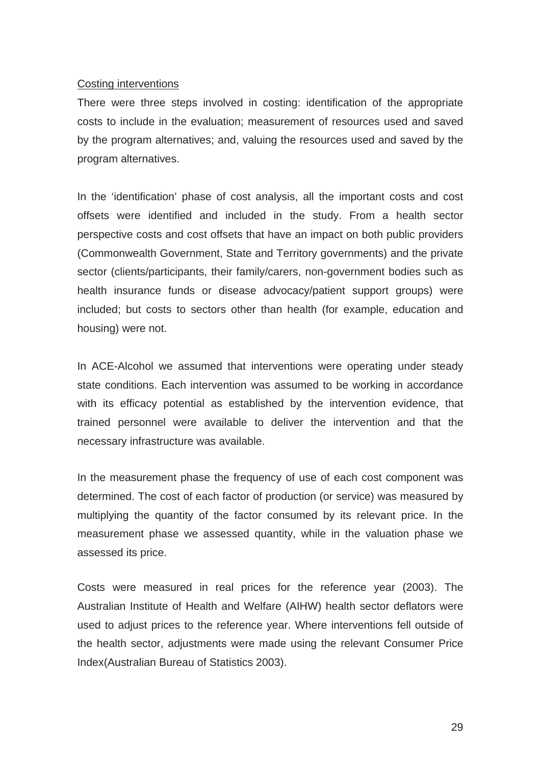### Costing interventions

There were three steps involved in costing: identification of the appropriate costs to include in the evaluation; measurement of resources used and saved by the program alternatives; and, valuing the resources used and saved by the program alternatives.

In the 'identification' phase of cost analysis, all the important costs and cost offsets were identified and included in the study. From a health sector perspective costs and cost offsets that have an impact on both public providers (Commonwealth Government, State and Territory governments) and the private sector (clients/participants, their family/carers, non-government bodies such as health insurance funds or disease advocacy/patient support groups) were included; but costs to sectors other than health (for example, education and housing) were not.

In ACE-Alcohol we assumed that interventions were operating under steady state conditions. Each intervention was assumed to be working in accordance with its efficacy potential as established by the intervention evidence, that trained personnel were available to deliver the intervention and that the necessary infrastructure was available.

In the measurement phase the frequency of use of each cost component was determined. The cost of each factor of production (or service) was measured by multiplying the quantity of the factor consumed by its relevant price. In the measurement phase we assessed quantity, while in the valuation phase we assessed its price.

Costs were measured in real prices for the reference year (2003). The Australian Institute of Health and Welfare (AIHW) health sector deflators were used to adjust prices to the reference year. Where interventions fell outside of the health sector, adjustments were made using the relevant Consumer Price Index(Australian Bureau of Statistics 2003).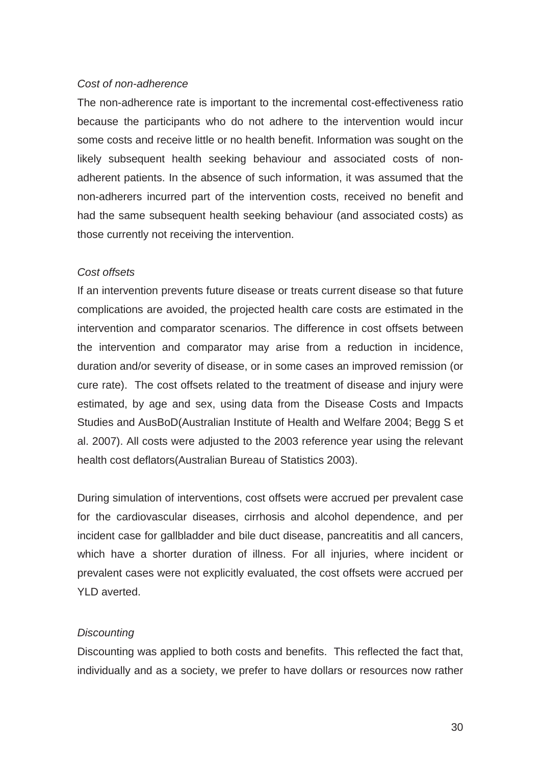### *Cost of non-adherence*

The non-adherence rate is important to the incremental cost-effectiveness ratio because the participants who do not adhere to the intervention would incur some costs and receive little or no health benefit. Information was sought on the likely subsequent health seeking behaviour and associated costs of nonadherent patients. In the absence of such information, it was assumed that the non-adherers incurred part of the intervention costs, received no benefit and had the same subsequent health seeking behaviour (and associated costs) as those currently not receiving the intervention.

### *Cost offsets*

If an intervention prevents future disease or treats current disease so that future complications are avoided, the projected health care costs are estimated in the intervention and comparator scenarios. The difference in cost offsets between the intervention and comparator may arise from a reduction in incidence, duration and/or severity of disease, or in some cases an improved remission (or cure rate). The cost offsets related to the treatment of disease and injury were estimated, by age and sex, using data from the Disease Costs and Impacts Studies and AusBoD(Australian Institute of Health and Welfare 2004; Begg S et al. 2007). All costs were adjusted to the 2003 reference year using the relevant health cost deflators(Australian Bureau of Statistics 2003).

During simulation of interventions, cost offsets were accrued per prevalent case for the cardiovascular diseases, cirrhosis and alcohol dependence, and per incident case for gallbladder and bile duct disease, pancreatitis and all cancers, which have a shorter duration of illness. For all injuries, where incident or prevalent cases were not explicitly evaluated, the cost offsets were accrued per YLD averted.

## *Discounting*

Discounting was applied to both costs and benefits. This reflected the fact that, individually and as a society, we prefer to have dollars or resources now rather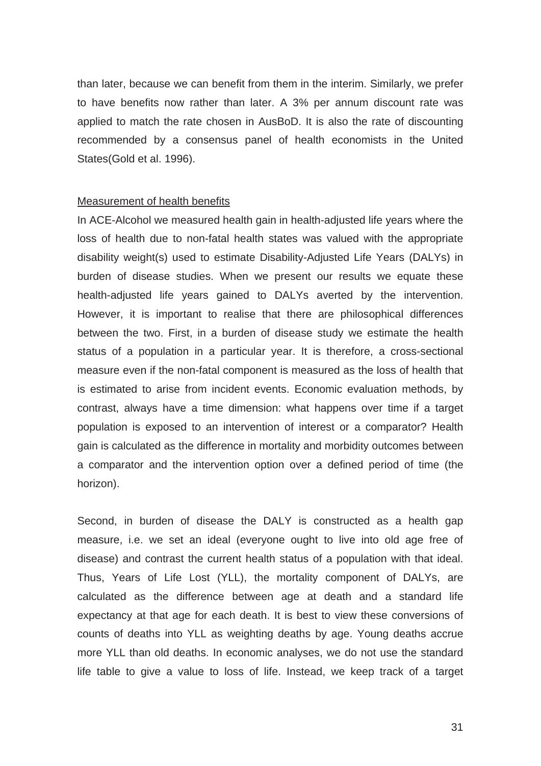than later, because we can benefit from them in the interim. Similarly, we prefer to have benefits now rather than later. A 3% per annum discount rate was applied to match the rate chosen in AusBoD. It is also the rate of discounting recommended by a consensus panel of health economists in the United States(Gold et al. 1996).

#### Measurement of health benefits

In ACE-Alcohol we measured health gain in health-adjusted life years where the loss of health due to non-fatal health states was valued with the appropriate disability weight(s) used to estimate Disability-Adjusted Life Years (DALYs) in burden of disease studies. When we present our results we equate these health-adjusted life years gained to DALYs averted by the intervention. However, it is important to realise that there are philosophical differences between the two. First, in a burden of disease study we estimate the health status of a population in a particular year. It is therefore, a cross-sectional measure even if the non-fatal component is measured as the loss of health that is estimated to arise from incident events. Economic evaluation methods, by contrast, always have a time dimension: what happens over time if a target population is exposed to an intervention of interest or a comparator? Health gain is calculated as the difference in mortality and morbidity outcomes between a comparator and the intervention option over a defined period of time (the horizon).

Second, in burden of disease the DALY is constructed as a health gap measure, i.e. we set an ideal (everyone ought to live into old age free of disease) and contrast the current health status of a population with that ideal. Thus, Years of Life Lost (YLL), the mortality component of DALYs, are calculated as the difference between age at death and a standard life expectancy at that age for each death. It is best to view these conversions of counts of deaths into YLL as weighting deaths by age. Young deaths accrue more YLL than old deaths. In economic analyses, we do not use the standard life table to give a value to loss of life. Instead, we keep track of a target

31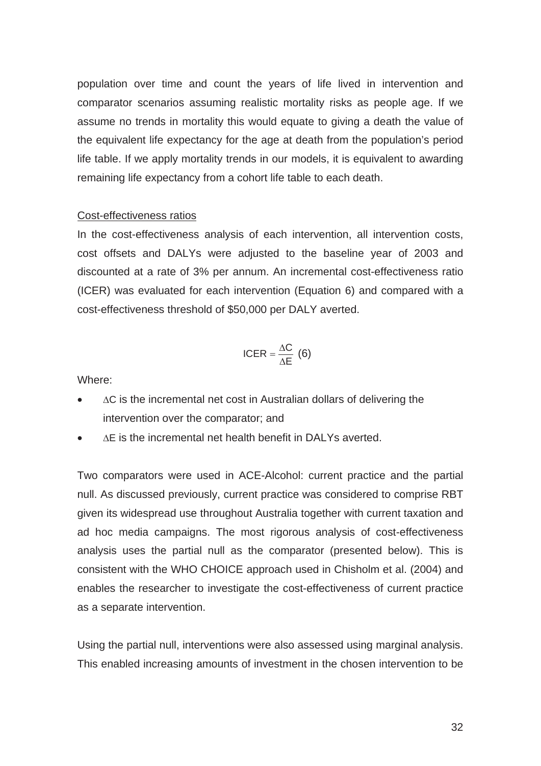population over time and count the years of life lived in intervention and comparator scenarios assuming realistic mortality risks as people age. If we assume no trends in mortality this would equate to giving a death the value of the equivalent life expectancy for the age at death from the population's period life table. If we apply mortality trends in our models, it is equivalent to awarding remaining life expectancy from a cohort life table to each death.

### Cost-effectiveness ratios

In the cost-effectiveness analysis of each intervention, all intervention costs, cost offsets and DALYs were adjusted to the baseline year of 2003 and discounted at a rate of 3% per annum. An incremental cost-effectiveness ratio (ICER) was evaluated for each intervention (Equation 6) and compared with a cost-effectiveness threshold of \$50,000 per DALY averted.

$$
ICER = \frac{\Delta C}{\Delta E} (6)
$$

Where:

- $\Delta C$  is the incremental net cost in Australian dollars of delivering the intervention over the comparator; and
- $\Delta$ E is the incremental net health benefit in DALYs averted.

Two comparators were used in ACE-Alcohol: current practice and the partial null. As discussed previously, current practice was considered to comprise RBT given its widespread use throughout Australia together with current taxation and ad hoc media campaigns. The most rigorous analysis of cost-effectiveness analysis uses the partial null as the comparator (presented below). This is consistent with the WHO CHOICE approach used in Chisholm et al. (2004) and enables the researcher to investigate the cost-effectiveness of current practice as a separate intervention.

Using the partial null, interventions were also assessed using marginal analysis. This enabled increasing amounts of investment in the chosen intervention to be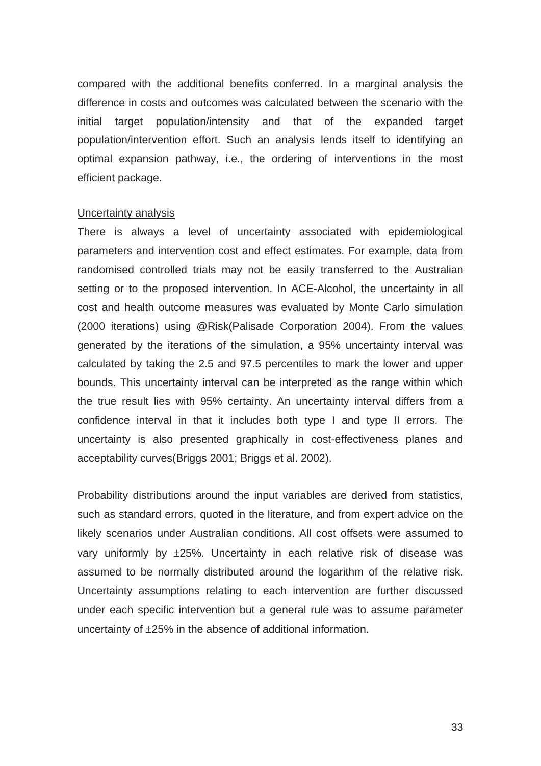compared with the additional benefits conferred. In a marginal analysis the difference in costs and outcomes was calculated between the scenario with the initial target population/intensity and that of the expanded target population/intervention effort. Such an analysis lends itself to identifying an optimal expansion pathway, i.e., the ordering of interventions in the most efficient package.

#### Uncertainty analysis

There is always a level of uncertainty associated with epidemiological parameters and intervention cost and effect estimates. For example, data from randomised controlled trials may not be easily transferred to the Australian setting or to the proposed intervention. In ACE-Alcohol, the uncertainty in all cost and health outcome measures was evaluated by Monte Carlo simulation (2000 iterations) using @Risk(Palisade Corporation 2004). From the values generated by the iterations of the simulation, a 95% uncertainty interval was calculated by taking the 2.5 and 97.5 percentiles to mark the lower and upper bounds. This uncertainty interval can be interpreted as the range within which the true result lies with 95% certainty. An uncertainty interval differs from a confidence interval in that it includes both type I and type II errors. The uncertainty is also presented graphically in cost-effectiveness planes and acceptability curves(Briggs 2001; Briggs et al. 2002).

Probability distributions around the input variables are derived from statistics, such as standard errors, quoted in the literature, and from expert advice on the likely scenarios under Australian conditions. All cost offsets were assumed to vary uniformly by  $\pm 25$ %. Uncertainty in each relative risk of disease was assumed to be normally distributed around the logarithm of the relative risk. Uncertainty assumptions relating to each intervention are further discussed under each specific intervention but a general rule was to assume parameter uncertainty of  $\pm$ 25% in the absence of additional information.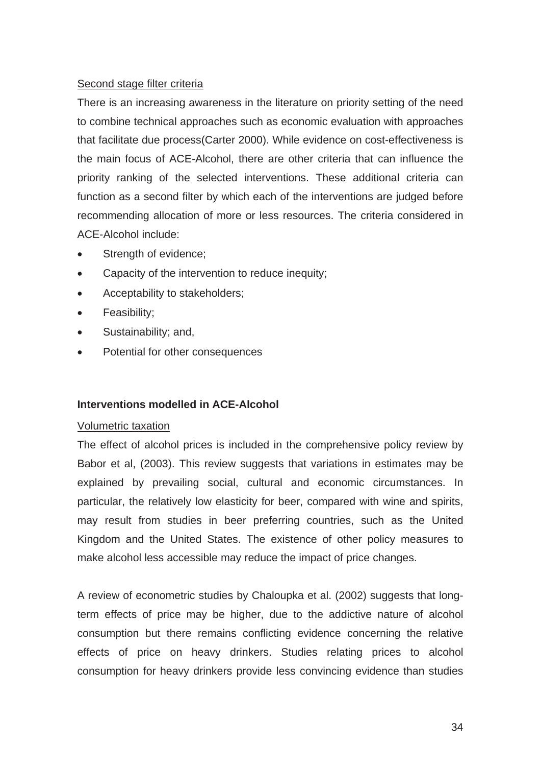# Second stage filter criteria

There is an increasing awareness in the literature on priority setting of the need to combine technical approaches such as economic evaluation with approaches that facilitate due process(Carter 2000). While evidence on cost-effectiveness is the main focus of ACE-Alcohol, there are other criteria that can influence the priority ranking of the selected interventions. These additional criteria can function as a second filter by which each of the interventions are judged before recommending allocation of more or less resources. The criteria considered in ACE-Alcohol include:

- Strength of evidence;
- Capacity of the intervention to reduce inequity;
- Acceptability to stakeholders;
- Feasibility;
- Sustainability; and,
- Potential for other consequences

# **Interventions modelled in ACE-Alcohol**

# Volumetric taxation

The effect of alcohol prices is included in the comprehensive policy review by Babor et al, (2003). This review suggests that variations in estimates may be explained by prevailing social, cultural and economic circumstances. In particular, the relatively low elasticity for beer, compared with wine and spirits, may result from studies in beer preferring countries, such as the United Kingdom and the United States. The existence of other policy measures to make alcohol less accessible may reduce the impact of price changes.

A review of econometric studies by Chaloupka et al. (2002) suggests that longterm effects of price may be higher, due to the addictive nature of alcohol consumption but there remains conflicting evidence concerning the relative effects of price on heavy drinkers. Studies relating prices to alcohol consumption for heavy drinkers provide less convincing evidence than studies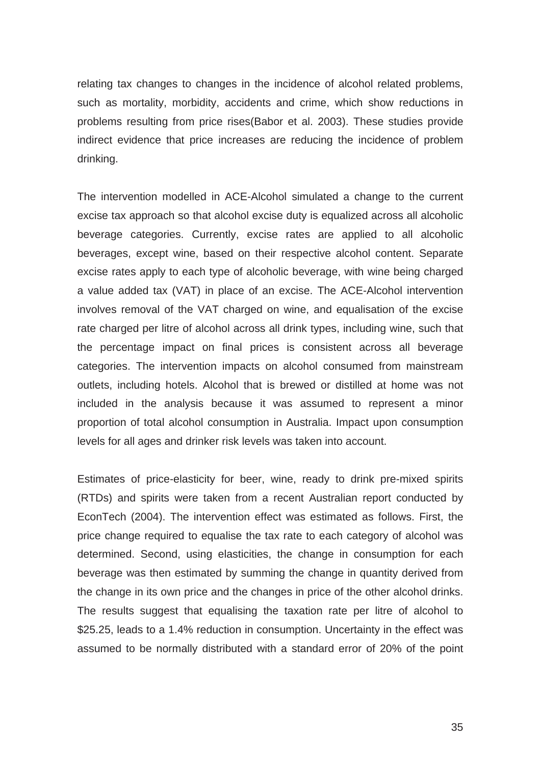relating tax changes to changes in the incidence of alcohol related problems, such as mortality, morbidity, accidents and crime, which show reductions in problems resulting from price rises(Babor et al. 2003). These studies provide indirect evidence that price increases are reducing the incidence of problem drinking.

The intervention modelled in ACE-Alcohol simulated a change to the current excise tax approach so that alcohol excise duty is equalized across all alcoholic beverage categories. Currently, excise rates are applied to all alcoholic beverages, except wine, based on their respective alcohol content. Separate excise rates apply to each type of alcoholic beverage, with wine being charged a value added tax (VAT) in place of an excise. The ACE-Alcohol intervention involves removal of the VAT charged on wine, and equalisation of the excise rate charged per litre of alcohol across all drink types, including wine, such that the percentage impact on final prices is consistent across all beverage categories. The intervention impacts on alcohol consumed from mainstream outlets, including hotels. Alcohol that is brewed or distilled at home was not included in the analysis because it was assumed to represent a minor proportion of total alcohol consumption in Australia. Impact upon consumption levels for all ages and drinker risk levels was taken into account.

Estimates of price-elasticity for beer, wine, ready to drink pre-mixed spirits (RTDs) and spirits were taken from a recent Australian report conducted by EconTech (2004). The intervention effect was estimated as follows. First, the price change required to equalise the tax rate to each category of alcohol was determined. Second, using elasticities, the change in consumption for each beverage was then estimated by summing the change in quantity derived from the change in its own price and the changes in price of the other alcohol drinks. The results suggest that equalising the taxation rate per litre of alcohol to \$25.25, leads to a 1.4% reduction in consumption. Uncertainty in the effect was assumed to be normally distributed with a standard error of 20% of the point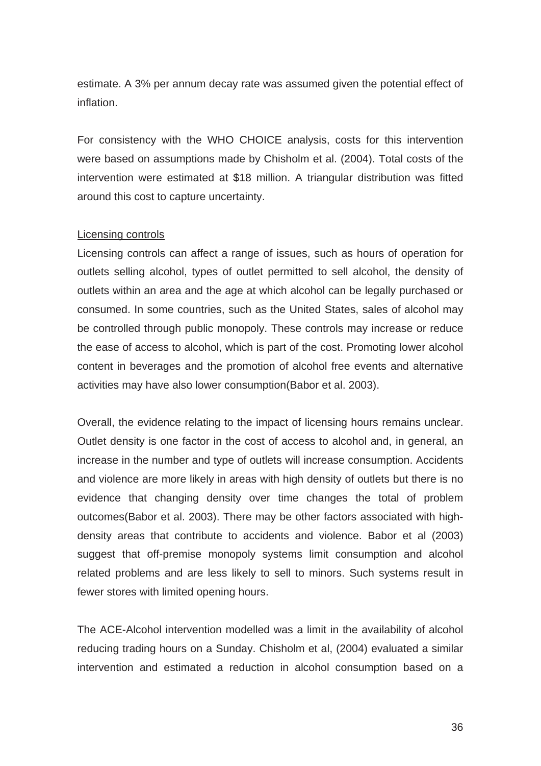estimate. A 3% per annum decay rate was assumed given the potential effect of inflation.

For consistency with the WHO CHOICE analysis, costs for this intervention were based on assumptions made by Chisholm et al. (2004). Total costs of the intervention were estimated at \$18 million. A triangular distribution was fitted around this cost to capture uncertainty.

## Licensing controls

Licensing controls can affect a range of issues, such as hours of operation for outlets selling alcohol, types of outlet permitted to sell alcohol, the density of outlets within an area and the age at which alcohol can be legally purchased or consumed. In some countries, such as the United States, sales of alcohol may be controlled through public monopoly. These controls may increase or reduce the ease of access to alcohol, which is part of the cost. Promoting lower alcohol content in beverages and the promotion of alcohol free events and alternative activities may have also lower consumption(Babor et al. 2003).

Overall, the evidence relating to the impact of licensing hours remains unclear. Outlet density is one factor in the cost of access to alcohol and, in general, an increase in the number and type of outlets will increase consumption. Accidents and violence are more likely in areas with high density of outlets but there is no evidence that changing density over time changes the total of problem outcomes(Babor et al. 2003). There may be other factors associated with highdensity areas that contribute to accidents and violence. Babor et al (2003) suggest that off-premise monopoly systems limit consumption and alcohol related problems and are less likely to sell to minors. Such systems result in fewer stores with limited opening hours.

The ACE-Alcohol intervention modelled was a limit in the availability of alcohol reducing trading hours on a Sunday. Chisholm et al, (2004) evaluated a similar intervention and estimated a reduction in alcohol consumption based on a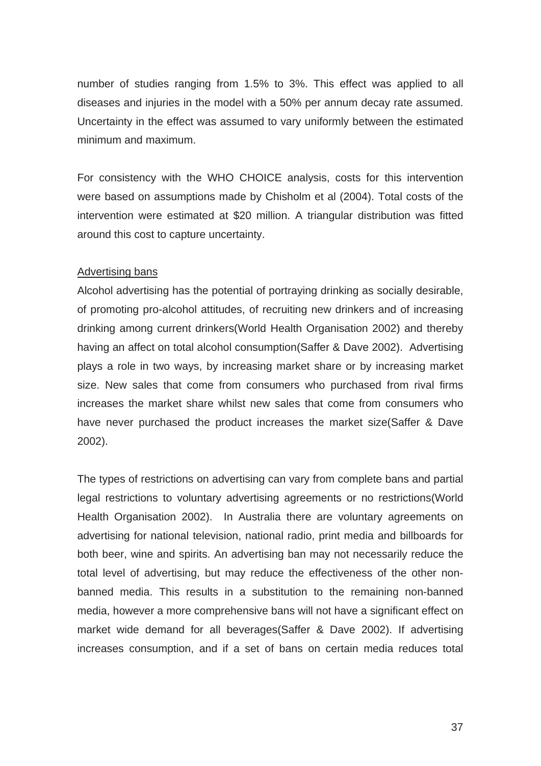number of studies ranging from 1.5% to 3%. This effect was applied to all diseases and injuries in the model with a 50% per annum decay rate assumed. Uncertainty in the effect was assumed to vary uniformly between the estimated minimum and maximum.

For consistency with the WHO CHOICE analysis, costs for this intervention were based on assumptions made by Chisholm et al (2004). Total costs of the intervention were estimated at \$20 million. A triangular distribution was fitted around this cost to capture uncertainty.

# Advertising bans

Alcohol advertising has the potential of portraying drinking as socially desirable, of promoting pro-alcohol attitudes, of recruiting new drinkers and of increasing drinking among current drinkers(World Health Organisation 2002) and thereby having an affect on total alcohol consumption(Saffer & Dave 2002). Advertising plays a role in two ways, by increasing market share or by increasing market size. New sales that come from consumers who purchased from rival firms increases the market share whilst new sales that come from consumers who have never purchased the product increases the market size(Saffer & Dave 2002).

The types of restrictions on advertising can vary from complete bans and partial legal restrictions to voluntary advertising agreements or no restrictions(World Health Organisation 2002). In Australia there are voluntary agreements on advertising for national television, national radio, print media and billboards for both beer, wine and spirits. An advertising ban may not necessarily reduce the total level of advertising, but may reduce the effectiveness of the other nonbanned media. This results in a substitution to the remaining non-banned media, however a more comprehensive bans will not have a significant effect on market wide demand for all beverages(Saffer & Dave 2002). If advertising increases consumption, and if a set of bans on certain media reduces total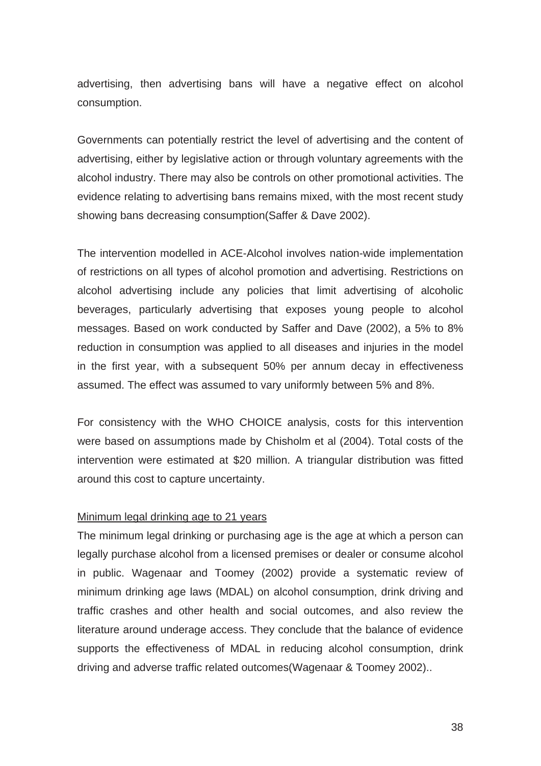advertising, then advertising bans will have a negative effect on alcohol consumption.

Governments can potentially restrict the level of advertising and the content of advertising, either by legislative action or through voluntary agreements with the alcohol industry. There may also be controls on other promotional activities. The evidence relating to advertising bans remains mixed, with the most recent study showing bans decreasing consumption(Saffer & Dave 2002).

The intervention modelled in ACE-Alcohol involves nation-wide implementation of restrictions on all types of alcohol promotion and advertising. Restrictions on alcohol advertising include any policies that limit advertising of alcoholic beverages, particularly advertising that exposes young people to alcohol messages. Based on work conducted by Saffer and Dave (2002), a 5% to 8% reduction in consumption was applied to all diseases and injuries in the model in the first year, with a subsequent 50% per annum decay in effectiveness assumed. The effect was assumed to vary uniformly between 5% and 8%.

For consistency with the WHO CHOICE analysis, costs for this intervention were based on assumptions made by Chisholm et al (2004). Total costs of the intervention were estimated at \$20 million. A triangular distribution was fitted around this cost to capture uncertainty.

# Minimum legal drinking age to 21 years

The minimum legal drinking or purchasing age is the age at which a person can legally purchase alcohol from a licensed premises or dealer or consume alcohol in public. Wagenaar and Toomey (2002) provide a systematic review of minimum drinking age laws (MDAL) on alcohol consumption, drink driving and traffic crashes and other health and social outcomes, and also review the literature around underage access. They conclude that the balance of evidence supports the effectiveness of MDAL in reducing alcohol consumption, drink driving and adverse traffic related outcomes(Wagenaar & Toomey 2002)..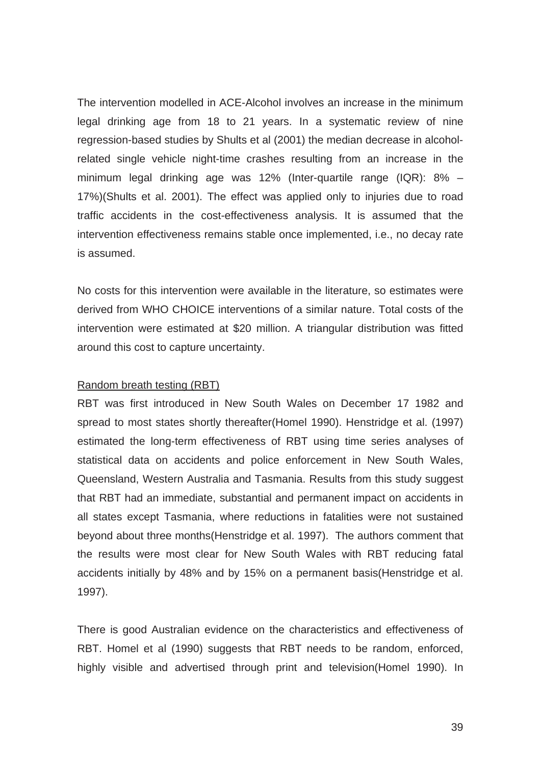The intervention modelled in ACE-Alcohol involves an increase in the minimum legal drinking age from 18 to 21 years. In a systematic review of nine regression-based studies by Shults et al (2001) the median decrease in alcoholrelated single vehicle night-time crashes resulting from an increase in the minimum legal drinking age was 12% (Inter-quartile range (IQR): 8% – 17%)(Shults et al. 2001). The effect was applied only to injuries due to road traffic accidents in the cost-effectiveness analysis. It is assumed that the intervention effectiveness remains stable once implemented, i.e., no decay rate is assumed.

No costs for this intervention were available in the literature, so estimates were derived from WHO CHOICE interventions of a similar nature. Total costs of the intervention were estimated at \$20 million. A triangular distribution was fitted around this cost to capture uncertainty.

### Random breath testing (RBT)

RBT was first introduced in New South Wales on December 17 1982 and spread to most states shortly thereafter(Homel 1990). Henstridge et al. (1997) estimated the long-term effectiveness of RBT using time series analyses of statistical data on accidents and police enforcement in New South Wales, Queensland, Western Australia and Tasmania. Results from this study suggest that RBT had an immediate, substantial and permanent impact on accidents in all states except Tasmania, where reductions in fatalities were not sustained beyond about three months(Henstridge et al. 1997). The authors comment that the results were most clear for New South Wales with RBT reducing fatal accidents initially by 48% and by 15% on a permanent basis(Henstridge et al. 1997).

There is good Australian evidence on the characteristics and effectiveness of RBT. Homel et al (1990) suggests that RBT needs to be random, enforced, highly visible and advertised through print and television(Homel 1990). In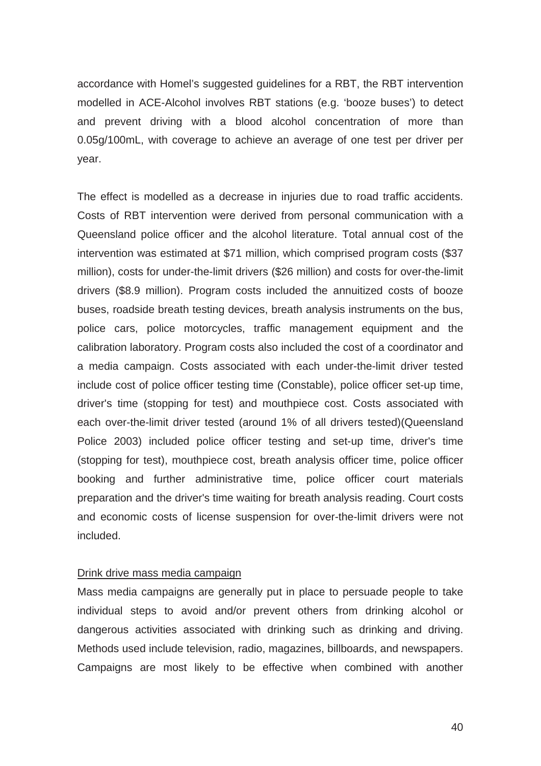accordance with Homel's suggested guidelines for a RBT, the RBT intervention modelled in ACE-Alcohol involves RBT stations (e.g. 'booze buses') to detect and prevent driving with a blood alcohol concentration of more than 0.05g/100mL, with coverage to achieve an average of one test per driver per year.

The effect is modelled as a decrease in injuries due to road traffic accidents. Costs of RBT intervention were derived from personal communication with a Queensland police officer and the alcohol literature. Total annual cost of the intervention was estimated at \$71 million, which comprised program costs (\$37 million), costs for under-the-limit drivers (\$26 million) and costs for over-the-limit drivers (\$8.9 million). Program costs included the annuitized costs of booze buses, roadside breath testing devices, breath analysis instruments on the bus, police cars, police motorcycles, traffic management equipment and the calibration laboratory. Program costs also included the cost of a coordinator and a media campaign. Costs associated with each under-the-limit driver tested include cost of police officer testing time (Constable), police officer set-up time, driver's time (stopping for test) and mouthpiece cost. Costs associated with each over-the-limit driver tested (around 1% of all drivers tested)(Queensland Police 2003) included police officer testing and set-up time, driver's time (stopping for test), mouthpiece cost, breath analysis officer time, police officer booking and further administrative time, police officer court materials preparation and the driver's time waiting for breath analysis reading. Court costs and economic costs of license suspension for over-the-limit drivers were not included.

## Drink drive mass media campaign

Mass media campaigns are generally put in place to persuade people to take individual steps to avoid and/or prevent others from drinking alcohol or dangerous activities associated with drinking such as drinking and driving. Methods used include television, radio, magazines, billboards, and newspapers. Campaigns are most likely to be effective when combined with another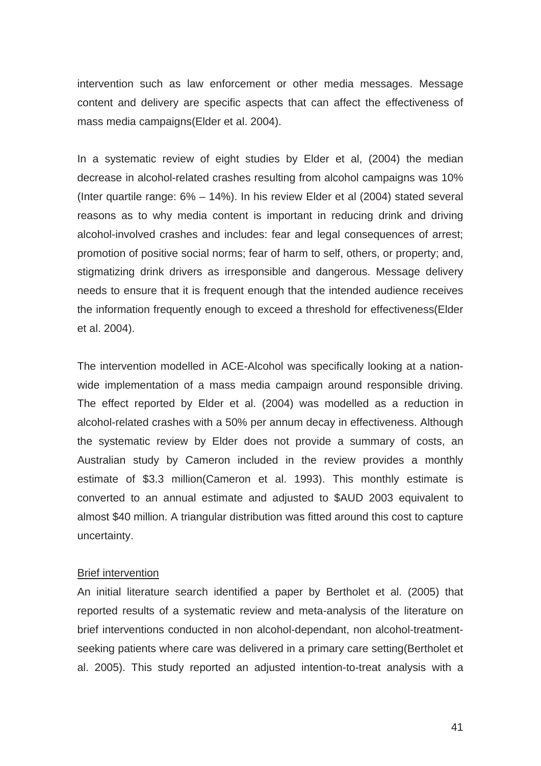intervention such as law enforcement or other media messages. Message content and delivery are specific aspects that can affect the effectiveness of mass media campaigns(Elder et al. 2004).

In a systematic review of eight studies by Elder et al, (2004) the median decrease in alcohol-related crashes resulting from alcohol campaigns was 10% (Inter quartile range: 6% – 14%). In his review Elder et al (2004) stated several reasons as to why media content is important in reducing drink and driving alcohol-involved crashes and includes: fear and legal consequences of arrest; promotion of positive social norms; fear of harm to self, others, or property; and, stigmatizing drink drivers as irresponsible and dangerous. Message delivery needs to ensure that it is frequent enough that the intended audience receives the information frequently enough to exceed a threshold for effectiveness(Elder et al. 2004).

The intervention modelled in ACE-Alcohol was specifically looking at a nationwide implementation of a mass media campaign around responsible driving. The effect reported by Elder et al. (2004) was modelled as a reduction in alcohol-related crashes with a 50% per annum decay in effectiveness. Although the systematic review by Elder does not provide a summary of costs, an Australian study by Cameron included in the review provides a monthly estimate of \$3.3 million(Cameron et al. 1993). This monthly estimate is converted to an annual estimate and adjusted to \$AUD 2003 equivalent to almost \$40 million. A triangular distribution was fitted around this cost to capture uncertainty.

### Brief intervention

An initial literature search identified a paper by Bertholet et al. (2005) that reported results of a systematic review and meta-analysis of the literature on brief interventions conducted in non alcohol-dependant, non alcohol-treatmentseeking patients where care was delivered in a primary care setting(Bertholet et al. 2005). This study reported an adjusted intention-to-treat analysis with a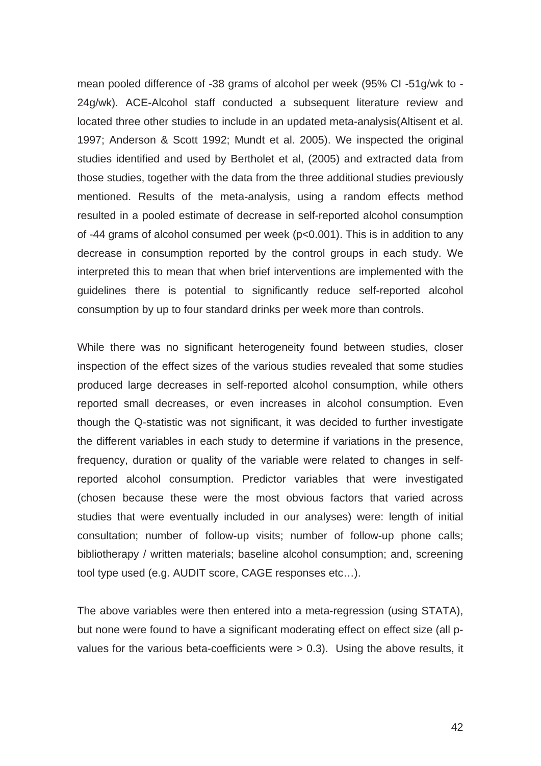mean pooled difference of -38 grams of alcohol per week (95% CI -51g/wk to - 24g/wk). ACE-Alcohol staff conducted a subsequent literature review and located three other studies to include in an updated meta-analysis(Altisent et al. 1997; Anderson & Scott 1992; Mundt et al. 2005). We inspected the original studies identified and used by Bertholet et al, (2005) and extracted data from those studies, together with the data from the three additional studies previously mentioned. Results of the meta-analysis, using a random effects method resulted in a pooled estimate of decrease in self-reported alcohol consumption of -44 grams of alcohol consumed per week (p<0.001). This is in addition to any decrease in consumption reported by the control groups in each study. We interpreted this to mean that when brief interventions are implemented with the guidelines there is potential to significantly reduce self-reported alcohol consumption by up to four standard drinks per week more than controls.

While there was no significant heterogeneity found between studies, closer inspection of the effect sizes of the various studies revealed that some studies produced large decreases in self-reported alcohol consumption, while others reported small decreases, or even increases in alcohol consumption. Even though the Q-statistic was not significant, it was decided to further investigate the different variables in each study to determine if variations in the presence, frequency, duration or quality of the variable were related to changes in selfreported alcohol consumption. Predictor variables that were investigated (chosen because these were the most obvious factors that varied across studies that were eventually included in our analyses) were: length of initial consultation; number of follow-up visits; number of follow-up phone calls; bibliotherapy / written materials; baseline alcohol consumption; and, screening tool type used (e.g. AUDIT score, CAGE responses etc…).

The above variables were then entered into a meta-regression (using STATA), but none were found to have a significant moderating effect on effect size (all pvalues for the various beta-coefficients were > 0.3). Using the above results, it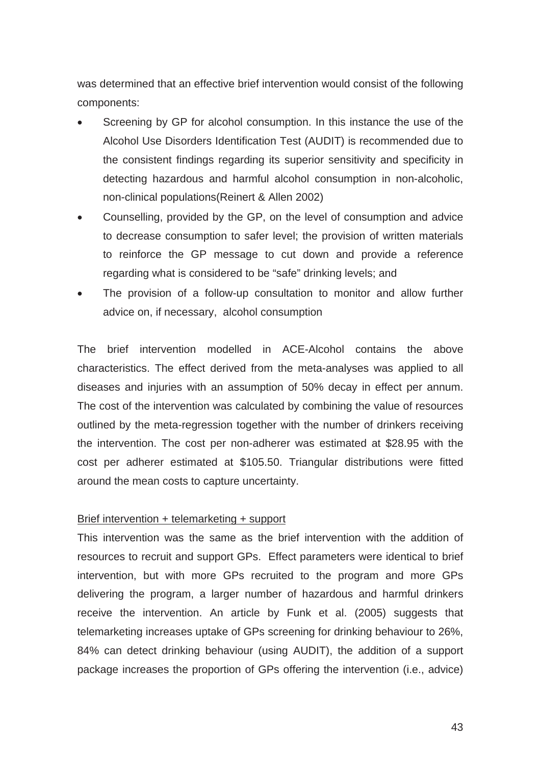was determined that an effective brief intervention would consist of the following components:

- Screening by GP for alcohol consumption. In this instance the use of the Alcohol Use Disorders Identification Test (AUDIT) is recommended due to the consistent findings regarding its superior sensitivity and specificity in detecting hazardous and harmful alcohol consumption in non-alcoholic, non-clinical populations(Reinert & Allen 2002)
- Counselling, provided by the GP, on the level of consumption and advice to decrease consumption to safer level; the provision of written materials to reinforce the GP message to cut down and provide a reference regarding what is considered to be "safe" drinking levels; and
- The provision of a follow-up consultation to monitor and allow further advice on, if necessary, alcohol consumption

The brief intervention modelled in ACE-Alcohol contains the above characteristics. The effect derived from the meta-analyses was applied to all diseases and injuries with an assumption of 50% decay in effect per annum. The cost of the intervention was calculated by combining the value of resources outlined by the meta-regression together with the number of drinkers receiving the intervention. The cost per non-adherer was estimated at \$28.95 with the cost per adherer estimated at \$105.50. Triangular distributions were fitted around the mean costs to capture uncertainty.

# Brief intervention + telemarketing + support

This intervention was the same as the brief intervention with the addition of resources to recruit and support GPs. Effect parameters were identical to brief intervention, but with more GPs recruited to the program and more GPs delivering the program, a larger number of hazardous and harmful drinkers receive the intervention. An article by Funk et al. (2005) suggests that telemarketing increases uptake of GPs screening for drinking behaviour to 26%, 84% can detect drinking behaviour (using AUDIT), the addition of a support package increases the proportion of GPs offering the intervention (i.e., advice)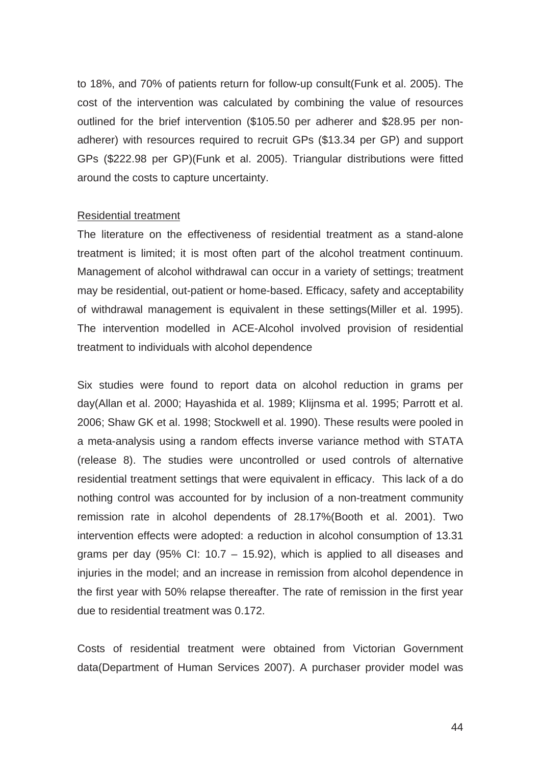to 18%, and 70% of patients return for follow-up consult(Funk et al. 2005). The cost of the intervention was calculated by combining the value of resources outlined for the brief intervention (\$105.50 per adherer and \$28.95 per nonadherer) with resources required to recruit GPs (\$13.34 per GP) and support GPs (\$222.98 per GP)(Funk et al. 2005). Triangular distributions were fitted around the costs to capture uncertainty.

### Residential treatment

The literature on the effectiveness of residential treatment as a stand-alone treatment is limited; it is most often part of the alcohol treatment continuum. Management of alcohol withdrawal can occur in a variety of settings; treatment may be residential, out-patient or home-based. Efficacy, safety and acceptability of withdrawal management is equivalent in these settings(Miller et al. 1995). The intervention modelled in ACE-Alcohol involved provision of residential treatment to individuals with alcohol dependence

Six studies were found to report data on alcohol reduction in grams per day(Allan et al. 2000; Hayashida et al. 1989; Klijnsma et al. 1995; Parrott et al. 2006; Shaw GK et al. 1998; Stockwell et al. 1990). These results were pooled in a meta-analysis using a random effects inverse variance method with STATA (release 8). The studies were uncontrolled or used controls of alternative residential treatment settings that were equivalent in efficacy. This lack of a do nothing control was accounted for by inclusion of a non-treatment community remission rate in alcohol dependents of 28.17%(Booth et al. 2001). Two intervention effects were adopted: a reduction in alcohol consumption of 13.31 grams per day (95% CI:  $10.7 - 15.92$ ), which is applied to all diseases and injuries in the model; and an increase in remission from alcohol dependence in the first year with 50% relapse thereafter. The rate of remission in the first year due to residential treatment was 0.172.

Costs of residential treatment were obtained from Victorian Government data(Department of Human Services 2007). A purchaser provider model was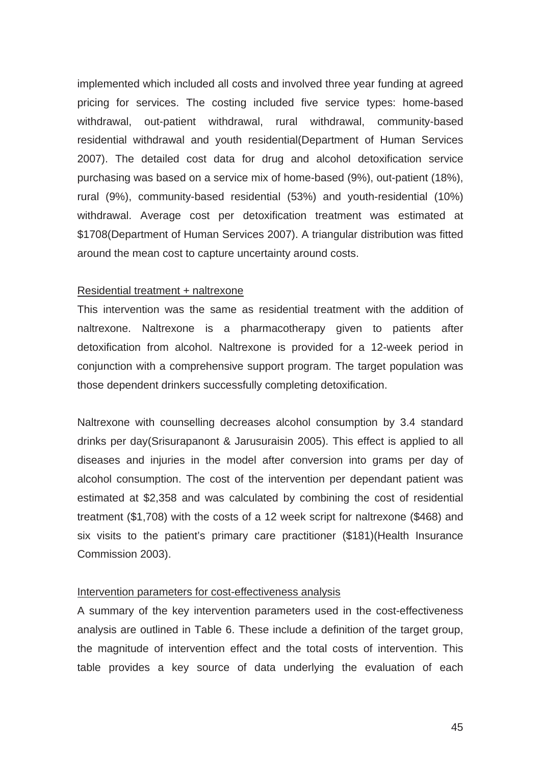implemented which included all costs and involved three year funding at agreed pricing for services. The costing included five service types: home-based withdrawal, out-patient withdrawal, rural withdrawal, community-based residential withdrawal and youth residential(Department of Human Services 2007). The detailed cost data for drug and alcohol detoxification service purchasing was based on a service mix of home-based (9%), out-patient (18%), rural (9%), community-based residential (53%) and youth-residential (10%) withdrawal. Average cost per detoxification treatment was estimated at \$1708(Department of Human Services 2007). A triangular distribution was fitted around the mean cost to capture uncertainty around costs.

#### Residential treatment + naltrexone

This intervention was the same as residential treatment with the addition of naltrexone. Naltrexone is a pharmacotherapy given to patients after detoxification from alcohol. Naltrexone is provided for a 12-week period in conjunction with a comprehensive support program. The target population was those dependent drinkers successfully completing detoxification.

Naltrexone with counselling decreases alcohol consumption by 3.4 standard drinks per day(Srisurapanont & Jarusuraisin 2005). This effect is applied to all diseases and injuries in the model after conversion into grams per day of alcohol consumption. The cost of the intervention per dependant patient was estimated at \$2,358 and was calculated by combining the cost of residential treatment (\$1,708) with the costs of a 12 week script for naltrexone (\$468) and six visits to the patient's primary care practitioner (\$181)(Health Insurance Commission 2003).

## Intervention parameters for cost-effectiveness analysis

A summary of the key intervention parameters used in the cost-effectiveness analysis are outlined in Table 6. These include a definition of the target group, the magnitude of intervention effect and the total costs of intervention. This table provides a key source of data underlying the evaluation of each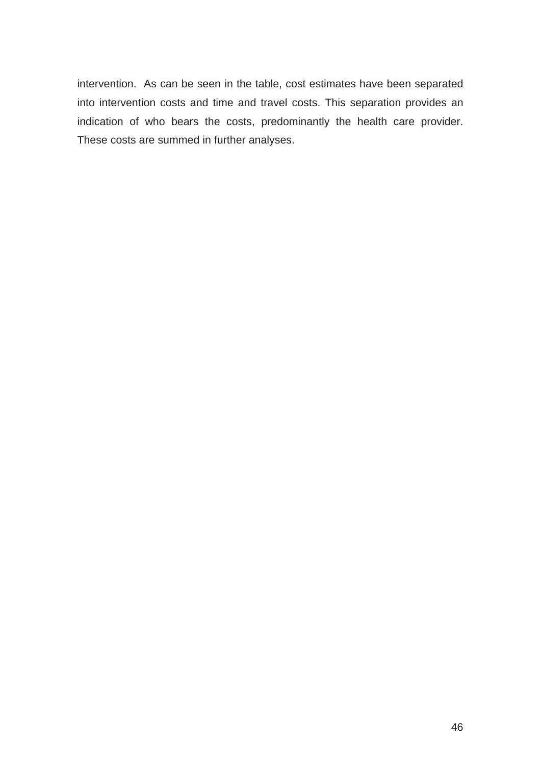intervention. As can be seen in the table, cost estimates have been separated into intervention costs and time and travel costs. This separation provides an indication of who bears the costs, predominantly the health care provider. These costs are summed in further analyses.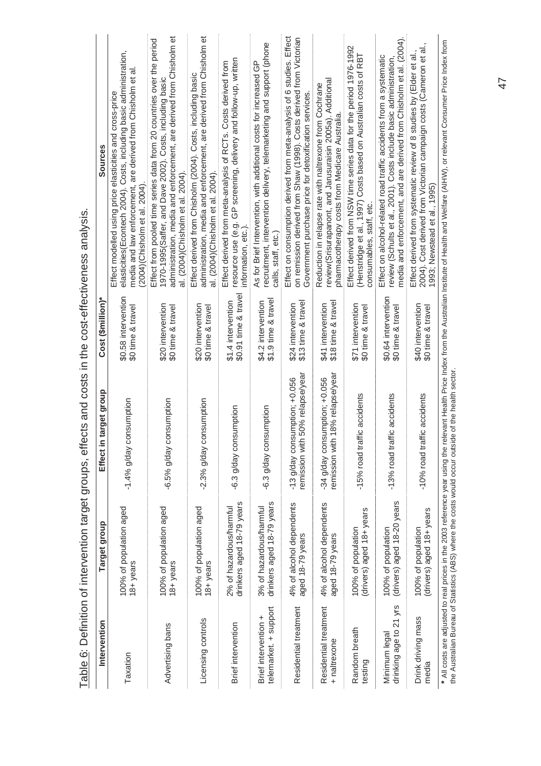|                                               |                                                      | I apie o: Definition of Intervention target groups, effects and costs in the cost-effectiveness analysis |                                            |                                                                                                                                                                                                                                               |
|-----------------------------------------------|------------------------------------------------------|----------------------------------------------------------------------------------------------------------|--------------------------------------------|-----------------------------------------------------------------------------------------------------------------------------------------------------------------------------------------------------------------------------------------------|
| Intervention                                  | Target group                                         | target group<br>Effect in                                                                                | Cost (\$million)*                          | Sources                                                                                                                                                                                                                                       |
| Taxation                                      | 100% of population aged<br>18+ years                 | -1.4% g/day consumption                                                                                  | \$0.58 intervention<br>\$0 time & travel   | elasticities(Econtech 2004). Costs, including basic administration,<br>media and law enforcement, are derived from Chisholm et al<br>Effect modelled using price elasticities and cross-price<br>(2004)(Chisholm et al. 2004)                 |
| Advertising bans                              | 100% of population aged<br>18+ years                 | -6.5% g/day consumption                                                                                  | \$20 intervention<br>\$0 time & travel     | administration, media and enforcement, are derived from Chisholm et<br>Effect from pooled time series data from 20 countries over the period<br>1970-1995(Saffer, and Dave 2002). Costs, including basic<br>al. (2004)(Chisholm et al. 2004). |
| Licensing controls                            | 100% of population aged<br>18+ years                 | -2.3% g/day consumption                                                                                  | \$20 intervention<br>\$0 time & travel     | administration, media and enforcement, are derived from Chisholm et<br>Effect derived from Chisholm (2004). Costs, including basic<br>al. (2004)(Chisholm et al. 2004)                                                                        |
| Brief intervention                            | drinkers aged 18-79 years<br>2% of hazardous/harmful | -6.3 g/day consumption                                                                                   | \$0.91 time & travel<br>\$1.4 intervention | resource use (e.g. GP screening, delivery and follow-up, written<br>Effect derived from meta-analysis of RCTs. Costs derived from<br>nformation, etc.).                                                                                       |
| telemarket. + support<br>Brief intervention + | drinkers aged 18-79 years<br>3% of hazardous/harmful | -6.3 g/day consumption                                                                                   | \$1.9 time & trave<br>\$4.2 intervention   | recruitment, intervention delivery, telemarketing and support (phone<br>As for Brief Intervention, with additional costs for increased GP<br>calls, staff, etc.)                                                                              |
| Residential treatment                         | 4% of alcohol dependents<br>aged 18-79 years         | 50% relapse/year<br>-13 g/day consumption; +0.056<br>remission with                                      | \$13 time & travel<br>\$24 intervention    | Effect on consumption derived from meta-analysis of 6 studies. Effect<br>on remission derived from Shaw (1998). Costs derived from Victorian<br>Government purchase price for detoxification services.                                        |
| Residential treatment<br>+ naltrexone         | 4% of alcohol dependents<br>aged 18-79 years         | 18% relapse/year<br>-34 g/day consumption; +0.056<br>remission with                                      | \$18 time & travel<br>\$41 intervention    | review(Srisurapanont, and Jarusuraisin 2005a). Additional<br>Reduction in relapse rate with naltrexone from Cochrane<br>pharmacotherapy costs from Medicare Australia.                                                                        |
| Random breath<br>testing                      | drivers) aged 18+years<br>100% of population         | -15% road traffic accidents                                                                              | \$71 intervention<br>\$0 time & travel     | Effect derived from NSW time series data for the period 1976-1992<br>(Henstridge et al., 1997) Costs based on Australian costs of RBT<br>consumables, staff, etc.                                                                             |
| drinking age to 21 yrs<br>Minimum legal       | drivers) aged 18-20 years<br>100% of population      | -13% road traffic accidents                                                                              | \$0.64 intervention<br>\$0 time & travel   | media and enforcement, and are derived from Chisholm et al. (2004).<br>Effect on alcohol-related road traffic accidents from a systematic<br>review (Schults et al., 2001). Costs include basic administration                                |
| Drink driving mass<br>media                   | drivers) aged 18+ years<br>100% of population        | -10% road traffic accidents                                                                              | \$40 intervention<br>\$0 time & travel     | 2004). Cost derived from Victorian campaign costs (Cameron et al.,<br>Effect derived from systematic review of 8 studies by (Elder et al.,<br>1993; Newstead et al., 1995)                                                                    |
|                                               |                                                      | the Australian Bureau of Statistics (ABS) where the costs would occur outside of the health sector.      |                                            | * All costs are adjusted to real prices in the 2003 reference year using the relevant Health Price Index from the Australian Institute of Health and Welfare (AIHW), or relevant Consumer Price Index from                                    |

Table 6: Definition of intervention target groups, effects and costs in the cost-effectiveness analysis. ا.<br>ا j Ę  $\ddot{t}$  $\div$  $\ddot{t}$ Ń Ĥ ر<br>دادانه  $\frac{4}{1 + i}$ ć ċ  $Tohol$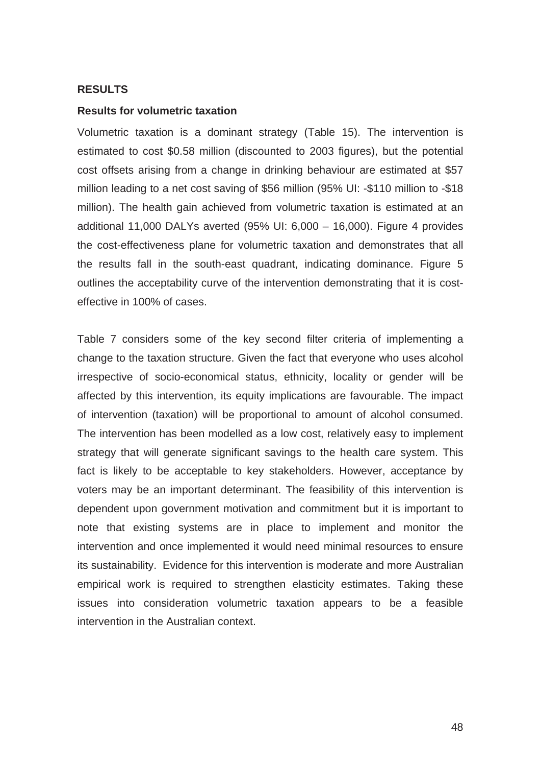## **RESULTS**

## **Results for volumetric taxation**

Volumetric taxation is a dominant strategy (Table 15). The intervention is estimated to cost \$0.58 million (discounted to 2003 figures), but the potential cost offsets arising from a change in drinking behaviour are estimated at \$57 million leading to a net cost saving of \$56 million (95% UI: -\$110 million to -\$18 million). The health gain achieved from volumetric taxation is estimated at an additional 11,000 DALYs averted (95% UI: 6,000 – 16,000). Figure 4 provides the cost-effectiveness plane for volumetric taxation and demonstrates that all the results fall in the south-east quadrant, indicating dominance. Figure 5 outlines the acceptability curve of the intervention demonstrating that it is costeffective in 100% of cases.

Table 7 considers some of the key second filter criteria of implementing a change to the taxation structure. Given the fact that everyone who uses alcohol irrespective of socio-economical status, ethnicity, locality or gender will be affected by this intervention, its equity implications are favourable. The impact of intervention (taxation) will be proportional to amount of alcohol consumed. The intervention has been modelled as a low cost, relatively easy to implement strategy that will generate significant savings to the health care system. This fact is likely to be acceptable to key stakeholders. However, acceptance by voters may be an important determinant. The feasibility of this intervention is dependent upon government motivation and commitment but it is important to note that existing systems are in place to implement and monitor the intervention and once implemented it would need minimal resources to ensure its sustainability. Evidence for this intervention is moderate and more Australian empirical work is required to strengthen elasticity estimates. Taking these issues into consideration volumetric taxation appears to be a feasible intervention in the Australian context.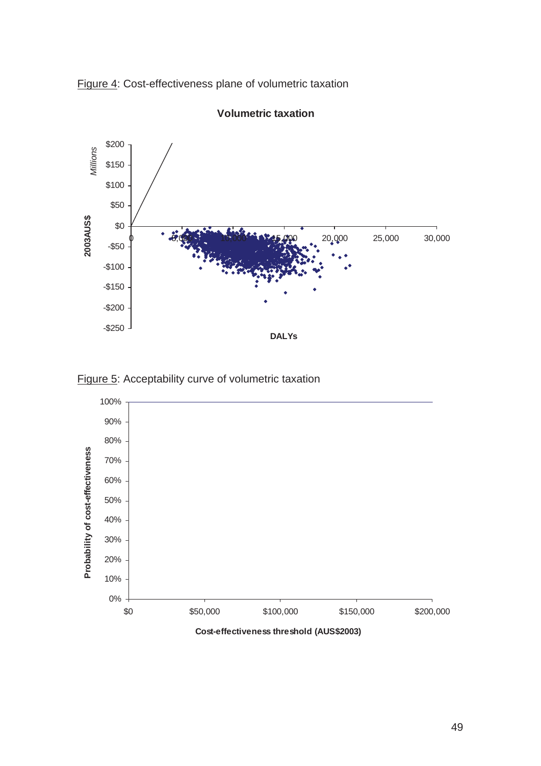



**Volumetric taxation**



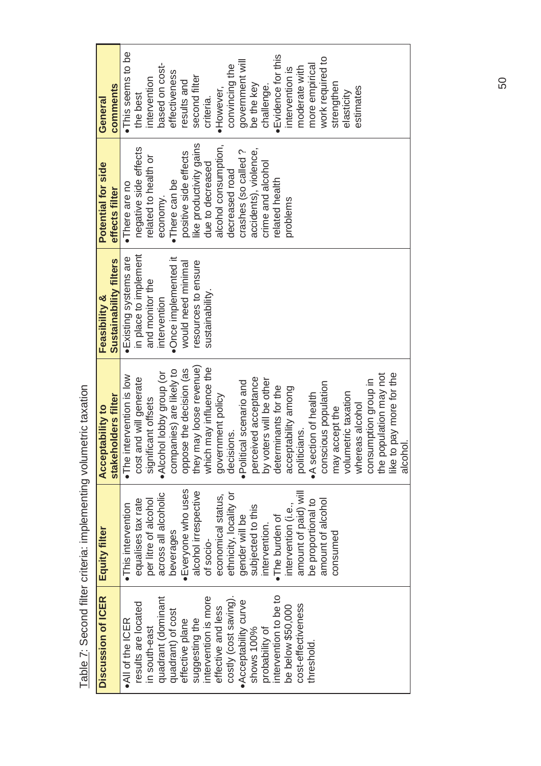| Discussion of ICER    | Equity filter          | <b>Acceptability to</b>                | <b>Feasibility &amp;</b> | Potential for side     | General            |
|-----------------------|------------------------|----------------------------------------|--------------------------|------------------------|--------------------|
|                       |                        | stakeholders filter                    | Sustainability filters   | effects filter         | comments           |
| . All of the ICER     | · This intervention    | intervention is low<br>$\bullet$ The i | Existing systems are     | ·There are no          | · This seems to be |
| results are located   | equalises tax rate     | cost and will generate                 | in place to implement    | negative side effects  | the best           |
| in south-east         | per litre of alcohol   | significant offsets                    | and monitor the          | related to health or   | intervention       |
| quadrant (dominant    | across all alcoholic   | ·Alcohol lobby group (or               | intervention             | economy.               | based on cost-     |
| quadrant) of cost     | beverages              | companies) are likely to               | ·Once implemented it     | •There can be          | effectiveness      |
| effective plane       | Everyone who uses      | oppose the decision (as                | would need minimal       | positive side effects  | results and        |
| suggesting the        | alcohol irrespective   | they may loose revenue)                | resources to ensure      | ike productivity gains | second filter      |
| intervention is more  | of socio-              | which may influence the                | sustainability.          | due to decreased       | criteria.          |
| effective and less    | economical status,     | government policy                      |                          | alcohol consumption,   | ·However,          |
| costly (cost saving). | ethnicity, locality or | decisions.                             |                          | decreased road         | convincing the     |
| . Acceptability curve | gender will be         | Political scenario and                 |                          | crashes (so called?    | government will    |
| shows 100%            | subjected to this      | perceived acceptance                   |                          | accidents), violence,  | be the key         |
| probability of        | intervention.          | by voters will be other                |                          | crime and alcohol      | challenge          |
| intervention to be to | The burden of          | determinants for the                   |                          | related health         | Evidence for this  |
| be below \$50,000     | intervention (i.e.,    | acceptability among                    |                          | problems               | intervention is    |
| cost-effectiveness    | amount of paid) will   | politicians.                           |                          |                        | moderate with      |
| threshold             | be proportional to     | . A section of health                  |                          |                        | more empirical     |
|                       | amount of alcohol      | conscious population                   |                          |                        | work required to   |
|                       | consumed               | may accept the                         |                          |                        | strengthen         |
|                       |                        | volumetric taxation                    |                          |                        | elasticity         |
|                       |                        | whereas alcohol                        |                          |                        | estimates          |
|                       |                        | consumption group in                   |                          |                        |                    |
|                       |                        | the population may not                 |                          |                        |                    |
|                       |                        | like to pay more for the               |                          |                        |                    |
|                       |                        | alcohol                                |                          |                        |                    |

Table 7: Second filter criteria: implementing volumetric taxation Table 7: Second filter criteria: implementing volumetric taxation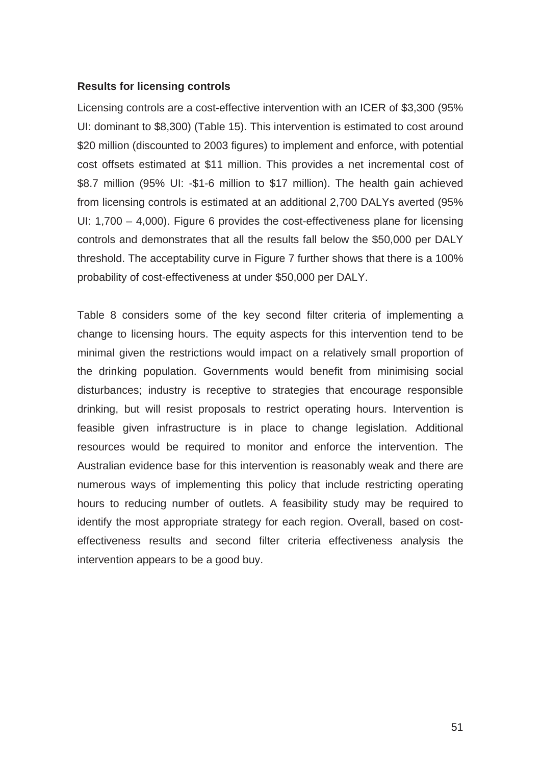## **Results for licensing controls**

Licensing controls are a cost-effective intervention with an ICER of \$3,300 (95% UI: dominant to \$8,300) (Table 15). This intervention is estimated to cost around \$20 million (discounted to 2003 figures) to implement and enforce, with potential cost offsets estimated at \$11 million. This provides a net incremental cost of \$8.7 million (95% UI: -\$1-6 million to \$17 million). The health gain achieved from licensing controls is estimated at an additional 2,700 DALYs averted (95% UI: 1,700 – 4,000). Figure 6 provides the cost-effectiveness plane for licensing controls and demonstrates that all the results fall below the \$50,000 per DALY threshold. The acceptability curve in Figure 7 further shows that there is a 100% probability of cost-effectiveness at under \$50,000 per DALY.

Table 8 considers some of the key second filter criteria of implementing a change to licensing hours. The equity aspects for this intervention tend to be minimal given the restrictions would impact on a relatively small proportion of the drinking population. Governments would benefit from minimising social disturbances; industry is receptive to strategies that encourage responsible drinking, but will resist proposals to restrict operating hours. Intervention is feasible given infrastructure is in place to change legislation. Additional resources would be required to monitor and enforce the intervention. The Australian evidence base for this intervention is reasonably weak and there are numerous ways of implementing this policy that include restricting operating hours to reducing number of outlets. A feasibility study may be required to identify the most appropriate strategy for each region. Overall, based on costeffectiveness results and second filter criteria effectiveness analysis the intervention appears to be a good buy.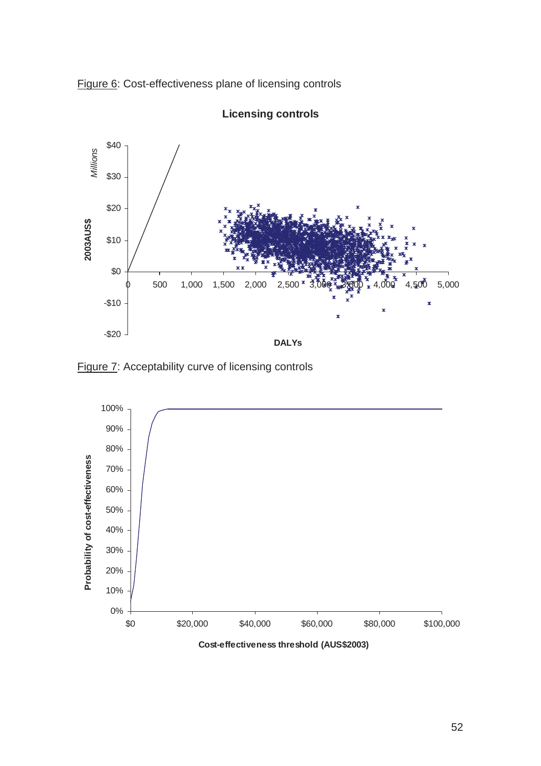Figure 6: Cost-effectiveness plane of licensing controls



**Licensing controls**

Figure 7: Acceptability curve of licensing controls

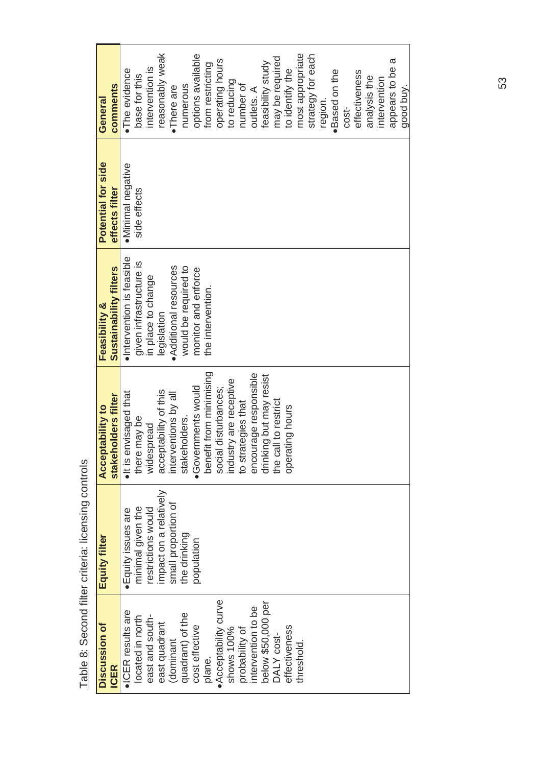| Discussion of         | Equity filter          | <b>Acceptability to</b>             | Feasibility &             | Potential for side | General           |
|-----------------------|------------------------|-------------------------------------|---------------------------|--------------------|-------------------|
| <b>ICER</b>           |                        | stakeholders filter                 | Sustainability filters    | effects filter     | comments          |
| . ICER results are    | · Equity issues are    | $\bullet$ It is envisaged that      | ·Intervention is feasible | ·Minimal negative  | ·The evidence     |
| located in north      | minimal given the      | there may be                        | given infrastructure is   | side effects       | base for this     |
| east and south-       | restrictions would     | widespread                          | in place to change        |                    | intervention is   |
| east quadrant         | impact on a relatively | acceptability of this               | legislation               |                    | reasonably weak   |
| (dominant             | small proportion of    | interventions by all                | Additional resources      |                    | •There are        |
| quadrant) of the      | the drinking           | stakeholders.                       | would be required to      |                    | numerous          |
| cost effective        | population             | ·Governments would                  | monitor and enforce       |                    | options available |
| plane.                |                        | benefit from minimising             | the intervention.         |                    | from restricting  |
| • Acceptability curve |                        | social disturbances;                |                           |                    | operating hours   |
| shows 100%            |                        | industry are receptive              |                           |                    | to reducing       |
| probability of        |                        | to strategies that                  |                           |                    | number of         |
| intervention to be    |                        | encourage responsible               |                           |                    | outlets. A        |
| below \$50,000 per    |                        | drinking but may resist             |                           |                    | feasibility study |
| DALY cost-            |                        | call to restrict<br>the <sup></sup> |                           |                    | may be required   |
| effectiveness         |                        | rating hours<br>opei                |                           |                    | to identify the   |
| threshold.            |                        |                                     |                           |                    | most appropriate  |
|                       |                        |                                     |                           |                    | strategy for each |
|                       |                        |                                     |                           |                    | region.           |
|                       |                        |                                     |                           |                    | ·Based on the     |
|                       |                        |                                     |                           |                    | cost-             |
|                       |                        |                                     |                           |                    | effectiveness     |
|                       |                        |                                     |                           |                    | analysis the      |
|                       |                        |                                     |                           |                    | intervention      |
|                       |                        |                                     |                           |                    | appears to be a   |
|                       |                        |                                     |                           |                    | good buy.         |

Table 8: Second filter criteria: licensing controls Table 8: Second filter criteria: licensing controls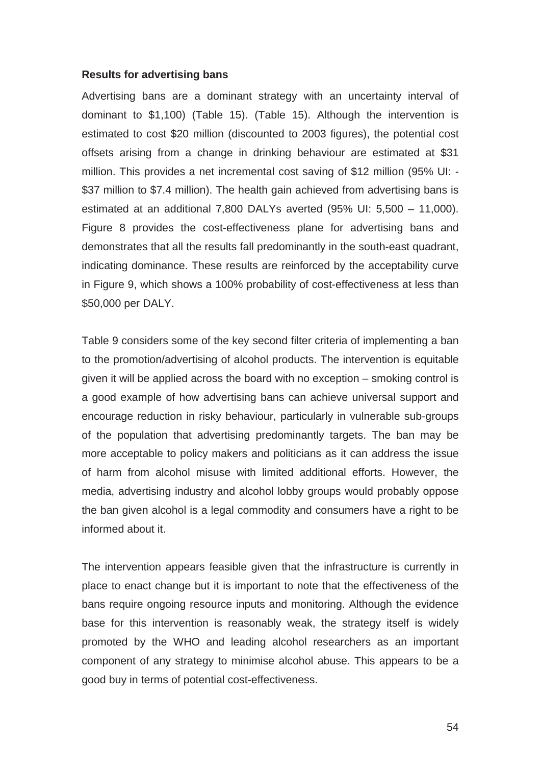## **Results for advertising bans**

Advertising bans are a dominant strategy with an uncertainty interval of dominant to \$1,100) (Table 15). (Table 15). Although the intervention is estimated to cost \$20 million (discounted to 2003 figures), the potential cost offsets arising from a change in drinking behaviour are estimated at \$31 million. This provides a net incremental cost saving of \$12 million (95% UI: - \$37 million to \$7.4 million). The health gain achieved from advertising bans is estimated at an additional 7,800 DALYs averted (95% UI: 5,500 – 11,000). Figure 8 provides the cost-effectiveness plane for advertising bans and demonstrates that all the results fall predominantly in the south-east quadrant, indicating dominance. These results are reinforced by the acceptability curve in Figure 9, which shows a 100% probability of cost-effectiveness at less than \$50,000 per DALY.

Table 9 considers some of the key second filter criteria of implementing a ban to the promotion/advertising of alcohol products. The intervention is equitable given it will be applied across the board with no exception – smoking control is a good example of how advertising bans can achieve universal support and encourage reduction in risky behaviour, particularly in vulnerable sub-groups of the population that advertising predominantly targets. The ban may be more acceptable to policy makers and politicians as it can address the issue of harm from alcohol misuse with limited additional efforts. However, the media, advertising industry and alcohol lobby groups would probably oppose the ban given alcohol is a legal commodity and consumers have a right to be informed about it.

The intervention appears feasible given that the infrastructure is currently in place to enact change but it is important to note that the effectiveness of the bans require ongoing resource inputs and monitoring. Although the evidence base for this intervention is reasonably weak, the strategy itself is widely promoted by the WHO and leading alcohol researchers as an important component of any strategy to minimise alcohol abuse. This appears to be a good buy in terms of potential cost-effectiveness.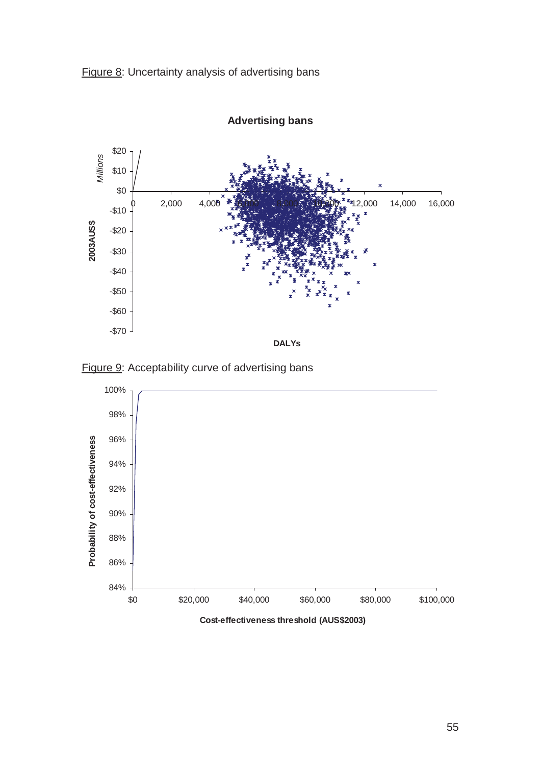



**Advertising bans**

Figure 9: Acceptability curve of advertising bans



**Cost-effectiveness threshold (AUS\$2003)**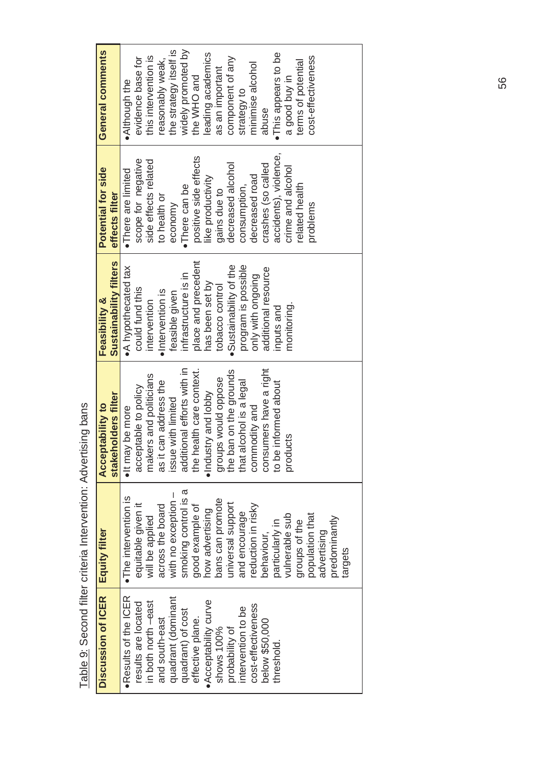| Discussion of ICER   | <b>Equity filter</b>  | stakeholders filter<br><b>Acceptability to</b> | Sustainability filters<br><b>Feasibility &amp;</b> | Potential for side<br>effects filter | General comments       |
|----------------------|-----------------------|------------------------------------------------|----------------------------------------------------|--------------------------------------|------------------------|
| ·Results of the ICER | · The intervention is | . It may be more                               | • A hypothecated tax                               | ·There are limited                   | . Although the         |
| results are located  | equitable given it    | acceptable to policy                           | could fund this                                    | scope for negative                   | evidence base for      |
| in both north -east  | will be applied       | makers and politicians                         | intervention                                       | side effects related                 | this intervention is   |
| and south-east       | across the board      | as it can address the                          | ·Intervention is                                   | to health or                         | reasonably weak,       |
| quadrant (dominant   | with no exception     | issue with limited                             | feasible given                                     | economy                              | the strategy itself is |
| quadrant) of cost    | smoking control is a  | additional efforts with in                     | infrastructure is in                               | ·There can be                        | widely promoted by     |
| effective plane.     | good example of       | the health care context.                       | place and precedent                                | positive side effects                | the WHO and            |
| Acceptability curve  | how advertising       | •Industry and lobby                            | has been set by                                    | like productivity                    | leading academics      |
| shows 100%           | bans can promote      |                                                | tobacco control                                    | gains due to                         | as an important        |
| probability of       | universal support     | groups would oppose<br>the ban on the grounds  | ·Sustainability of the                             | decreased alcohol                    | component of any       |
| intervention to be   | and encourage         | that alcohol is a legal                        | program is possible                                | consumption,                         | strategy to            |
| cost-effectiveness   | reduction in risky    | commodity and                                  | only with ongoing                                  | decreased road                       | minimise alcohol       |
| below \$50,000       | behaviour,            | consumers have a right                         | additional resource                                | crashes (so called                   | abuse                  |
| threshold            | particularly in       | to be informed about                           | inputs and                                         | accidents), violence,                | . This appears to be   |
|                      | vulnerable sub        | products                                       | monitoring.                                        | crime and alcohol                    | a good buy in          |
|                      | groups of the         |                                                |                                                    | related health                       | terms of potential     |
|                      | population that       |                                                |                                                    | problems                             | cost-effectiveness     |
|                      | advertising           |                                                |                                                    |                                      |                        |
|                      | predominantly         |                                                |                                                    |                                      |                        |
|                      | targets               |                                                |                                                    |                                      |                        |
|                      |                       |                                                |                                                    |                                      |                        |

Table 9: Second filter criteria Intervention: Advertising bans Table 9: Second filter criteria Intervention: Advertising bans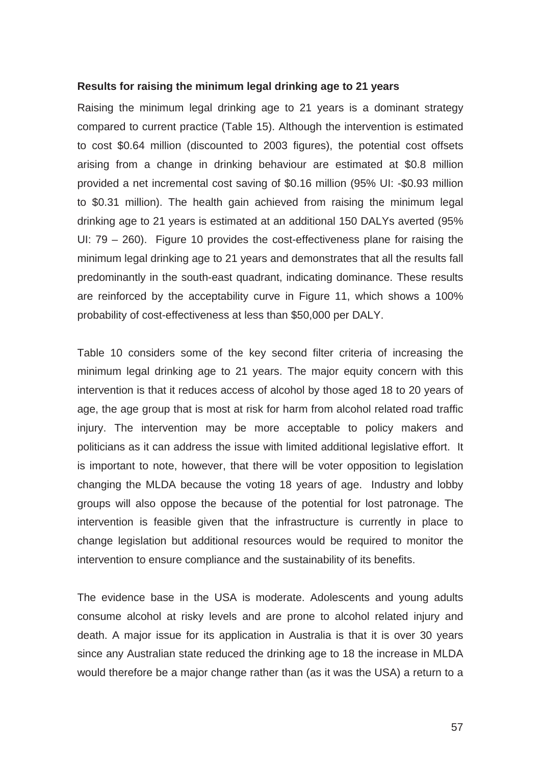## **Results for raising the minimum legal drinking age to 21 years**

Raising the minimum legal drinking age to 21 years is a dominant strategy compared to current practice (Table 15). Although the intervention is estimated to cost \$0.64 million (discounted to 2003 figures), the potential cost offsets arising from a change in drinking behaviour are estimated at \$0.8 million provided a net incremental cost saving of \$0.16 million (95% UI: -\$0.93 million to \$0.31 million). The health gain achieved from raising the minimum legal drinking age to 21 years is estimated at an additional 150 DALYs averted (95% UI: 79 – 260). Figure 10 provides the cost-effectiveness plane for raising the minimum legal drinking age to 21 years and demonstrates that all the results fall predominantly in the south-east quadrant, indicating dominance. These results are reinforced by the acceptability curve in Figure 11, which shows a 100% probability of cost-effectiveness at less than \$50,000 per DALY.

Table 10 considers some of the key second filter criteria of increasing the minimum legal drinking age to 21 years. The major equity concern with this intervention is that it reduces access of alcohol by those aged 18 to 20 years of age, the age group that is most at risk for harm from alcohol related road traffic injury. The intervention may be more acceptable to policy makers and politicians as it can address the issue with limited additional legislative effort. It is important to note, however, that there will be voter opposition to legislation changing the MLDA because the voting 18 years of age. Industry and lobby groups will also oppose the because of the potential for lost patronage. The intervention is feasible given that the infrastructure is currently in place to change legislation but additional resources would be required to monitor the intervention to ensure compliance and the sustainability of its benefits.

The evidence base in the USA is moderate. Adolescents and young adults consume alcohol at risky levels and are prone to alcohol related injury and death. A major issue for its application in Australia is that it is over 30 years since any Australian state reduced the drinking age to 18 the increase in MLDA would therefore be a major change rather than (as it was the USA) a return to a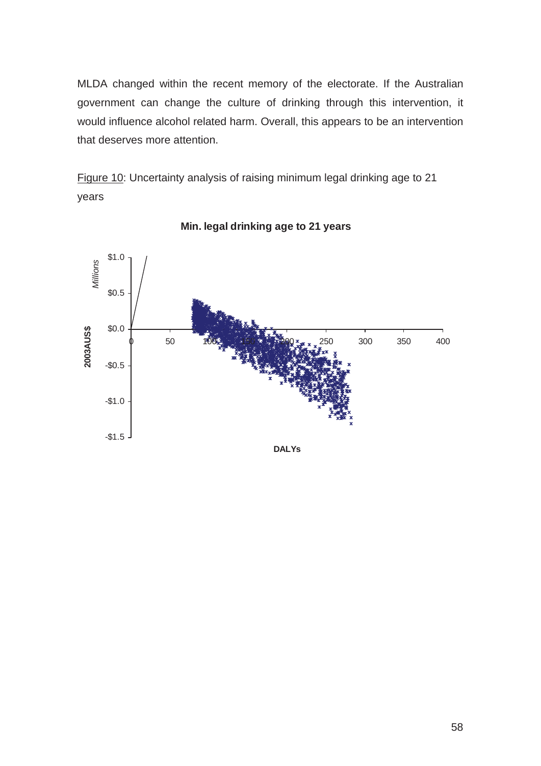MLDA changed within the recent memory of the electorate. If the Australian government can change the culture of drinking through this intervention, it would influence alcohol related harm. Overall, this appears to be an intervention that deserves more attention.

Figure 10: Uncertainty analysis of raising minimum legal drinking age to 21 years



**Min. legal drinking age to 21 years**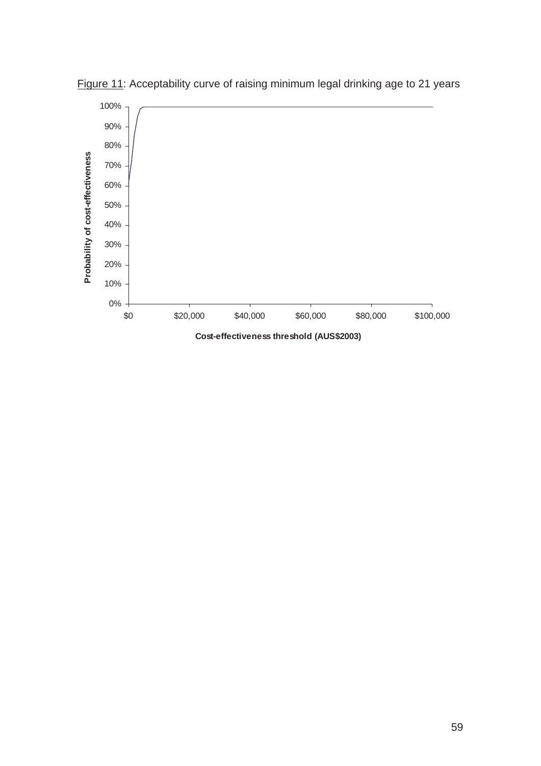

Figure 11: Acceptability curve of raising minimum legal drinking age to 21 years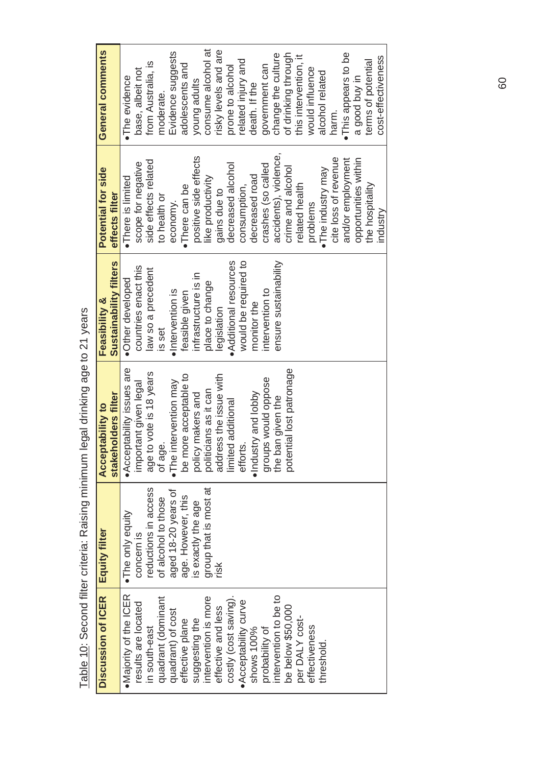| Discussion of ICER     | Equity filter         | <b>Acceptability to</b>  | Feasibility &          | Potential for side    | General comments      |
|------------------------|-----------------------|--------------------------|------------------------|-----------------------|-----------------------|
|                        |                       | stakeholders filter      | Sustainability filters | effects filter        |                       |
| • Majority of the ICER | ·The only equity      | Acceptability issues are | ·Other developed       | ·There is limited     | •The evidence         |
| results are located    | concern is            | important given legal    | countries enact this   | scope for negative    | base, albeit not      |
| in south-east          | reductions in access  | age to vote is 18 years  | law so a precedent     | side effects related  | from Australia, is    |
| quadrant (dominant     | of alcohol to those   | of age.                  | is set                 | to health or          | moderate.             |
| quadrant) of cost      | aged 18-20 years of   | . The intervention may   | ·Intervention is       | economy.              | Evidence suggests     |
| effective plane        | age. However, this    | be more acceptable to    | feasible given         | •There can be         | adolescents and       |
| suggesting the         | is exactly the age    | policy makers and        | infrastructure is in   | positive side effects | young adults          |
| intervention is more   | group that is most at | politicians as it can    | place to change        | like productivity     | consume alcohol at    |
| effective and less     | risk                  | address the issue with   | legislation            | gains due to          | risky levels and are  |
| costly (cost saving).  |                       | limited additional       | Additional resources   | decreased alcohol     | prone to alcohol      |
| • Acceptability curve  |                       | efforts.                 | would be required to   | consumption,          | related injury and    |
| shows 100%             |                       | ·Industry and lobby      | monitor the            | decreased road        | death. If the         |
| probability of         |                       | groups would oppose      | intervention to        | crashes (so called    | government can        |
| intervention to be to  |                       | the ban given the        | ensure sustainability  | accidents), violence, | change the culture    |
| be below \$50,000      |                       | potential lost patronage |                        | crime and alcohol     | of drinking through   |
| per DALY cost-         |                       |                          |                        | related health        | this intervention, it |
| effectiveness          |                       |                          |                        | problems              | would influence       |
| threshold              |                       |                          |                        | •The industry may     | alcohol related       |
|                        |                       |                          |                        | cite loss of revenue  | harm.                 |
|                        |                       |                          |                        | and/or employment     | . This appears to be  |
|                        |                       |                          |                        | opportunities within  | a good buy in         |
|                        |                       |                          |                        | the hospitality       | terms of potential    |
|                        |                       |                          |                        | industry              | cost-effectiveness    |

Table 10: Second filter criteria: Raising minimum legal drinking age to 21 years Table 10: Second filter criteria: Raising minimum legal drinking age to 21 years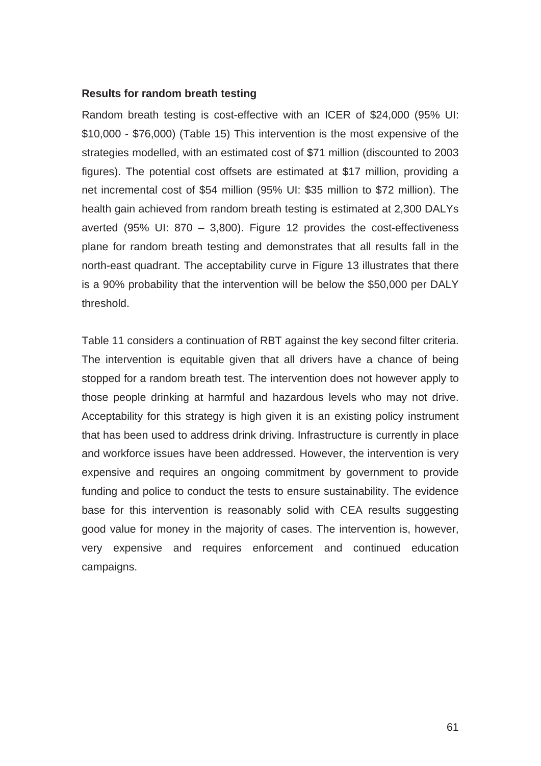## **Results for random breath testing**

Random breath testing is cost-effective with an ICER of \$24,000 (95% UI: \$10,000 - \$76,000) (Table 15) This intervention is the most expensive of the strategies modelled, with an estimated cost of \$71 million (discounted to 2003 figures). The potential cost offsets are estimated at \$17 million, providing a net incremental cost of \$54 million (95% UI: \$35 million to \$72 million). The health gain achieved from random breath testing is estimated at 2,300 DALYs averted (95% UI: 870 – 3,800). Figure 12 provides the cost-effectiveness plane for random breath testing and demonstrates that all results fall in the north-east quadrant. The acceptability curve in Figure 13 illustrates that there is a 90% probability that the intervention will be below the \$50,000 per DALY threshold.

Table 11 considers a continuation of RBT against the key second filter criteria. The intervention is equitable given that all drivers have a chance of being stopped for a random breath test. The intervention does not however apply to those people drinking at harmful and hazardous levels who may not drive. Acceptability for this strategy is high given it is an existing policy instrument that has been used to address drink driving. Infrastructure is currently in place and workforce issues have been addressed. However, the intervention is very expensive and requires an ongoing commitment by government to provide funding and police to conduct the tests to ensure sustainability. The evidence base for this intervention is reasonably solid with CEA results suggesting good value for money in the majority of cases. The intervention is, however, very expensive and requires enforcement and continued education campaigns.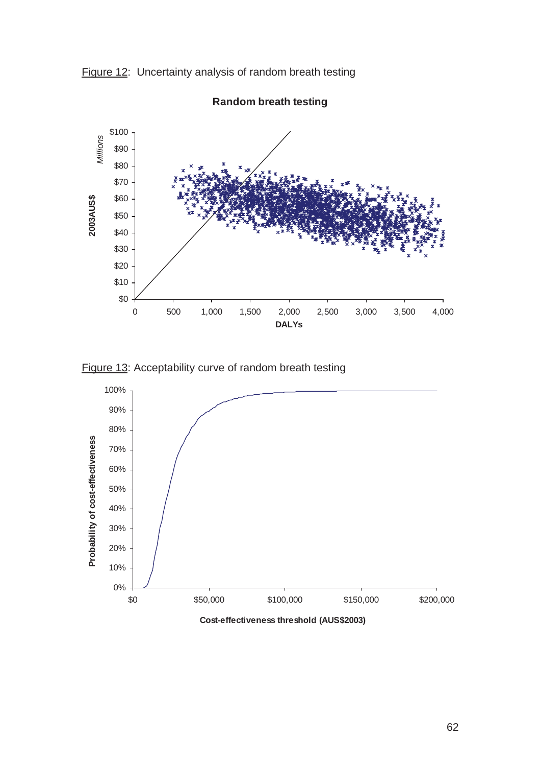



**Random breath testing**

Figure 13: Acceptability curve of random breath testing



**Cost-effectiveness threshold (AUS\$2003)**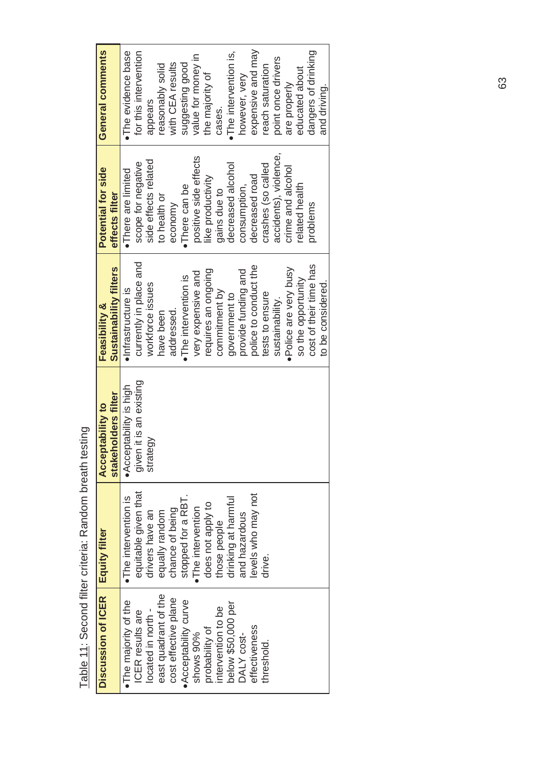| Discussion of ICER   Equity filter |                      | stakeholders filter<br><b>Acceptability to</b> | <b>Sustainability filters</b><br><b>Feasibility &amp;</b> | Potential for side<br>effects filter | General comments       |
|------------------------------------|----------------------|------------------------------------------------|-----------------------------------------------------------|--------------------------------------|------------------------|
| The majority of the                | •The intervention is | • Acceptability is high                        | · Infrastructure is                                       | ·There are limited                   | . The evidence base    |
| ICER results are                   | equitable given that | given it is an existing                        | currently in place and                                    | scope for negative                   | for this intervention  |
| located in north -                 | drivers have an      | strategy                                       | workforce issues                                          | side effects related                 | appears                |
| east quadrant of the               | equally random       |                                                | have been                                                 | to health or                         | reasonably solid       |
| cost effective plane               | chance of being      |                                                | addressed.                                                | economy                              | with CEA results       |
| Acceptability curve                | stopped for a RBT    |                                                | •The intervention is                                      | •There can be                        | suggesting good        |
| shows 90%                          | ·The intervention    |                                                | very expensive and                                        | positive side effects                | value for money in     |
| probability of                     | does not apply to    |                                                | requires an ongoing                                       | like productivity                    | the majority of        |
| intervention to be                 | those people         |                                                | commitment by                                             | gains due to                         | cases.                 |
| below \$50,000 per                 | drinking at harmful  |                                                | government to                                             | decreased alcohol                    | • The intervention is, |
| DALY cost-                         | and hazardous        |                                                | provide funding and                                       | consumption,                         | however, very          |
| effectiveness                      | levels who may not   |                                                | police to conduct the                                     | decreased road                       | expensive and may      |
| threshold.                         | drive.               |                                                | tests to ensure                                           | crashes (so called                   | reach saturation       |
|                                    |                      |                                                | sustainability.                                           | accidents), violence,                | point once drivers     |
|                                    |                      |                                                | ·Police are very busy                                     | crime and alcohol                    | are properly           |
|                                    |                      |                                                | so the opportunity                                        | related health                       | educated about         |
|                                    |                      |                                                | cost of their time has                                    | problems                             | dangers of drinking    |
|                                    |                      |                                                | to be considered.                                         |                                      | and driving.           |

Table 11: Second filter criteria: Random breath testing Table 11: Second filter criteria: Random breath testing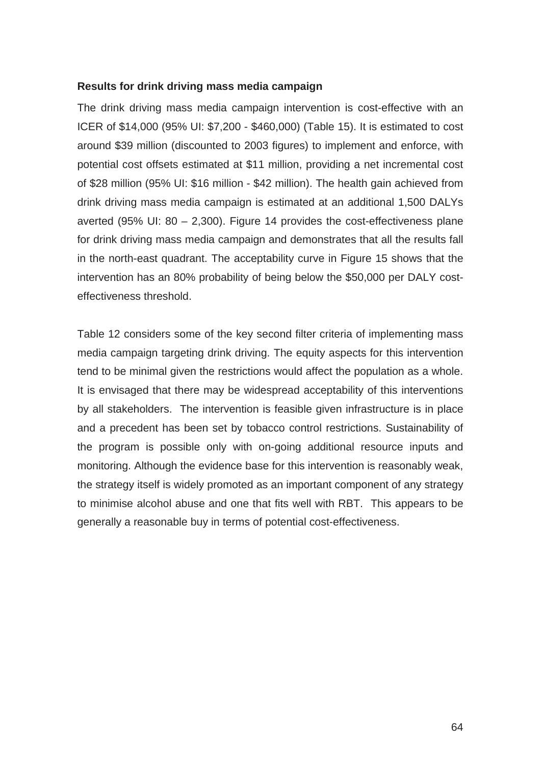# **Results for drink driving mass media campaign**

The drink driving mass media campaign intervention is cost-effective with an ICER of \$14,000 (95% UI: \$7,200 - \$460,000) (Table 15). It is estimated to cost around \$39 million (discounted to 2003 figures) to implement and enforce, with potential cost offsets estimated at \$11 million, providing a net incremental cost of \$28 million (95% UI: \$16 million - \$42 million). The health gain achieved from drink driving mass media campaign is estimated at an additional 1,500 DALYs averted (95% UI:  $80 - 2,300$ ). Figure 14 provides the cost-effectiveness plane for drink driving mass media campaign and demonstrates that all the results fall in the north-east quadrant. The acceptability curve in Figure 15 shows that the intervention has an 80% probability of being below the \$50,000 per DALY costeffectiveness threshold.

Table 12 considers some of the key second filter criteria of implementing mass media campaign targeting drink driving. The equity aspects for this intervention tend to be minimal given the restrictions would affect the population as a whole. It is envisaged that there may be widespread acceptability of this interventions by all stakeholders. The intervention is feasible given infrastructure is in place and a precedent has been set by tobacco control restrictions. Sustainability of the program is possible only with on-going additional resource inputs and monitoring. Although the evidence base for this intervention is reasonably weak, the strategy itself is widely promoted as an important component of any strategy to minimise alcohol abuse and one that fits well with RBT. This appears to be generally a reasonable buy in terms of potential cost-effectiveness.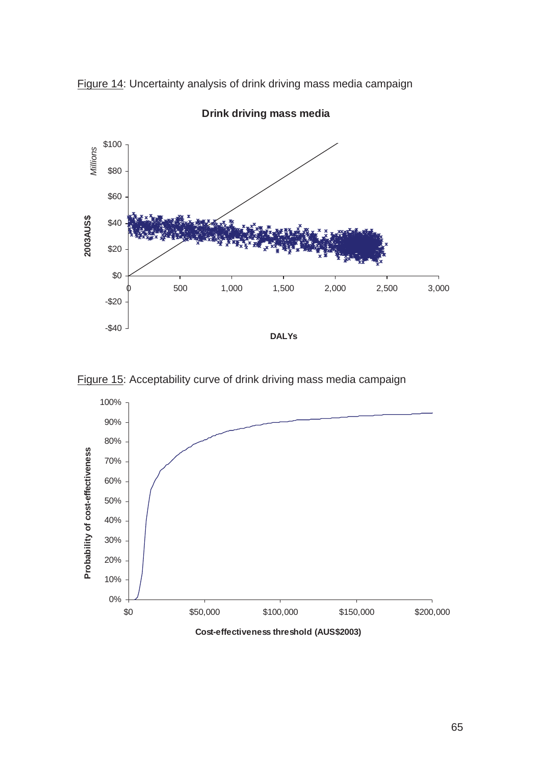



**Drink driving mass media**



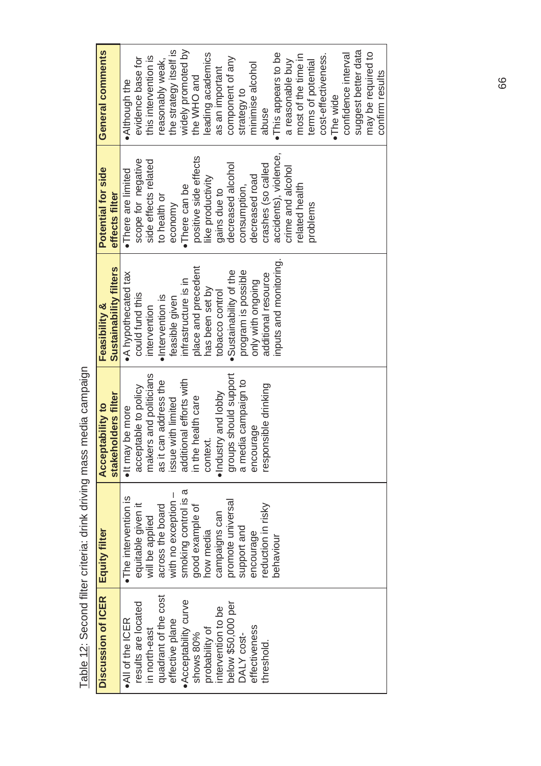| Discussion of ICER   | <b>Equity filter</b> | <b>Acceptability to</b> | Feasibility &          | Potential for side    | General comments       |
|----------------------|----------------------|-------------------------|------------------------|-----------------------|------------------------|
|                      |                      | stakeholders filter     | Sustainability filters | effects filter        |                        |
| . All of the ICER    | •The intervention is | . It may be more        | • A hypothecated tax   | ·There are limited    | . Although the         |
| results are located  | equitable given it   | acceptable to policy    | could fund this        | scope for negative    | evidence base for      |
| in north-east        | will be applied      | makers and politicians  | intervention           | side effects related  | this intervention is   |
| quadrant of the cost | across the board     | as it can address the   | ·Intervention is       | to health or          | reasonably weak,       |
| effective plane      | with no exception    | issue with limited      | feasible given         | economy               | the strategy itself is |
| Acceptability curve  | smoking control is a | additional efforts with | infrastructure is in   | ·There can be         | widely promoted by     |
| shows 80%            | good example of      | in the health care      | place and precedent    | positive side effects | the WHO and            |
| probability of       | how media            | context.                | has been set by        | like productivity     | leading academics      |
| intervention to be   | campaigns can        | •Industry and lobby     | tobacco control        | gains due to          | as an important        |
| below \$50,000 per   | promote universal    | groups should support   | .Sustainability of the | decreased alcohol     | component of any       |
| DALY cost-           | support and          | a media campaign to     | program is possible    | consumption,          | strategy to            |
| effectiveness        | encourage            | encourage               | only with ongoing      | decreased road        | minimise alcohol       |
| threshold            | reduction in risky   | responsible drinking    | additional resource    | crashes (so called    | abuse                  |
|                      | behaviour            |                         | inputs and monitoring. | accidents), violence, | · This appears to be   |
|                      |                      |                         |                        | crime and alcohol     | a reasonable buy       |
|                      |                      |                         |                        | related health        | most of the time in    |
|                      |                      |                         |                        | problems              | terms of potential     |
|                      |                      |                         |                        |                       | cost-effectiveness.    |
|                      |                      |                         |                        |                       | •The wide              |
|                      |                      |                         |                        |                       | confidence interval    |
|                      |                      |                         |                        |                       | suggest better data    |
|                      |                      |                         |                        |                       | may be required to     |
|                      |                      |                         |                        |                       | confirm results        |
|                      |                      |                         |                        |                       |                        |

Table 12: Second filter criteria: drink driving mass media campaign Table 12: Second filter criteria: drink driving mass media campaign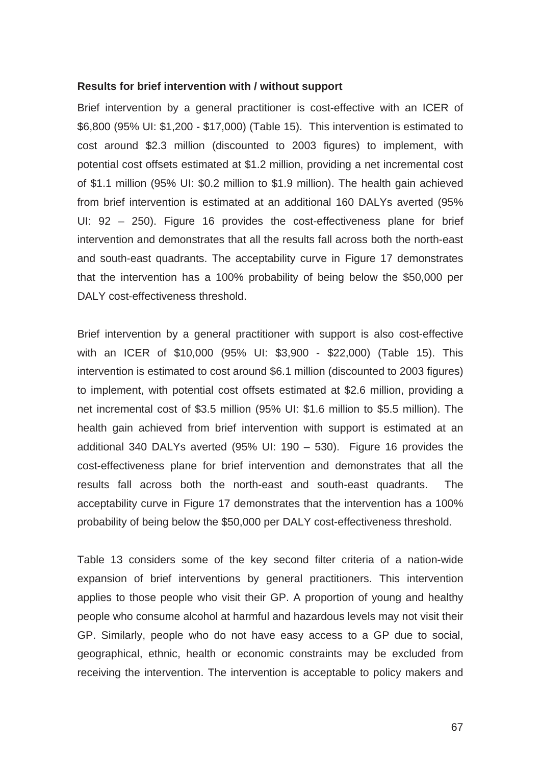#### **Results for brief intervention with / without support**

Brief intervention by a general practitioner is cost-effective with an ICER of \$6,800 (95% UI: \$1,200 - \$17,000) (Table 15). This intervention is estimated to cost around \$2.3 million (discounted to 2003 figures) to implement, with potential cost offsets estimated at \$1.2 million, providing a net incremental cost of \$1.1 million (95% UI: \$0.2 million to \$1.9 million). The health gain achieved from brief intervention is estimated at an additional 160 DALYs averted (95% UI: 92 – 250). Figure 16 provides the cost-effectiveness plane for brief intervention and demonstrates that all the results fall across both the north-east and south-east quadrants. The acceptability curve in Figure 17 demonstrates that the intervention has a 100% probability of being below the \$50,000 per DALY cost-effectiveness threshold.

Brief intervention by a general practitioner with support is also cost-effective with an ICER of \$10,000 (95% UI: \$3,900 - \$22,000) (Table 15). This intervention is estimated to cost around \$6.1 million (discounted to 2003 figures) to implement, with potential cost offsets estimated at \$2.6 million, providing a net incremental cost of \$3.5 million (95% UI: \$1.6 million to \$5.5 million). The health gain achieved from brief intervention with support is estimated at an additional 340 DALYs averted (95% UI: 190 – 530). Figure 16 provides the cost-effectiveness plane for brief intervention and demonstrates that all the results fall across both the north-east and south-east quadrants. The acceptability curve in Figure 17 demonstrates that the intervention has a 100% probability of being below the \$50,000 per DALY cost-effectiveness threshold.

Table 13 considers some of the key second filter criteria of a nation-wide expansion of brief interventions by general practitioners. This intervention applies to those people who visit their GP. A proportion of young and healthy people who consume alcohol at harmful and hazardous levels may not visit their GP. Similarly, people who do not have easy access to a GP due to social, geographical, ethnic, health or economic constraints may be excluded from receiving the intervention. The intervention is acceptable to policy makers and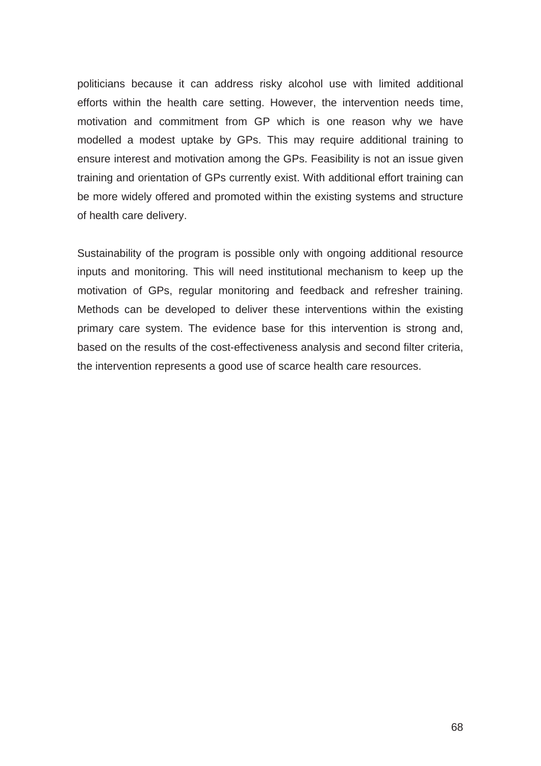politicians because it can address risky alcohol use with limited additional efforts within the health care setting. However, the intervention needs time, motivation and commitment from GP which is one reason why we have modelled a modest uptake by GPs. This may require additional training to ensure interest and motivation among the GPs. Feasibility is not an issue given training and orientation of GPs currently exist. With additional effort training can be more widely offered and promoted within the existing systems and structure of health care delivery.

Sustainability of the program is possible only with ongoing additional resource inputs and monitoring. This will need institutional mechanism to keep up the motivation of GPs, regular monitoring and feedback and refresher training. Methods can be developed to deliver these interventions within the existing primary care system. The evidence base for this intervention is strong and, based on the results of the cost-effectiveness analysis and second filter criteria, the intervention represents a good use of scarce health care resources.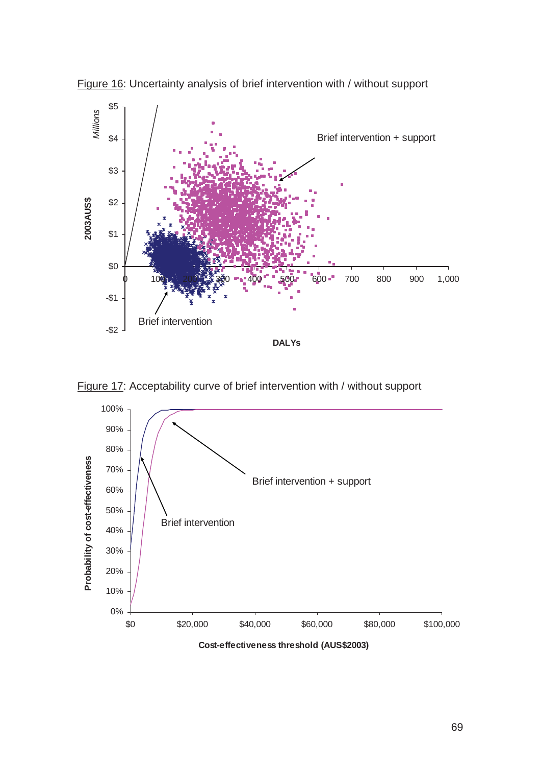

Figure 16: Uncertainty analysis of brief intervention with / without support



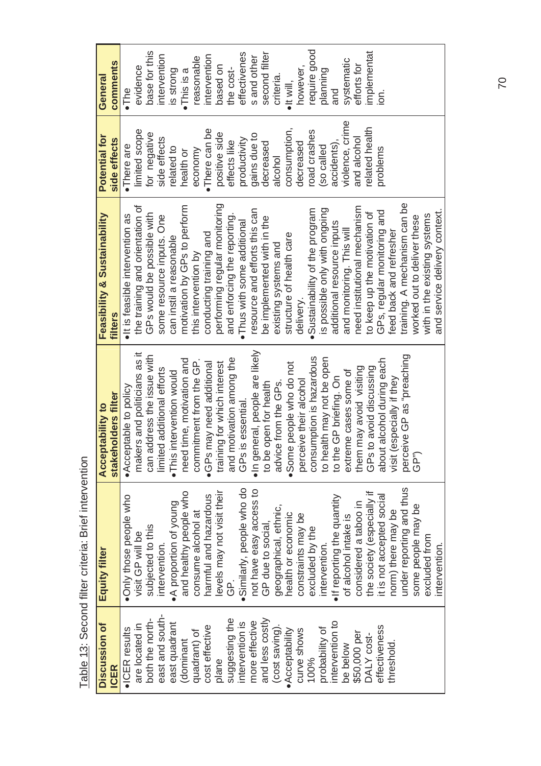| Discussion of          | Equity filter               | <b>Acceptability to</b>                          | Feasibility & Sustainability                                  | Potential for   | General             |
|------------------------|-----------------------------|--------------------------------------------------|---------------------------------------------------------------|-----------------|---------------------|
| CER                    |                             | stakeholders filter                              | <b>filters</b>                                                | side effects    | comments            |
| $\bullet$ ICER results | · Only those people who     | • Acceptable to policy                           | ·It is feasible intervention as                               | ·There are      | $\bullet$ The       |
| are located in         | visit GP will be            | makers and politicians as it                     |                                                               | limited scope   | evidence            |
| both the north-        | subjected to this           | can address the issue with                       | the training and orientation of<br>GPs would be possible with | for negative    | base for this       |
| east and south-        | intervention.               | limited additional efforts                       | some resource inputs. One                                     | side effects    | intervention        |
| east quadrant          | • A proportion of young     | intervention would<br>$\bullet$ This ii          | can instil a reasonable                                       | related to      | is strong           |
| (dominant              | and healthy people who      | need time, motivation and                        | motivation by GPs to perform                                  | health or       | $\bullet$ This is a |
| quadrant) of           | consume alcohol at          | commitment from the GP.                          | this intervention by                                          | economy         | reasonable          |
| cost effective         | harmful and hazardous       | •GPs may need additional                         | conducting training and                                       | ·There can be   | intervention        |
| plane                  | levels may not visit their  | training for which interest                      | performing regular monitoring                                 | positive side   | based on            |
| suggesting the         | <u>்</u>                    | and motivation among the                         | and enforcing the reporting.                                  | effects like    | the cost-           |
| intervention is        | Similarly, people who do    | is essential.<br>GPs i                           | Thus with some additional                                     | productivity    | effectivenes        |
| more effective         | not have easy access to     | · In general, people are likely                  | resource and efforts this can                                 | gains due to    | s and other         |
| and less costly        | GP due to social            | to be open for health                            | be implemented with in the                                    | decreased       | second filter       |
| (cost saving)          | geographical, ethnic,       | advice from the GPs.                             | existing systems and                                          | alcohol         | criteria.           |
| · Acceptability        | health or economic          |                                                  | structure of health care                                      | consumption,    | $\bullet$ It will,  |
| curve shows            | constraints may be          | Some people who do not<br>perceive their alcohol | delivery.                                                     | decreased       | however,            |
| 100%                   | excluded by the             | consumption is hazardous                         | Sustainability of the program                                 | road crashes    | require good        |
| probability of         | intervention.               | to health may not be open                        | is possible only with ongoing                                 | so called       | planning            |
| intervention to        | • If reporting the quantity | to the GP briefing. On                           | additional resource inputs                                    | accidents),     | and                 |
| be below               | of alcohol intake is        | extreme cases some of                            | and monitoring. This will                                     | violence, crime | systematic          |
| \$50,000 per           | considered a taboo in       | them may avoid visiting                          | need institutional mechanism                                  | and alcohol     | efforts for         |
| DALY cost-             | the society (especially if  | GPs to avoid discussing                          | to keep up the motivation of                                  | related health  | implementat         |
| effectiveness          | it is not accepted social   | about alcohol during each                        | GPs, regular monitoring and                                   | problems        | ior.                |
| threshold              | norm) there may be          | visit (especially if they                        | feed back and refresher                                       |                 |                     |
|                        | under reporting and thus    | perceive GP as "preaching                        | training. A mechanism can be                                  |                 |                     |
|                        | some people may be          | GP <sup>»</sup> )                                | worked out to deliver these                                   |                 |                     |
|                        | excluded from               |                                                  | with in the existing systems                                  |                 |                     |
|                        | intervention.               |                                                  | and service delivery context.                                 |                 |                     |

Table 13: Second filter criteria: Brief intervention Table 13: Second filter criteria: Brief intervention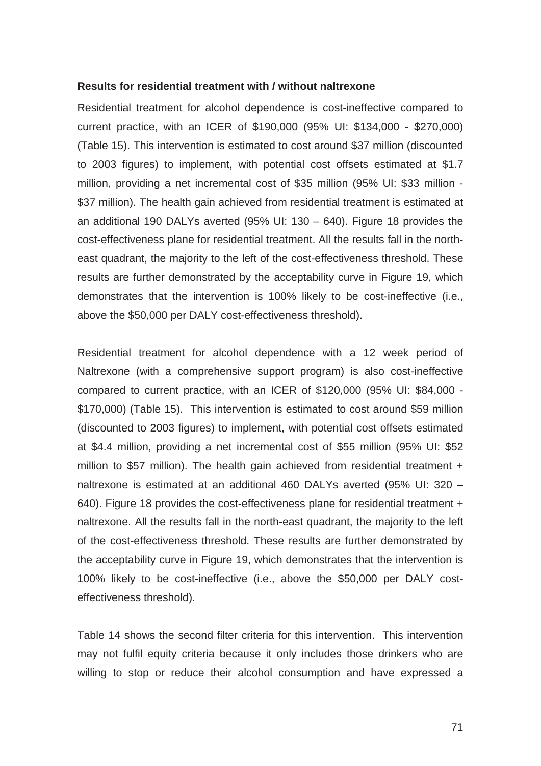## **Results for residential treatment with / without naltrexone**

Residential treatment for alcohol dependence is cost-ineffective compared to current practice, with an ICER of \$190,000 (95% UI: \$134,000 - \$270,000) (Table 15). This intervention is estimated to cost around \$37 million (discounted to 2003 figures) to implement, with potential cost offsets estimated at \$1.7 million, providing a net incremental cost of \$35 million (95% UI: \$33 million - \$37 million). The health gain achieved from residential treatment is estimated at an additional 190 DALYs averted (95% UI: 130 – 640). Figure 18 provides the cost-effectiveness plane for residential treatment. All the results fall in the northeast quadrant, the majority to the left of the cost-effectiveness threshold. These results are further demonstrated by the acceptability curve in Figure 19, which demonstrates that the intervention is 100% likely to be cost-ineffective (i.e., above the \$50,000 per DALY cost-effectiveness threshold).

Residential treatment for alcohol dependence with a 12 week period of Naltrexone (with a comprehensive support program) is also cost-ineffective compared to current practice, with an ICER of \$120,000 (95% UI: \$84,000 - \$170,000) (Table 15). This intervention is estimated to cost around \$59 million (discounted to 2003 figures) to implement, with potential cost offsets estimated at \$4.4 million, providing a net incremental cost of \$55 million (95% UI: \$52 million to \$57 million). The health gain achieved from residential treatment + naltrexone is estimated at an additional 460 DALYs averted (95% UI: 320 – 640). Figure 18 provides the cost-effectiveness plane for residential treatment + naltrexone. All the results fall in the north-east quadrant, the majority to the left of the cost-effectiveness threshold. These results are further demonstrated by the acceptability curve in Figure 19, which demonstrates that the intervention is 100% likely to be cost-ineffective (i.e., above the \$50,000 per DALY costeffectiveness threshold).

Table 14 shows the second filter criteria for this intervention. This intervention may not fulfil equity criteria because it only includes those drinkers who are willing to stop or reduce their alcohol consumption and have expressed a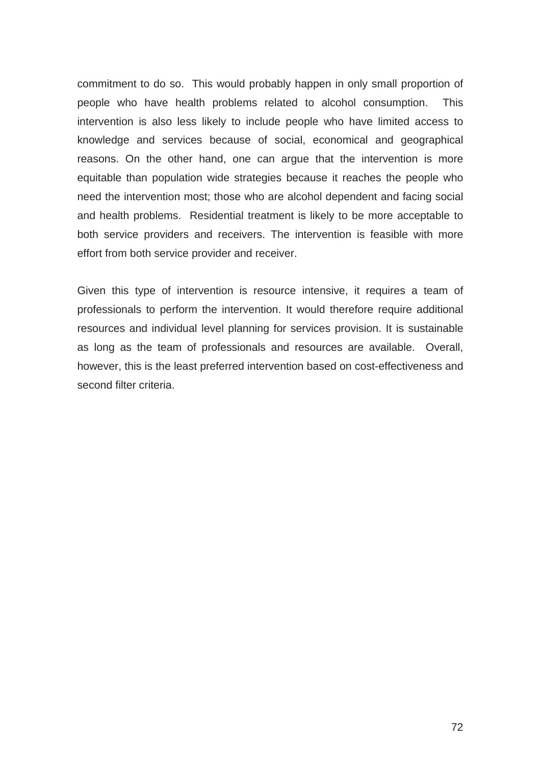commitment to do so. This would probably happen in only small proportion of people who have health problems related to alcohol consumption. This intervention is also less likely to include people who have limited access to knowledge and services because of social, economical and geographical reasons. On the other hand, one can argue that the intervention is more equitable than population wide strategies because it reaches the people who need the intervention most; those who are alcohol dependent and facing social and health problems. Residential treatment is likely to be more acceptable to both service providers and receivers. The intervention is feasible with more effort from both service provider and receiver.

Given this type of intervention is resource intensive, it requires a team of professionals to perform the intervention. It would therefore require additional resources and individual level planning for services provision. It is sustainable as long as the team of professionals and resources are available. Overall, however, this is the least preferred intervention based on cost-effectiveness and second filter criteria.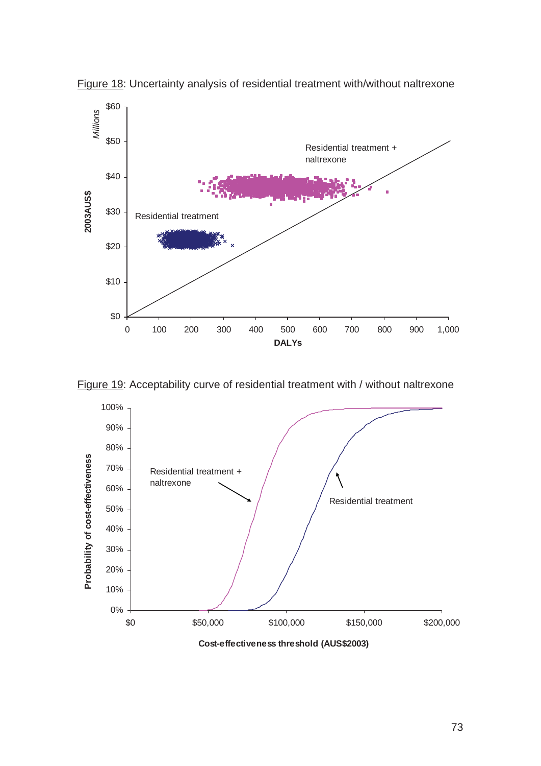

Figure 18: Uncertainty analysis of residential treatment with/without naltrexone



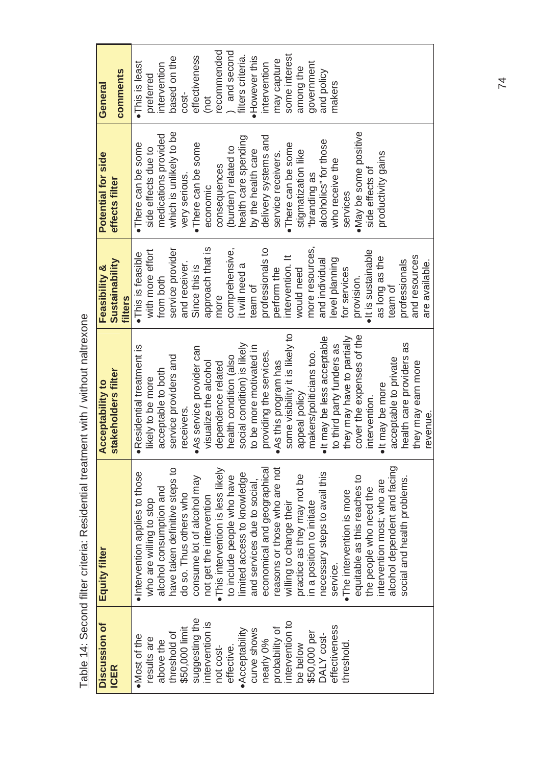| Discussion of           | Equity filter                     | <b>Acceptability to</b>             | <b>Feasibility &amp;</b>  | Potential for side      | General           |
|-------------------------|-----------------------------------|-------------------------------------|---------------------------|-------------------------|-------------------|
| <b>ICER</b>             |                                   | stakeholders filter                 | Sustainability<br>filters | effects filter          | comments          |
| ·Most of the            | ·Intervention applies to those    | ·Residential treatment is           | · This is feasible        | ·There can be some      | ·This is least    |
| results are             | who are willing to stop           | likely to be more                   | with more effort          | side effects due to     | preterred         |
| above the               | alcohol consumption and           | acceptable to both                  | from both                 | medications provided    | intervention      |
| threshold of            | have taken definitive steps to    | service providers and               | service provider          | which is unlikely to be | based on the      |
| \$50,000 limit          | do so. Thus others who            | receivers.                          | and receiver.             | very serious.           | $cos t -$         |
| suggesting the          | consume lot of alcohol may        | ·As service provider can            | Since this is             | •There can be some      | effectiveness     |
| intervention is         | not get the intervention          | visualize the alcohol               | approach that is          | economic                | (not              |
| not cost-               | ·This intervention is less likely | dependence related                  | more                      | consequences            | recommended       |
| effective.              | to include people who have        | health condition (also              | comprehensive,            | (burden) related to     | and second        |
| $\bullet$ Acceptability | limited access to knowledge       | social condition) is likely         | it will need a            | health care spending    | filters criteria. |
| curve shows             | and services due to social        | to be more motivated in             | team of                   | by the health care      | ·However this     |
| nearly 0%               | economical and geographical       | providing the services.             | professionals to          | delivery systems and    | intervention      |
| probability of          | easons or those who are not       | • As this program has               | perform the               | service receivers.      | may capture       |
| intervention to         | willing to change their           | some visibility it is likely to     | intervention. It          | ·There can be some      | some interest     |
| be below                | practice as they may not be       | appeal policy                       | would need                | stigmatization like     | among the         |
| \$50,000 per            | in a position to initiate         | makers/politicians too.             | more resources,           | "branding as            | government        |
| DALY cost-              | necessary steps to avail this     | $\bullet$ It may be less acceptable | and individual            | alcoholics" for those   | and policy        |
| effectiveness           | service.                          | to third party funders as           | level planning            | who receive the         | makers            |
| threshold.              | •The intervention is more         | they may have to partially          | for services              | services                |                   |
|                         | equitable as this reaches to      | cover the expenses of the           | provision.                | . May be some positive  |                   |
|                         | the people who need the           | intervention.                       | · It is sustainable       | side effects of         |                   |

the people who need the intervention most; who are alcohol dependent and facing social and health problems.

intervention most; who are the people who need the

alcohol dependent and facing

social and health problems.

intervention. • It may be more

. It may be more intervention.

x It is sustainable as long as the as long as the<br>team of professionals and resources are available.

side effects of productivity gains

productivity gains

acceptable to private health care providers as they may earn more

health care providers as acceptable to private

they may earn more

revenue.

revenue.

and resources professionals

are available.

Table 14: Second filter criteria: Residential treatment with / without naltrexone Table 14: Second filter criteria: Residential treatment with / without naltrexone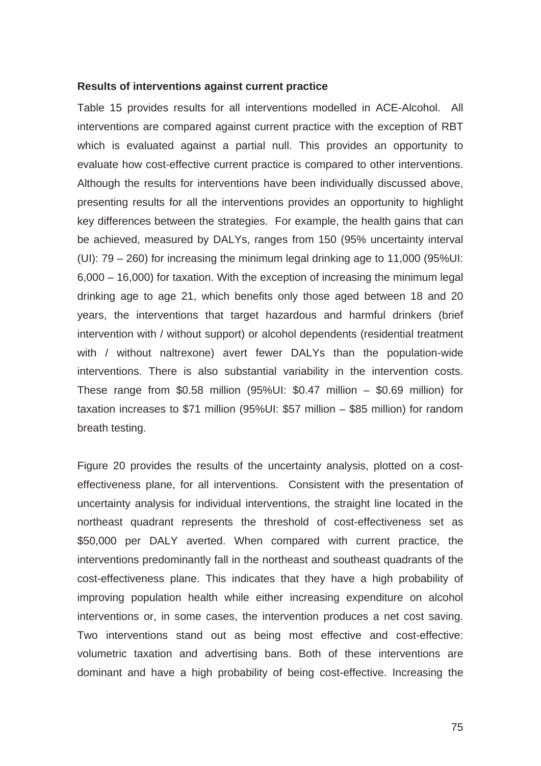## **Results of interventions against current practice**

Table 15 provides results for all interventions modelled in ACE-Alcohol. All interventions are compared against current practice with the exception of RBT which is evaluated against a partial null. This provides an opportunity to evaluate how cost-effective current practice is compared to other interventions. Although the results for interventions have been individually discussed above, presenting results for all the interventions provides an opportunity to highlight key differences between the strategies. For example, the health gains that can be achieved, measured by DALYs, ranges from 150 (95% uncertainty interval (UI): 79 – 260) for increasing the minimum legal drinking age to 11,000 (95%UI: 6,000 – 16,000) for taxation. With the exception of increasing the minimum legal drinking age to age 21, which benefits only those aged between 18 and 20 years, the interventions that target hazardous and harmful drinkers (brief intervention with / without support) or alcohol dependents (residential treatment with / without naltrexone) avert fewer DALYs than the population-wide interventions. There is also substantial variability in the intervention costs. These range from  $$0.58$  million (95%UI:  $$0.47$  million –  $$0.69$  million) for taxation increases to \$71 million (95%UI: \$57 million – \$85 million) for random breath testing.

Figure 20 provides the results of the uncertainty analysis, plotted on a costeffectiveness plane, for all interventions. Consistent with the presentation of uncertainty analysis for individual interventions, the straight line located in the northeast quadrant represents the threshold of cost-effectiveness set as \$50,000 per DALY averted. When compared with current practice, the interventions predominantly fall in the northeast and southeast quadrants of the cost-effectiveness plane. This indicates that they have a high probability of improving population health while either increasing expenditure on alcohol interventions or, in some cases, the intervention produces a net cost saving. Two interventions stand out as being most effective and cost-effective: volumetric taxation and advertising bans. Both of these interventions are dominant and have a high probability of being cost-effective. Increasing the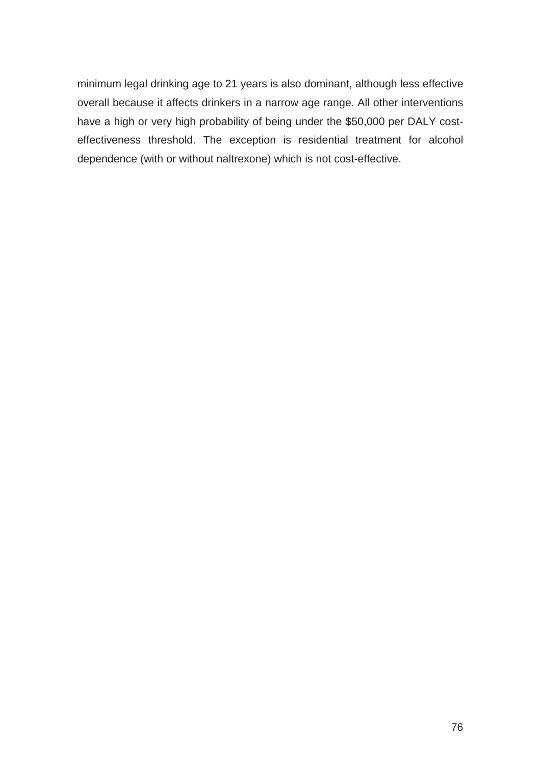minimum legal drinking age to 21 years is also dominant, although less effective overall because it affects drinkers in a narrow age range. All other interventions have a high or very high probability of being under the \$50,000 per DALY costeffectiveness threshold. The exception is residential treatment for alcohol dependence (with or without naltrexone) which is not cost-effective.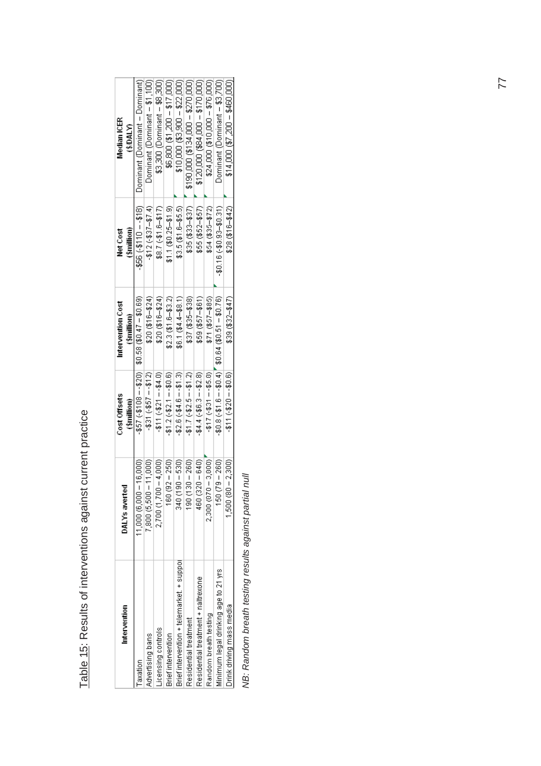| Intervention                              | DALYs averted               | Cost Offsets             | Intervention Cost                                      | Net Cost             | Median ICER                               |
|-------------------------------------------|-----------------------------|--------------------------|--------------------------------------------------------|----------------------|-------------------------------------------|
|                                           |                             | (\$million)              | (\$million)                                            | (\$million)          | (3/DAIN)                                  |
| Taxation                                  | 16,000<br>$11,000$ (6,000 – |                          | $(69.09 - 17.09)$ $(00.09 - 16.079)$ $(00.09 - 16.07)$ | $-500 - 10 - 10$     | Dominant (Dominant – Dominant)            |
| Advertising bans                          | 11,000<br>7,800 (5,500 -    | $-531 (-55 - 100)$       | $$20(316 - $24)$                                       | $-412(-837-87.4)$    | Dominant (Dominant - \$1,100)             |
| Licensing controls                        | $-4,000$<br>$2,700(1,700 -$ | $-511 (+521 - 54.0)$     | $$20(3-6-12)$                                          | $$8.7 (-11.6 - 17)$  | \$3,300 (Dominant – \$8,300)              |
| <b>Brief intervention</b>                 | $-250$<br>160 (92           | $$1.2 (+ $2.1 - $0.6)$   | $$2.3($1.6-$3.2)$                                      | $$1.1(80.25 - $1.9)$ | $$600 ($1,200 - $17,000)$                 |
| Brief intervention + telemarket. + suppor | $\frac{6}{5}$<br>340 (190   | $-52.6(-54.6 - 51.3)$    | $$6.1 (84.4 - $8.1)$                                   | $$3.5($ \$1.6-\$5.5) | $$10,000 ($3,900 - $22,000)$              |
| Residential treatment                     | - 280)<br>190 (130          | $$1.7(+$2.5--$1.2)$      | $$37 ($35 - $38)$                                      | $$35(83-837)$        | $$190,000 (8134,000 + $270,000)$          |
| Residential treatment + naltrexone        | $-640$<br>460 (320          | $-44.4(-66.3 - 62.8)$    | $$59 ($57 - $61)$                                      | \$55 (\$52-\$57)     | \$120,000 (\$894,000 + \$170,000)         |
| Random breath testing                     | $2,300(870 - 3,800)$        | $-$ \$17 (-\$31 --\$5.8) | \$71 (\$57-\$85)                                       | $$54(35-57)$         | \$24,000 (\$10,000 - \$76,000)            |
| Minimum legal drinking age to 21 yrs      | $-280$<br>150079            |                          | $(91.6 - 10.57 + 6.016)$ $(40.6 - 10.57 + 6.016)$      | $$0.16 (40.9 - 31)$  | ) ominant (Dominant – \$3,700)            |
| Drink driving mass media                  | $1,500(80-2,300)$           | $-511(-520 - 50.6)$      | $$39 ( $32 - $47)$                                     | $$28(516 - $42)$     | $2000, 4400, 67, 7000, 2000, 2000, 2000,$ |
|                                           |                             |                          |                                                        |                      |                                           |

Table 15: Results of interventions against current practice Table 15: Results of interventions against current practice

NB: Random breath testing results against partial null *NB: Random breath testing results against partial null*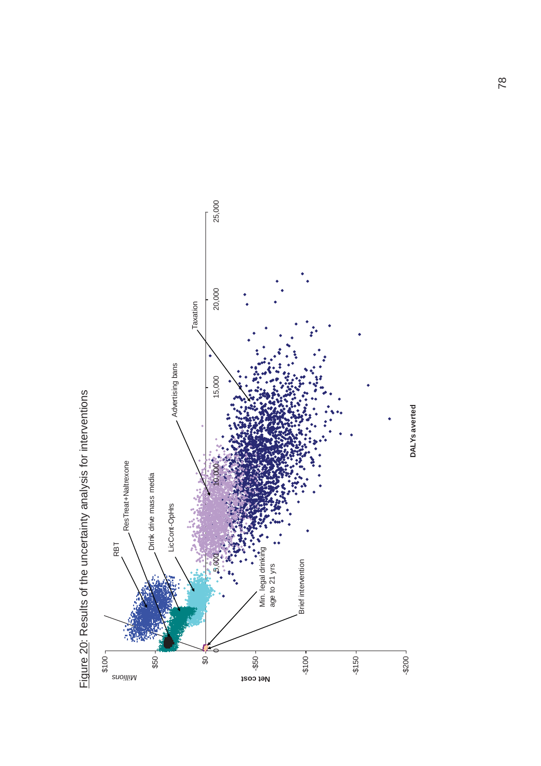

Figure 20: Results of the uncertainty analysis for interventions Figure 20: Results of the uncertainty analysis for interventions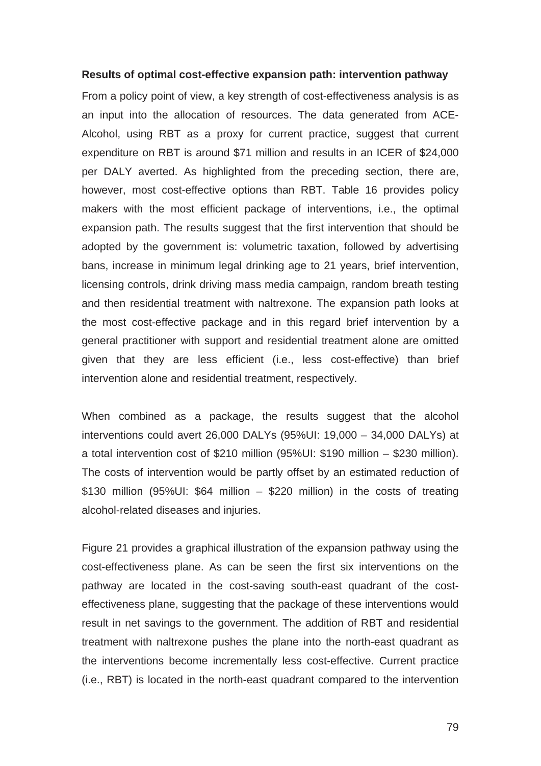## **Results of optimal cost-effective expansion path: intervention pathway**

From a policy point of view, a key strength of cost-effectiveness analysis is as an input into the allocation of resources. The data generated from ACE-Alcohol, using RBT as a proxy for current practice, suggest that current expenditure on RBT is around \$71 million and results in an ICER of \$24,000 per DALY averted. As highlighted from the preceding section, there are, however, most cost-effective options than RBT. Table 16 provides policy makers with the most efficient package of interventions, i.e., the optimal expansion path. The results suggest that the first intervention that should be adopted by the government is: volumetric taxation, followed by advertising bans, increase in minimum legal drinking age to 21 years, brief intervention, licensing controls, drink driving mass media campaign, random breath testing and then residential treatment with naltrexone. The expansion path looks at the most cost-effective package and in this regard brief intervention by a general practitioner with support and residential treatment alone are omitted given that they are less efficient (i.e., less cost-effective) than brief intervention alone and residential treatment, respectively.

When combined as a package, the results suggest that the alcohol interventions could avert 26,000 DALYs (95%UI: 19,000 – 34,000 DALYs) at a total intervention cost of \$210 million (95%UI: \$190 million – \$230 million). The costs of intervention would be partly offset by an estimated reduction of \$130 million (95%UI: \$64 million – \$220 million) in the costs of treating alcohol-related diseases and injuries.

Figure 21 provides a graphical illustration of the expansion pathway using the cost-effectiveness plane. As can be seen the first six interventions on the pathway are located in the cost-saving south-east quadrant of the costeffectiveness plane, suggesting that the package of these interventions would result in net savings to the government. The addition of RBT and residential treatment with naltrexone pushes the plane into the north-east quadrant as the interventions become incrementally less cost-effective. Current practice (i.e., RBT) is located in the north-east quadrant compared to the intervention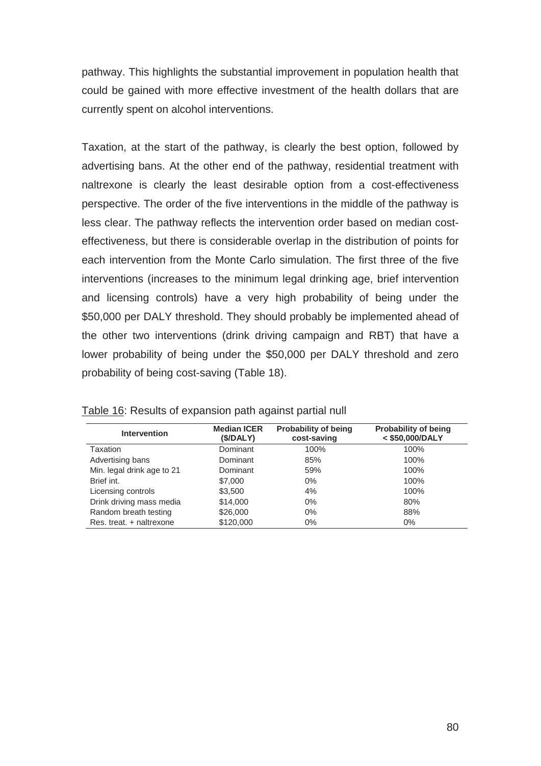pathway. This highlights the substantial improvement in population health that could be gained with more effective investment of the health dollars that are currently spent on alcohol interventions.

Taxation, at the start of the pathway, is clearly the best option, followed by advertising bans. At the other end of the pathway, residential treatment with naltrexone is clearly the least desirable option from a cost-effectiveness perspective. The order of the five interventions in the middle of the pathway is less clear. The pathway reflects the intervention order based on median costeffectiveness, but there is considerable overlap in the distribution of points for each intervention from the Monte Carlo simulation. The first three of the five interventions (increases to the minimum legal drinking age, brief intervention and licensing controls) have a very high probability of being under the \$50,000 per DALY threshold. They should probably be implemented ahead of the other two interventions (drink driving campaign and RBT) that have a lower probability of being under the \$50,000 per DALY threshold and zero probability of being cost-saving (Table 18).

| <b>Intervention</b>        | <b>Median ICER</b><br>(\$/DALY) | <b>Probability of being</b><br>cost-saving | <b>Probability of being</b><br>< \$50,000/DALY |
|----------------------------|---------------------------------|--------------------------------------------|------------------------------------------------|
| Taxation                   | Dominant                        | 100%                                       | 100%                                           |
| Advertising bans           | Dominant                        | 85%                                        | 100%                                           |
| Min. legal drink age to 21 | Dominant                        | 59%                                        | 100%                                           |
| Brief int.                 | \$7,000                         | $0\%$                                      | 100%                                           |
| Licensing controls         | \$3,500                         | 4%                                         | 100%                                           |
| Drink driving mass media   | \$14,000                        | 0%                                         | 80%                                            |
| Random breath testing      | \$26,000                        | $0\%$                                      | 88%                                            |
| Res. treat. + naltrexone   | \$120,000                       | $0\%$                                      | $0\%$                                          |

Table 16: Results of expansion path against partial null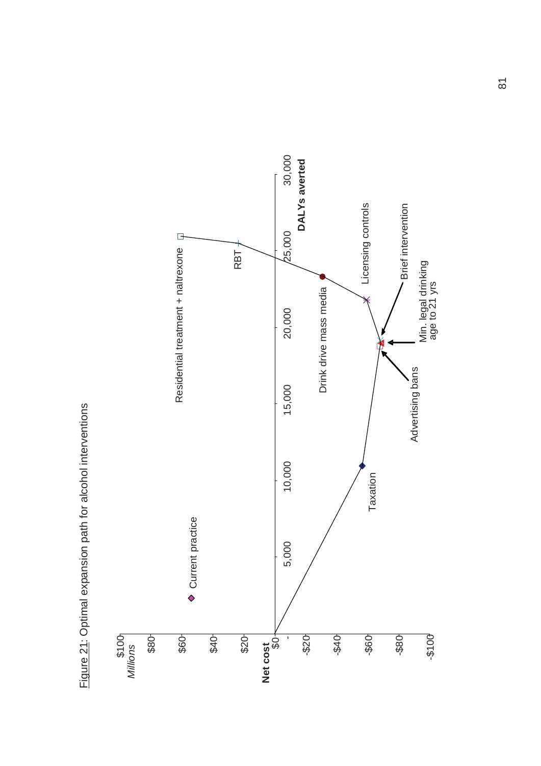

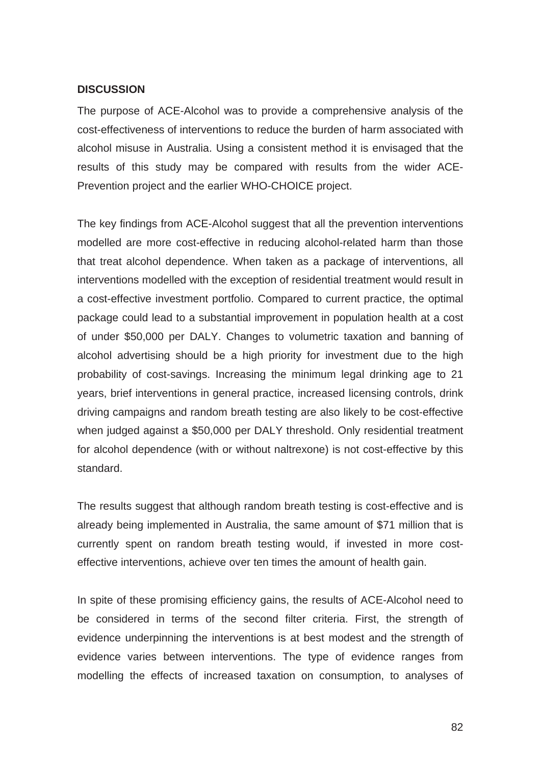## **DISCUSSION**

The purpose of ACE-Alcohol was to provide a comprehensive analysis of the cost-effectiveness of interventions to reduce the burden of harm associated with alcohol misuse in Australia. Using a consistent method it is envisaged that the results of this study may be compared with results from the wider ACE-Prevention project and the earlier WHO-CHOICE project.

The key findings from ACE-Alcohol suggest that all the prevention interventions modelled are more cost-effective in reducing alcohol-related harm than those that treat alcohol dependence. When taken as a package of interventions, all interventions modelled with the exception of residential treatment would result in a cost-effective investment portfolio. Compared to current practice, the optimal package could lead to a substantial improvement in population health at a cost of under \$50,000 per DALY. Changes to volumetric taxation and banning of alcohol advertising should be a high priority for investment due to the high probability of cost-savings. Increasing the minimum legal drinking age to 21 years, brief interventions in general practice, increased licensing controls, drink driving campaigns and random breath testing are also likely to be cost-effective when judged against a \$50,000 per DALY threshold. Only residential treatment for alcohol dependence (with or without naltrexone) is not cost-effective by this standard.

The results suggest that although random breath testing is cost-effective and is already being implemented in Australia, the same amount of \$71 million that is currently spent on random breath testing would, if invested in more costeffective interventions, achieve over ten times the amount of health gain.

In spite of these promising efficiency gains, the results of ACE-Alcohol need to be considered in terms of the second filter criteria. First, the strength of evidence underpinning the interventions is at best modest and the strength of evidence varies between interventions. The type of evidence ranges from modelling the effects of increased taxation on consumption, to analyses of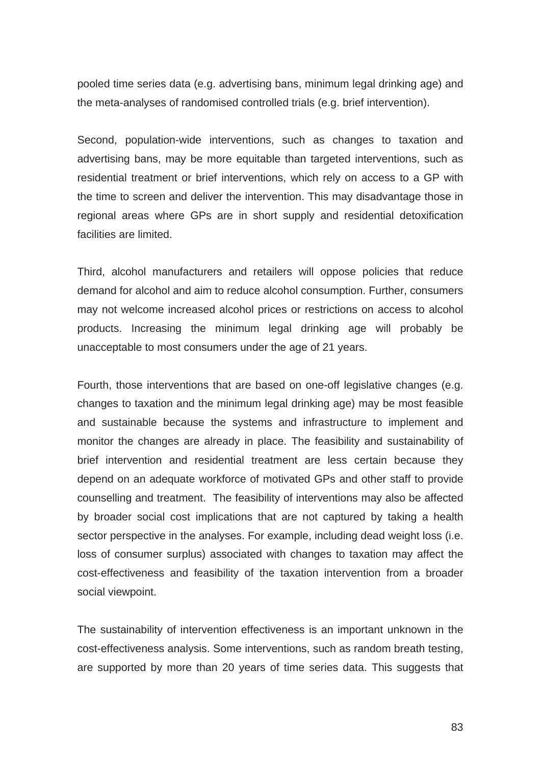pooled time series data (e.g. advertising bans, minimum legal drinking age) and the meta-analyses of randomised controlled trials (e.g. brief intervention).

Second, population-wide interventions, such as changes to taxation and advertising bans, may be more equitable than targeted interventions, such as residential treatment or brief interventions, which rely on access to a GP with the time to screen and deliver the intervention. This may disadvantage those in regional areas where GPs are in short supply and residential detoxification facilities are limited.

Third, alcohol manufacturers and retailers will oppose policies that reduce demand for alcohol and aim to reduce alcohol consumption. Further, consumers may not welcome increased alcohol prices or restrictions on access to alcohol products. Increasing the minimum legal drinking age will probably be unacceptable to most consumers under the age of 21 years.

Fourth, those interventions that are based on one-off legislative changes (e.g. changes to taxation and the minimum legal drinking age) may be most feasible and sustainable because the systems and infrastructure to implement and monitor the changes are already in place. The feasibility and sustainability of brief intervention and residential treatment are less certain because they depend on an adequate workforce of motivated GPs and other staff to provide counselling and treatment. The feasibility of interventions may also be affected by broader social cost implications that are not captured by taking a health sector perspective in the analyses. For example, including dead weight loss (i.e. loss of consumer surplus) associated with changes to taxation may affect the cost-effectiveness and feasibility of the taxation intervention from a broader social viewpoint.

The sustainability of intervention effectiveness is an important unknown in the cost-effectiveness analysis. Some interventions, such as random breath testing, are supported by more than 20 years of time series data. This suggests that

83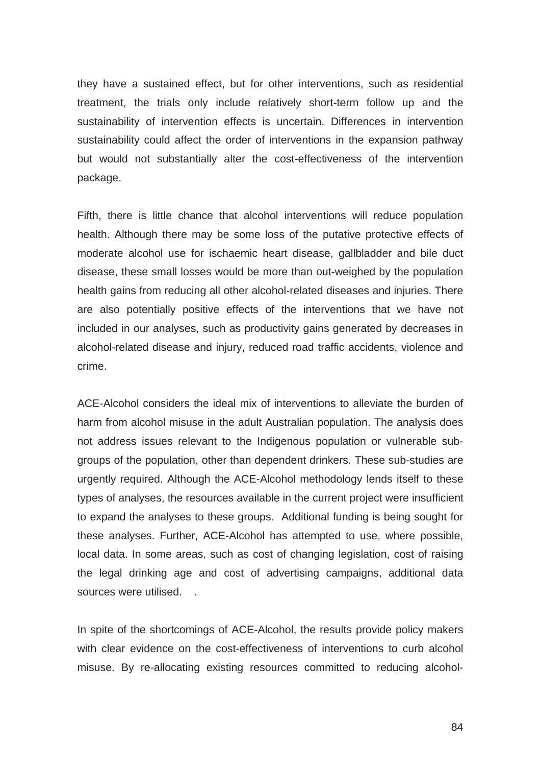they have a sustained effect, but for other interventions, such as residential treatment, the trials only include relatively short-term follow up and the sustainability of intervention effects is uncertain. Differences in intervention sustainability could affect the order of interventions in the expansion pathway but would not substantially alter the cost-effectiveness of the intervention package.

Fifth, there is little chance that alcohol interventions will reduce population health. Although there may be some loss of the putative protective effects of moderate alcohol use for ischaemic heart disease, gallbladder and bile duct disease, these small losses would be more than out-weighed by the population health gains from reducing all other alcohol-related diseases and injuries. There are also potentially positive effects of the interventions that we have not included in our analyses, such as productivity gains generated by decreases in alcohol-related disease and injury, reduced road traffic accidents, violence and crime.

ACE-Alcohol considers the ideal mix of interventions to alleviate the burden of harm from alcohol misuse in the adult Australian population. The analysis does not address issues relevant to the Indigenous population or vulnerable subgroups of the population, other than dependent drinkers. These sub-studies are urgently required. Although the ACE-Alcohol methodology lends itself to these types of analyses, the resources available in the current project were insufficient to expand the analyses to these groups. Additional funding is being sought for these analyses. Further, ACE-Alcohol has attempted to use, where possible, local data. In some areas, such as cost of changing legislation, cost of raising the legal drinking age and cost of advertising campaigns, additional data sources were utilised.

In spite of the shortcomings of ACE-Alcohol, the results provide policy makers with clear evidence on the cost-effectiveness of interventions to curb alcohol misuse. By re-allocating existing resources committed to reducing alcohol-

84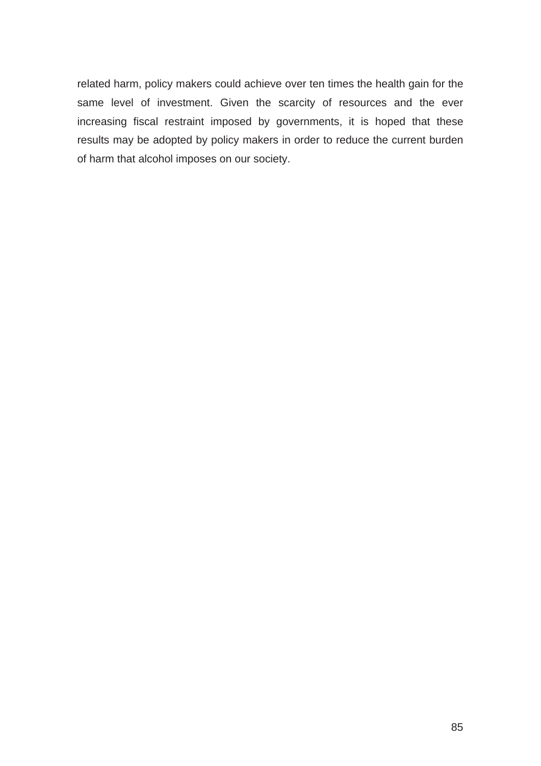related harm, policy makers could achieve over ten times the health gain for the same level of investment. Given the scarcity of resources and the ever increasing fiscal restraint imposed by governments, it is hoped that these results may be adopted by policy makers in order to reduce the current burden of harm that alcohol imposes on our society.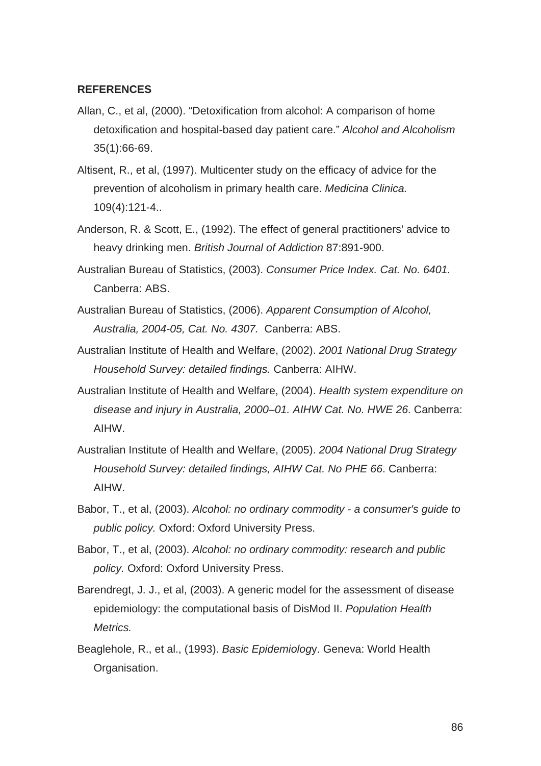## **REFERENCES**

- Allan, C., et al, (2000). "Detoxification from alcohol: A comparison of home detoxification and hospital-based day patient care." *Alcohol and Alcoholism* 35(1):66-69.
- Altisent, R., et al, (1997). Multicenter study on the efficacy of advice for the prevention of alcoholism in primary health care. *Medicina Clinica.* 109(4):121-4..
- Anderson, R. & Scott, E., (1992). The effect of general practitioners' advice to heavy drinking men. *British Journal of Addiction* 87:891-900.
- Australian Bureau of Statistics, (2003). *Consumer Price Index. Cat. No. 6401.* Canberra: ABS.
- Australian Bureau of Statistics, (2006). *Apparent Consumption of Alcohol, Australia, 2004-05, Cat. No. 4307.* Canberra: ABS.
- Australian Institute of Health and Welfare, (2002). *2001 National Drug Strategy Household Survey: detailed findings.* Canberra: AIHW.
- Australian Institute of Health and Welfare, (2004). *Health system expenditure on disease and injury in Australia, 2000–01. AIHW Cat. No. HWE 26*. Canberra: AIHW.
- Australian Institute of Health and Welfare, (2005). *2004 National Drug Strategy Household Survey: detailed findings, AIHW Cat. No PHE 66*. Canberra: AIHW.
- Babor, T., et al, (2003). *Alcohol: no ordinary commodity a consumer's guide to public policy.* Oxford: Oxford University Press.
- Babor, T., et al, (2003). *Alcohol: no ordinary commodity: research and public policy.* Oxford: Oxford University Press.
- Barendregt, J. J., et al, (2003). A generic model for the assessment of disease epidemiology: the computational basis of DisMod II. *Population Health Metrics.*
- Beaglehole, R., et al., (1993). *Basic Epidemiolog*y. Geneva: World Health Organisation.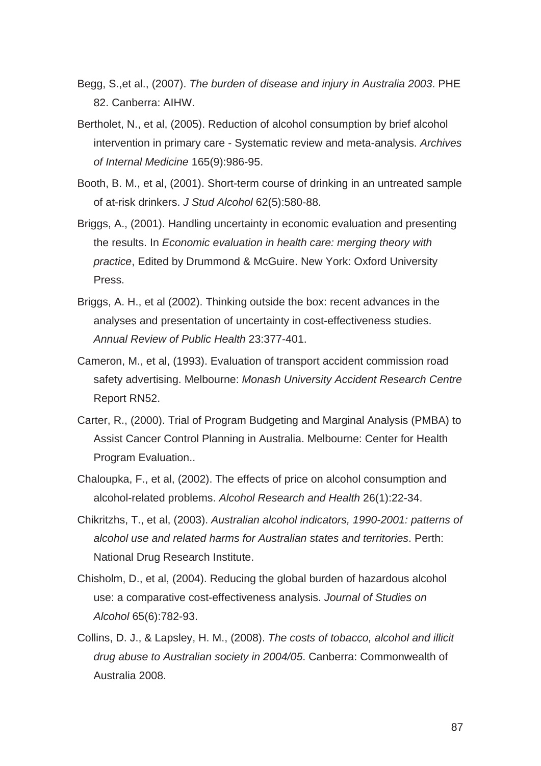- Begg, S.,et al., (2007). *The burden of disease and injury in Australia 2003*. PHE 82. Canberra: AIHW.
- Bertholet, N., et al, (2005). Reduction of alcohol consumption by brief alcohol intervention in primary care - Systematic review and meta-analysis. *Archives of Internal Medicine* 165(9):986-95.
- Booth, B. M., et al, (2001). Short-term course of drinking in an untreated sample of at-risk drinkers. *J Stud Alcohol* 62(5):580-88.
- Briggs, A., (2001). Handling uncertainty in economic evaluation and presenting the results. In *Economic evaluation in health care: merging theory with practice*, Edited by Drummond & McGuire. New York: Oxford University Press.
- Briggs, A. H., et al (2002). Thinking outside the box: recent advances in the analyses and presentation of uncertainty in cost-effectiveness studies. *Annual Review of Public Health* 23:377-401.
- Cameron, M., et al, (1993). Evaluation of transport accident commission road safety advertising. Melbourne: *Monash University Accident Research Centre* Report RN52.
- Carter, R., (2000). Trial of Program Budgeting and Marginal Analysis (PMBA) to Assist Cancer Control Planning in Australia. Melbourne: Center for Health Program Evaluation..
- Chaloupka, F., et al, (2002). The effects of price on alcohol consumption and alcohol-related problems. *Alcohol Research and Health* 26(1):22-34.
- Chikritzhs, T., et al, (2003). *Australian alcohol indicators, 1990-2001: patterns of alcohol use and related harms for Australian states and territories*. Perth: National Drug Research Institute.
- Chisholm, D., et al, (2004). Reducing the global burden of hazardous alcohol use: a comparative cost-effectiveness analysis. *Journal of Studies on Alcohol* 65(6):782-93.
- Collins, D. J., & Lapsley, H. M., (2008). *The costs of tobacco, alcohol and illicit drug abuse to Australian society in 2004/05*. Canberra: Commonwealth of Australia 2008.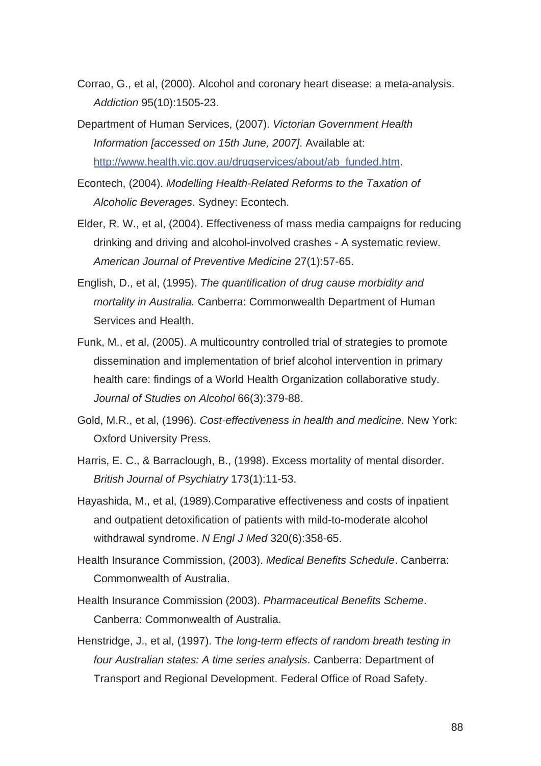- Corrao, G., et al, (2000). Alcohol and coronary heart disease: a meta-analysis. *Addiction* 95(10):1505-23.
- Department of Human Services, (2007). *Victorian Government Health Information [accessed on 15th June, 2007]*. Available at: http://www.health.vic.gov.au/drugservices/about/ab\_funded.htm.
- Econtech, (2004). *Modelling Health-Related Reforms to the Taxation of Alcoholic Beverages*. Sydney: Econtech.
- Elder, R. W., et al, (2004). Effectiveness of mass media campaigns for reducing drinking and driving and alcohol-involved crashes - A systematic review. *American Journal of Preventive Medicine* 27(1):57-65.
- English, D., et al, (1995). *The quantification of drug cause morbidity and mortality in Australia.* Canberra: Commonwealth Department of Human Services and Health.
- Funk, M., et al, (2005). A multicountry controlled trial of strategies to promote dissemination and implementation of brief alcohol intervention in primary health care: findings of a World Health Organization collaborative study. *Journal of Studies on Alcohol* 66(3):379-88.
- Gold, M.R., et al, (1996). *Cost-effectiveness in health and medicine*. New York: Oxford University Press.
- Harris, E. C., & Barraclough, B., (1998). Excess mortality of mental disorder. *British Journal of Psychiatry* 173(1):11-53.
- Hayashida, M., et al, (1989).Comparative effectiveness and costs of inpatient and outpatient detoxification of patients with mild-to-moderate alcohol withdrawal syndrome. *N Engl J Med* 320(6):358-65.
- Health Insurance Commission, (2003). *Medical Benefits Schedule*. Canberra: Commonwealth of Australia.
- Health Insurance Commission (2003). *Pharmaceutical Benefits Scheme*. Canberra: Commonwealth of Australia.
- Henstridge, J., et al, (1997). T*he long-term effects of random breath testing in four Australian states: A time series analysis*. Canberra: Department of Transport and Regional Development. Federal Office of Road Safety.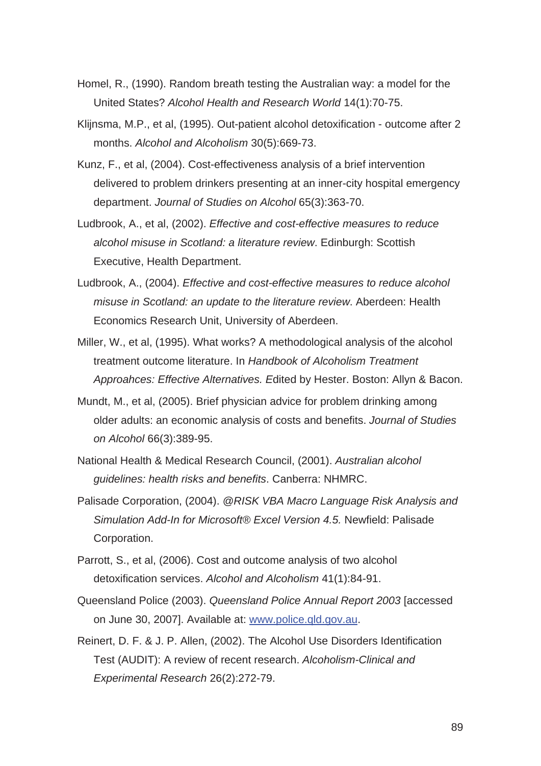- Homel, R., (1990). Random breath testing the Australian way: a model for the United States? *Alcohol Health and Research World* 14(1):70-75.
- Klijnsma, M.P., et al, (1995). Out-patient alcohol detoxification outcome after 2 months. *Alcohol and Alcoholism* 30(5):669-73.
- Kunz, F., et al, (2004). Cost-effectiveness analysis of a brief intervention delivered to problem drinkers presenting at an inner-city hospital emergency department. *Journal of Studies on Alcohol* 65(3):363-70.
- Ludbrook, A., et al, (2002). *Effective and cost-effective measures to reduce alcohol misuse in Scotland: a literature review*. Edinburgh: Scottish Executive, Health Department.
- Ludbrook, A., (2004). *Effective and cost-effective measures to reduce alcohol misuse in Scotland: an update to the literature review*. Aberdeen: Health Economics Research Unit, University of Aberdeen.
- Miller, W., et al, (1995). What works? A methodological analysis of the alcohol treatment outcome literature. In *Handbook of Alcoholism Treatment Approahces: Effective Alternatives. E*dited by Hester. Boston: Allyn & Bacon.
- Mundt, M., et al, (2005). Brief physician advice for problem drinking among older adults: an economic analysis of costs and benefits. *Journal of Studies on Alcohol* 66(3):389-95.
- National Health & Medical Research Council, (2001). *Australian alcohol guidelines: health risks and benefits*. Canberra: NHMRC.
- Palisade Corporation, (2004). *@RISK VBA Macro Language Risk Analysis and Simulation Add-In for Microsoft® Excel Version 4.5.* Newfield: Palisade Corporation.
- Parrott, S., et al, (2006). Cost and outcome analysis of two alcohol detoxification services. *Alcohol and Alcoholism* 41(1):84-91.
- Queensland Police (2003). *Queensland Police Annual Report 2003* [accessed on June 30, 2007]. Available at: www.police.qld.gov.au.
- Reinert, D. F. & J. P. Allen, (2002). The Alcohol Use Disorders Identification Test (AUDIT): A review of recent research. *Alcoholism-Clinical and Experimental Research* 26(2):272-79.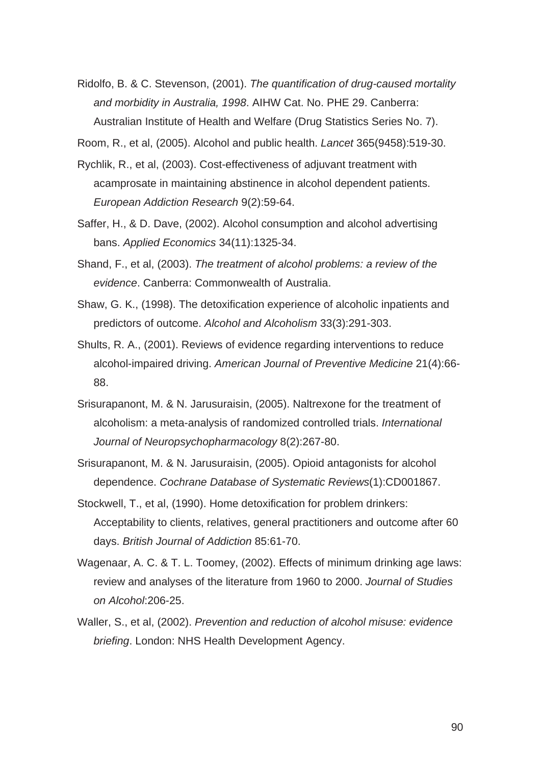- Ridolfo, B. & C. Stevenson, (2001). *The quantification of drug-caused mortality and morbidity in Australia, 1998*. AIHW Cat. No. PHE 29. Canberra: Australian Institute of Health and Welfare (Drug Statistics Series No. 7).
- Room, R., et al, (2005). Alcohol and public health. *Lancet* 365(9458):519-30.
- Rychlik, R., et al, (2003). Cost-effectiveness of adjuvant treatment with acamprosate in maintaining abstinence in alcohol dependent patients. *European Addiction Research* 9(2):59-64.
- Saffer, H., & D. Dave, (2002). Alcohol consumption and alcohol advertising bans. *Applied Economics* 34(11):1325-34.
- Shand, F., et al, (2003). *The treatment of alcohol problems: a review of the evidence*. Canberra: Commonwealth of Australia.
- Shaw, G. K., (1998). The detoxification experience of alcoholic inpatients and predictors of outcome. *Alcohol and Alcoholism* 33(3):291-303.
- Shults, R. A., (2001). Reviews of evidence regarding interventions to reduce alcohol-impaired driving. *American Journal of Preventive Medicine* 21(4):66- 88.
- Srisurapanont, M. & N. Jarusuraisin, (2005). Naltrexone for the treatment of alcoholism: a meta-analysis of randomized controlled trials. *International Journal of Neuropsychopharmacology* 8(2):267-80.
- Srisurapanont, M. & N. Jarusuraisin, (2005). Opioid antagonists for alcohol dependence. *Cochrane Database of Systematic Reviews*(1):CD001867.
- Stockwell, T., et al, (1990). Home detoxification for problem drinkers: Acceptability to clients, relatives, general practitioners and outcome after 60 days. *British Journal of Addiction* 85:61-70.
- Wagenaar, A. C. & T. L. Toomey, (2002). Effects of minimum drinking age laws: review and analyses of the literature from 1960 to 2000. *Journal of Studies on Alcohol*:206-25.
- Waller, S., et al, (2002). *Prevention and reduction of alcohol misuse: evidence briefing*. London: NHS Health Development Agency.